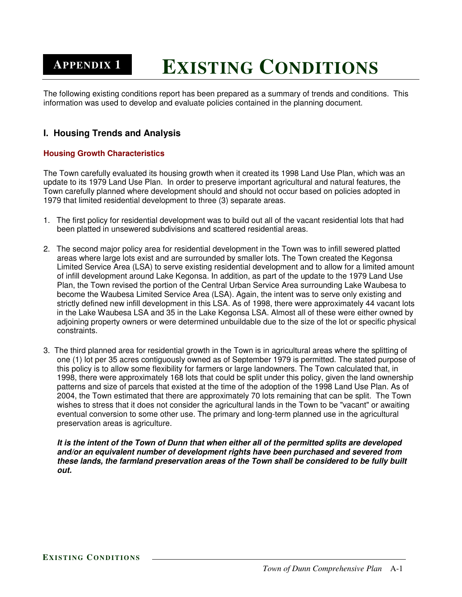# **EXISTING CONDITIONS APPENDIX 1**

The following existing conditions report has been prepared as a summary of trends and conditions. This information was used to develop and evaluate policies contained in the planning document.

# **I. Housing Trends and Analysis**

### **Housing Growth Characteristics**

The Town carefully evaluated its housing growth when it created its 1998 Land Use Plan, which was an update to its 1979 Land Use Plan. In order to preserve important agricultural and natural features, the Town carefully planned where development should and should not occur based on policies adopted in 1979 that limited residential development to three (3) separate areas.

- 1. The first policy for residential development was to build out all of the vacant residential lots that had been platted in unsewered subdivisions and scattered residential areas.
- 2. The second major policy area for residential development in the Town was to infill sewered platted areas where large lots exist and are surrounded by smaller lots. The Town created the Kegonsa Limited Service Area (LSA) to serve existing residential development and to allow for a limited amount of infill development around Lake Kegonsa. In addition, as part of the update to the 1979 Land Use Plan, the Town revised the portion of the Central Urban Service Area surrounding Lake Waubesa to become the Waubesa Limited Service Area (LSA). Again, the intent was to serve only existing and strictly defined new infill development in this LSA. As of 1998, there were approximately 44 vacant lots in the Lake Waubesa LSA and 35 in the Lake Kegonsa LSA. Almost all of these were either owned by adjoining property owners or were determined unbuildable due to the size of the lot or specific physical constraints.
- 3. The third planned area for residential growth in the Town is in agricultural areas where the splitting of one (1) lot per 35 acres contiguously owned as of September 1979 is permitted. The stated purpose of this policy is to allow some flexibility for farmers or large landowners. The Town calculated that, in 1998, there were approximately 168 lots that could be split under this policy, given the land ownership patterns and size of parcels that existed at the time of the adoption of the 1998 Land Use Plan. As of 2004, the Town estimated that there are approximately 70 lots remaining that can be split. The Town wishes to stress that it does not consider the agricultural lands in the Town to be "vacant" or awaiting eventual conversion to some other use. The primary and long-term planned use in the agricultural preservation areas is agriculture.

It is the intent of the Town of Dunn that when either all of the permitted splits are developed *and/or an equivalent number of development rights have been purchased and severed from these lands, the farmland preservation areas of the Town shall be considered to be fully built out.*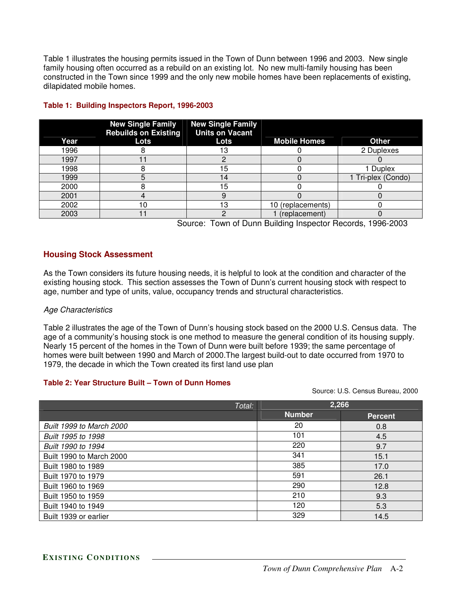Table 1 illustrates the housing permits issued in the Town of Dunn between 1996 and 2003. New single family housing often occurred as a rebuild on an existing lot. No new multi-family housing has been constructed in the Town since 1999 and the only new mobile homes have been replacements of existing, dilapidated mobile homes.

| Year | <b>New Single Family</b><br><b>Rebuilds on Existing</b><br>Lots | <b>New Single Family</b><br><b>Units on Vacant</b><br>Lots | <b>Mobile Homes</b> | <b>Other</b>       |
|------|-----------------------------------------------------------------|------------------------------------------------------------|---------------------|--------------------|
| 1996 |                                                                 |                                                            |                     | 2 Duplexes         |
| 1997 |                                                                 |                                                            |                     |                    |
| 1998 |                                                                 | 5                                                          |                     | 1 Duplex           |
| 1999 |                                                                 | 4                                                          |                     | 1 Tri-plex (Condo) |
| 2000 |                                                                 | 15                                                         |                     |                    |
| 2001 |                                                                 |                                                            |                     |                    |
| 2002 | 10                                                              | 3                                                          | 10 (replacements)   |                    |
| 2003 |                                                                 |                                                            | (replacement)       |                    |

### **Table 1: Building Inspectors Report, 1996-2003**

Source: Town of Dunn Building Inspector Records, 1996-2003

# **Housing Stock Assessment**

As the Town considers its future housing needs, it is helpful to look at the condition and character of the existing housing stock. This section assesses the Town of Dunn's current housing stock with respect to age, number and type of units, value, occupancy trends and structural characteristics.

### *Age Characteristics*

Table 2 illustrates the age of the Town of Dunn's housing stock based on the 2000 U.S. Census data. The age of a community's housing stock is one method to measure the general condition of its housing supply. Nearly 15 percent of the homes in the Town of Dunn were built before 1939; the same percentage of homes were built between 1990 and March of 2000.The largest build-out to date occurred from 1970 to 1979, the decade in which the Town created its first land use plan

#### **Table 2: Year Structure Built – Town of Dunn Homes**

Source: U.S. Census Bureau, 2000

| Total:                          | 2,266         |                |
|---------------------------------|---------------|----------------|
|                                 | <b>Number</b> | <b>Percent</b> |
| <b>Built 1999 to March 2000</b> | 20            | 0.8            |
| Built 1995 to 1998              | 101           | 4.5            |
| Built 1990 to 1994              | 220           | 9.7            |
| Built 1990 to March 2000        | 341           | 15.1           |
| Built 1980 to 1989              | 385           | 17.0           |
| Built 1970 to 1979              | 591           | 26.1           |
| Built 1960 to 1969              | 290           | 12.8           |
| Built 1950 to 1959              | 210           | 9.3            |
| Built 1940 to 1949              | 120           | 5.3            |
| Built 1939 or earlier           | 329           | 14.5           |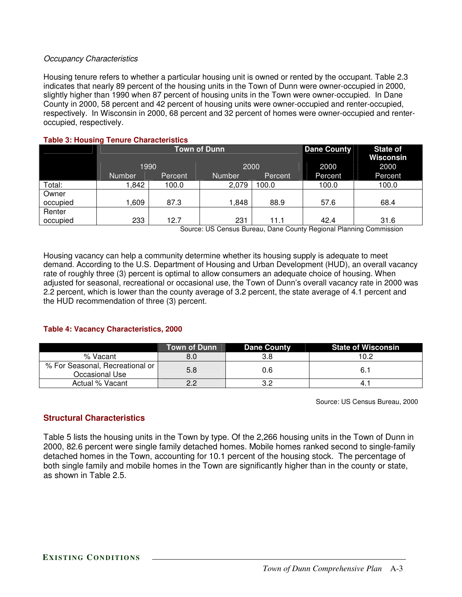### *Occupancy Characteristics*

Housing tenure refers to whether a particular housing unit is owned or rented by the occupant. Table 2.3 indicates that nearly 89 percent of the housing units in the Town of Dunn were owner-occupied in 2000, slightly higher than 1990 when 87 percent of housing units in the Town were owner-occupied. In Dane County in 2000, 58 percent and 42 percent of housing units were owner-occupied and renter-occupied, respectively. In Wisconsin in 2000, 68 percent and 32 percent of homes were owner-occupied and renteroccupied, respectively.

|          | $\sim$ 0.000 $\sim$ 0.000 $\sim$ 0.000 $\sim$ 0.000 $\sim$ 0.000 $\sim$ 0.000 $\sim$ |                     |                    |                              |         |         |
|----------|--------------------------------------------------------------------------------------|---------------------|--------------------|------------------------------|---------|---------|
|          |                                                                                      | <b>Town of Dunn</b> | <b>Dane County</b> | <b>State of</b><br>Wisconsin |         |         |
|          | 1990                                                                                 |                     | 2000               |                              | 2000    | 2000    |
|          | <b>Number</b>                                                                        | Percent             | <b>Number</b>      | <b>Percent</b>               | Percent | Percent |
| Total:   | 842. ا                                                                               | 100.0               | 2,079              | 100.0                        | 100.0   | 100.0   |
| Owner    |                                                                                      |                     |                    |                              |         |         |
| occupied | l.609                                                                                | 87.3                | .848               | 88.9                         | 57.6    | 68.4    |
| Renter   |                                                                                      |                     |                    |                              |         |         |
| occupied | 233                                                                                  | 12.7                | 231                | 11.1                         | 42.4    | 31.6    |

**Table 3: Housing Tenure Characteristics**

Source: US Census Bureau, Dane County Regional Planning Commission

Housing vacancy can help a community determine whether its housing supply is adequate to meet demand. According to the U.S. Department of Housing and Urban Development (HUD), an overall vacancy rate of roughly three (3) percent is optimal to allow consumers an adequate choice of housing. When adjusted for seasonal, recreational or occasional use, the Town of Dunn's overall vacancy rate in 2000 was 2.2 percent, which is lower than the county average of 3.2 percent, the state average of 4.1 percent and the HUD recommendation of three (3) percent.

### **Table 4: Vacancy Characteristics, 2000**

|                                                   | Town of Dunn | <b>Dane County</b> | <b>State of Wisconsin</b> |
|---------------------------------------------------|--------------|--------------------|---------------------------|
| % Vacant                                          | 8.0          | 3.8                | 10.2                      |
| % For Seasonal, Recreational or<br>Occasional Use | 5.8          | 0.6                | 6.1                       |
| Actual % Vacant                                   | っっ           | 3.2                |                           |

Source: US Census Bureau, 2000

### **Structural Characteristics**

Table 5 lists the housing units in the Town by type. Of the 2,266 housing units in the Town of Dunn in 2000, 82.6 percent were single family detached homes. Mobile homes ranked second to single-family detached homes in the Town, accounting for 10.1 percent of the housing stock. The percentage of both single family and mobile homes in the Town are significantly higher than in the county or state, as shown in Table 2.5.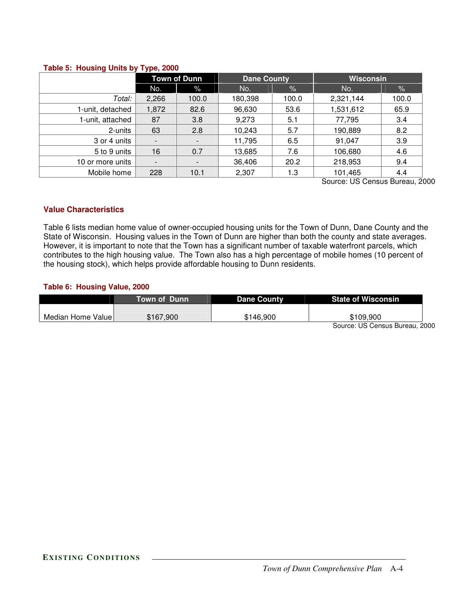#### **Table 5: Housing Units by Type, 2000**

|                  |                          | <b>Town of Dunn</b>      | <b>Dane County</b> |       | <b>Wisconsin</b> |       |
|------------------|--------------------------|--------------------------|--------------------|-------|------------------|-------|
|                  | No.                      | $\%$                     | No.                | $\%$  | No.              | $\%$  |
| Total:           | 2,266                    | 100.0                    | 180,398            | 100.0 | 2,321,144        | 100.0 |
| 1-unit, detached | 1,872                    | 82.6                     | 96,630             | 53.6  | 1,531,612        | 65.9  |
| 1-unit, attached | 87                       | 3.8                      | 9,273              | 5.1   | 77,795           | 3.4   |
| 2-units          | 63                       | 2.8                      | 10,243             | 5.7   | 190,889          | 8.2   |
| 3 or 4 units     | -                        | $\overline{\phantom{a}}$ | 11,795             | 6.5   | 91,047           | 3.9   |
| 5 to 9 units     | 16                       | 0.7                      | 13,685             | 7.6   | 106,680          | 4.6   |
| 10 or more units | $\overline{\phantom{a}}$ | $\overline{\phantom{a}}$ | 36,406             | 20.2  | 218,953          | 9.4   |
| Mobile home      | 228                      | 10.1                     | 2,307              | 1.3   | 101,465          | 4.4   |

Source: US Census Bureau, 2000

### **Value Characteristics**

Table 6 lists median home value of owner-occupied housing units for the Town of Dunn, Dane County and the State of Wisconsin. Housing values in the Town of Dunn are higher than both the county and state averages. However, it is important to note that the Town has a significant number of taxable waterfront parcels, which contributes to the high housing value. The Town also has a high percentage of mobile homes (10 percent of the housing stock), which helps provide affordable housing to Dunn residents.

### **Table 6: Housing Value, 2000**

|                   | Town of Dunn | <b>Dane County</b> | <b>State of Wisconsin</b> |
|-------------------|--------------|--------------------|---------------------------|
|                   |              |                    |                           |
| Median Home Value | \$167.900    | \$146.900          | \$109.900                 |

Source: US Census Bureau, 2000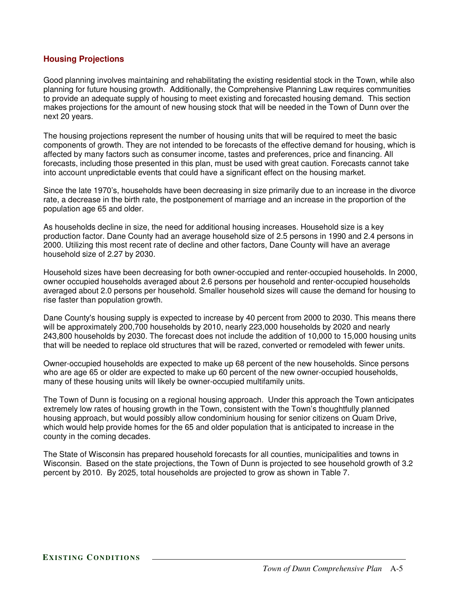### **Housing Projections**

Good planning involves maintaining and rehabilitating the existing residential stock in the Town, while also planning for future housing growth. Additionally, the Comprehensive Planning Law requires communities to provide an adequate supply of housing to meet existing and forecasted housing demand. This section makes projections for the amount of new housing stock that will be needed in the Town of Dunn over the next 20 years.

The housing projections represent the number of housing units that will be required to meet the basic components of growth. They are not intended to be forecasts of the effective demand for housing, which is affected by many factors such as consumer income, tastes and preferences, price and financing. All forecasts, including those presented in this plan, must be used with great caution. Forecasts cannot take into account unpredictable events that could have a significant effect on the housing market.

Since the late 1970's, households have been decreasing in size primarily due to an increase in the divorce rate, a decrease in the birth rate, the postponement of marriage and an increase in the proportion of the population age 65 and older.

As households decline in size, the need for additional housing increases. Household size is a key production factor. Dane County had an average household size of 2.5 persons in 1990 and 2.4 persons in 2000. Utilizing this most recent rate of decline and other factors, Dane County will have an average household size of 2.27 by 2030.

Household sizes have been decreasing for both owner-occupied and renter-occupied households. In 2000, owner occupied households averaged about 2.6 persons per household and renter-occupied households averaged about 2.0 persons per household. Smaller household sizes will cause the demand for housing to rise faster than population growth.

Dane County's housing supply is expected to increase by 40 percent from 2000 to 2030. This means there will be approximately 200,700 households by 2010, nearly 223,000 households by 2020 and nearly 243,800 households by 2030. The forecast does not include the addition of 10,000 to 15,000 housing units that will be needed to replace old structures that will be razed, converted or remodeled with fewer units.

Owner-occupied households are expected to make up 68 percent of the new households. Since persons who are age 65 or older are expected to make up 60 percent of the new owner-occupied households, many of these housing units will likely be owner-occupied multifamily units.

The Town of Dunn is focusing on a regional housing approach. Under this approach the Town anticipates extremely low rates of housing growth in the Town, consistent with the Town's thoughtfully planned housing approach, but would possibly allow condominium housing for senior citizens on Quam Drive, which would help provide homes for the 65 and older population that is anticipated to increase in the county in the coming decades.

The State of Wisconsin has prepared household forecasts for all counties, municipalities and towns in Wisconsin. Based on the state projections, the Town of Dunn is projected to see household growth of 3.2 percent by 2010. By 2025, total households are projected to grow as shown in Table 7.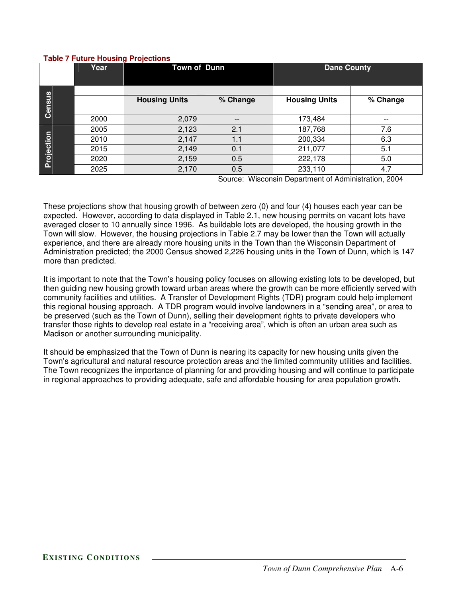|        | l able 7 Future Housing Projections |                      |                     |                      |         |
|--------|-------------------------------------|----------------------|---------------------|----------------------|---------|
|        | Year                                | <b>Town of Dunn</b>  |                     | <b>Dane County</b>   |         |
| Census |                                     | <b>Housing Units</b> | % Change            | <b>Housing Units</b> | % Cha   |
|        | 2000                                | 2,079                |                     | 173,484              |         |
|        | 2005                                | 2,123                | 2.1                 | 187,768              | 7.6     |
| ction  | 2010                                | 2,147                | 1.1                 | 200,334              | 6.3     |
|        | 001E                                | 0.110                | $\bigcap$ $\bigcap$ | 011077               | $E - 1$ |

### **Table 7 Future Housing Projections**

**Proje**

Source: Wisconsin Department of Administration, 2004

 $%$  Change

These projections show that housing growth of between zero (0) and four (4) houses each year can be expected. However, according to data displayed in Table 2.1, new housing permits on vacant lots have averaged closer to 10 annually since 1996. As buildable lots are developed, the housing growth in the Town will slow. However, the housing projections in Table 2.7 may be lower than the Town will actually experience, and there are already more housing units in the Town than the Wisconsin Department of Administration predicted; the 2000 Census showed 2,226 housing units in the Town of Dunn, which is 147 more than predicted.

2015 2,149 0.1 211,077 5.1 2020 2,159 0.5 222,178 5.0

2025 2,170 0.5 233,110 4.7

It is important to note that the Town's housing policy focuses on allowing existing lots to be developed, but then guiding new housing growth toward urban areas where the growth can be more efficiently served with community facilities and utilities. A Transfer of Development Rights (TDR) program could help implement this regional housing approach. A TDR program would involve landowners in a "sending area", or area to be preserved (such as the Town of Dunn), selling their development rights to private developers who transfer those rights to develop real estate in a "receiving area", which is often an urban area such as Madison or another surrounding municipality.

It should be emphasized that the Town of Dunn is nearing its capacity for new housing units given the Town's agricultural and natural resource protection areas and the limited community utilities and facilities. The Town recognizes the importance of planning for and providing housing and will continue to participate in regional approaches to providing adequate, safe and affordable housing for area population growth.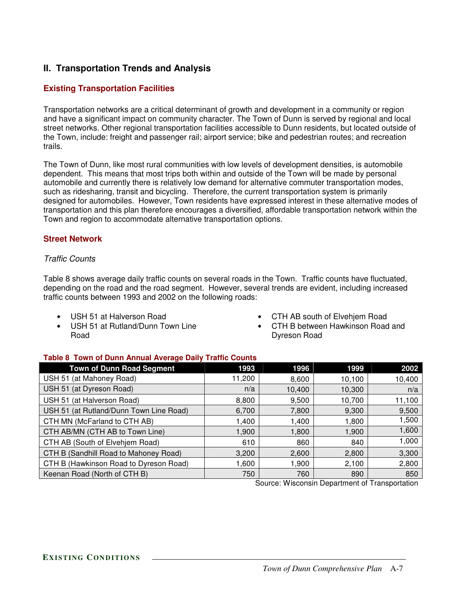# **II. Transportation Trends and Analysis**

# **Existing Transportation Facilities**

Transportation networks are a critical determinant of growth and development in a community or region and have a significant impact on community character. The Town of Dunn is served by regional and local street networks. Other regional transportation facilities accessible to Dunn residents, but located outside of the Town, include: freight and passenger rail; airport service; bike and pedestrian routes; and recreation trails.

The Town of Dunn, like most rural communities with low levels of development densities, is automobile dependent. This means that most trips both within and outside of the Town will be made by personal automobile and currently there is relatively low demand for alternative commuter transportation modes, such as ridesharing, transit and bicycling. Therefore, the current transportation system is primarily designed for automobiles. However, Town residents have expressed interest in these alternative modes of transportation and this plan therefore encourages a diversified, affordable transportation network within the Town and region to accommodate alternative transportation options.

# **Street Network**

### *Traffic Counts*

Table 8 shows average daily traffic counts on several roads in the Town. Traffic counts have fluctuated, depending on the road and the road segment. However, several trends are evident, including increased traffic counts between 1993 and 2002 on the following roads:

- USH 51 at Halverson Road
- USH 51 at Rutland/Dunn Town Line Road
- CTH AB south of Elvehjem Road
- CTH B between Hawkinson Road and Dyreson Road

### **Table 8 Town of Dunn Annual Average Daily Traffic Counts**

| <b>Town of Dunn Road Segment</b>        | 1993   | 1996   | 1999   | 2002   |
|-----------------------------------------|--------|--------|--------|--------|
| USH 51 (at Mahoney Road)                | 11,200 | 8,600  | 10,100 | 10,400 |
| USH 51 (at Dyreson Road)                | n/a    | 10,400 | 10,300 | n/a    |
| USH 51 (at Halverson Road)              | 8,800  | 9,500  | 10,700 | 11,100 |
| USH 51 (at Rutland/Dunn Town Line Road) | 6,700  | 7,800  | 9,300  | 9,500  |
| CTH MN (McFarland to CTH AB)            | 1,400  | 1,400  | 1,800  | 1,500  |
| CTH AB/MN (CTH AB to Town Line)         | 1,900  | 1,800  | 1,900  | 1,600  |
| CTH AB (South of Elvehjem Road)         | 610    | 860    | 840    | 1,000  |
| CTH B (Sandhill Road to Mahoney Road)   | 3,200  | 2,600  | 2,800  | 3,300  |
| CTH B (Hawkinson Road to Dyreson Road)  | 1,600  | 1,900  | 2,100  | 2,800  |
| Keenan Road (North of CTH B)            | 750    | 760    | 890    | 850    |

Source: Wisconsin Department of Transportation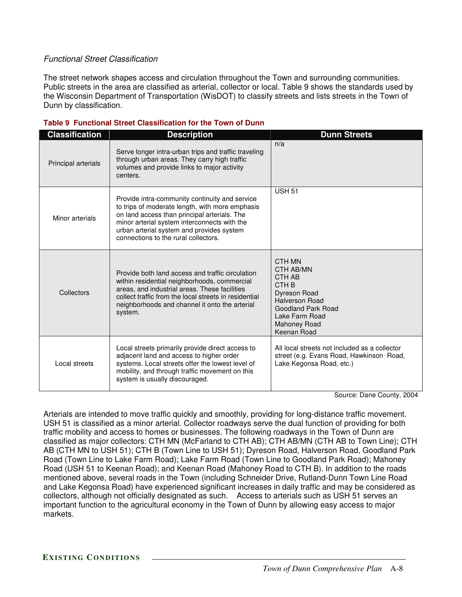### *Functional Street Classification*

The street network shapes access and circulation throughout the Town and surrounding communities. Public streets in the area are classified as arterial, collector or local. Table 9 shows the standards used by the Wisconsin Department of Transportation (WisDOT) to classify streets and lists streets in the Town of Dunn by classification.

| <b>Classification</b> | <b>Description</b>                                                                                                                                                                                                                                                                     | <b>Dunn Streets</b>                                                                                                                                               |
|-----------------------|----------------------------------------------------------------------------------------------------------------------------------------------------------------------------------------------------------------------------------------------------------------------------------------|-------------------------------------------------------------------------------------------------------------------------------------------------------------------|
| Principal arterials   | Serve longer intra-urban trips and traffic traveling<br>through urban areas. They carry high traffic<br>volumes and provide links to major activity<br>centers.                                                                                                                        | n/a                                                                                                                                                               |
| Minor arterials       | Provide intra-community continuity and service<br>to trips of moderate length, with more emphasis<br>on land access than principal arterials. The<br>minor arterial system interconnects with the<br>urban arterial system and provides system<br>connections to the rural collectors. | <b>USH 51</b>                                                                                                                                                     |
| Collectors            | Provide both land access and traffic circulation<br>within residential neighborhoods, commercial<br>areas, and industrial areas. These facilities<br>collect traffic from the local streets in residential<br>neighborhoods and channel it onto the arterial<br>system.                | CTH MN<br>CTH AB/MN<br>CTH AB<br>CTH <sub>B</sub><br>Dyreson Road<br>Halverson Road<br>Goodland Park Road<br>Lake Farm Road<br><b>Mahoney Road</b><br>Keenan Road |
| Local streets         | Local streets primarily provide direct access to<br>adjacent land and access to higher order<br>systems. Local streets offer the lowest level of<br>mobility, and through traffic movement on this<br>system is usually discouraged.                                                   | All local streets not included as a collector<br>street (e.g. Evans Road, Hawkinson Road,<br>Lake Kegonsa Road, etc.)                                             |

#### **Table 9 Functional Street Classification for the Town of Dunn**

Source: Dane County, 2004

Arterials are intended to move traffic quickly and smoothly, providing for long-distance traffic movement. USH 51 is classified as a minor arterial. Collector roadways serve the dual function of providing for both traffic mobility and access to homes or businesses. The following roadways in the Town of Dunn are classified as major collectors: CTH MN (McFarland to CTH AB); CTH AB/MN (CTH AB to Town Line); CTH AB (CTH MN to USH 51); CTH B (Town Line to USH 51); Dyreson Road, Halverson Road, Goodland Park Road (Town Line to Lake Farm Road); Lake Farm Road (Town Line to Goodland Park Road); Mahoney Road (USH 51 to Keenan Road); and Keenan Road (Mahoney Road to CTH B). In addition to the roads mentioned above, several roads in the Town (including Schneider Drive, Rutland-Dunn Town Line Road and Lake Kegonsa Road) have experienced significant increases in daily traffic and may be considered as collectors, although not officially designated as such. Access to arterials such as USH 51 serves an important function to the agricultural economy in the Town of Dunn by allowing easy access to major markets.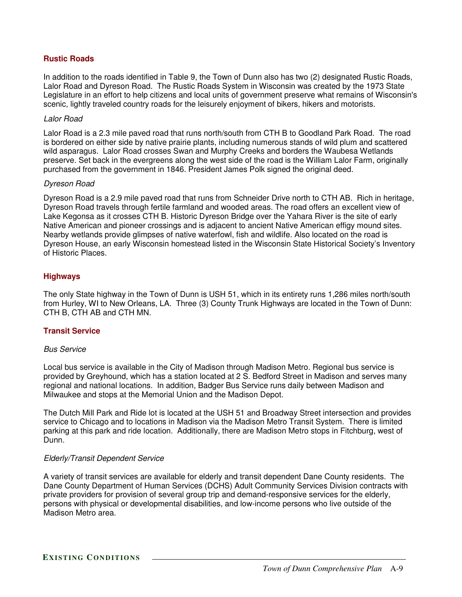### **Rustic Roads**

In addition to the roads identified in Table 9, the Town of Dunn also has two (2) designated Rustic Roads, Lalor Road and Dyreson Road. The Rustic Roads System in Wisconsin was created by the 1973 State Legislature in an effort to help citizens and local units of government preserve what remains of Wisconsin's scenic, lightly traveled country roads for the leisurely enjoyment of bikers, hikers and motorists.

#### *Lalor Road*

Lalor Road is a 2.3 mile paved road that runs north/south from CTH B to Goodland Park Road. The road is bordered on either side by native prairie plants, including numerous stands of wild plum and scattered wild asparagus. Lalor Road crosses Swan and Murphy Creeks and borders the Waubesa Wetlands preserve. Set back in the evergreens along the west side of the road is the William Lalor Farm, originally purchased from the government in 1846. President James Polk signed the original deed.

#### *Dyreson Road*

Dyreson Road is a 2.9 mile paved road that runs from Schneider Drive north to CTH AB. Rich in heritage, Dyreson Road travels through fertile farmland and wooded areas. The road offers an excellent view of Lake Kegonsa as it crosses CTH B. Historic Dyreson Bridge over the Yahara River is the site of early Native American and pioneer crossings and is adjacent to ancient Native American effigy mound sites. Nearby wetlands provide glimpses of native waterfowl, fish and wildlife. Also located on the road is Dyreson House, an early Wisconsin homestead listed in the Wisconsin State Historical Society's Inventory of Historic Places.

### **Highways**

The only State highway in the Town of Dunn is USH 51, which in its entirety runs 1,286 miles north/south from Hurley, WI to New Orleans, LA. Three (3) County Trunk Highways are located in the Town of Dunn: CTH B, CTH AB and CTH MN.

### **Transit Service**

### *Bus Service*

Local bus service is available in the City of Madison through Madison Metro. Regional bus service is provided by Greyhound, which has a station located at 2 S. Bedford Street in Madison and serves many regional and national locations. In addition, Badger Bus Service runs daily between Madison and Milwaukee and stops at the Memorial Union and the Madison Depot.

The Dutch Mill Park and Ride lot is located at the USH 51 and Broadway Street intersection and provides service to Chicago and to locations in Madison via the Madison Metro Transit System. There is limited parking at this park and ride location. Additionally, there are Madison Metro stops in Fitchburg, west of Dunn.

### *Elderly/Transit Dependent Service*

A variety of transit services are available for elderly and transit dependent Dane County residents. The Dane County Department of Human Services (DCHS) Adult Community Services Division contracts with private providers for provision of several group trip and demand-responsive services for the elderly, persons with physical or developmental disabilities, and low-income persons who live outside of the Madison Metro area.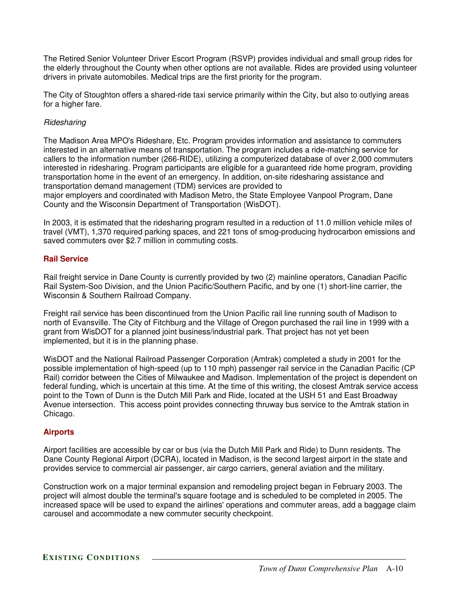The Retired Senior Volunteer Driver Escort Program (RSVP) provides individual and small group rides for the elderly throughout the County when other options are not available. Rides are provided using volunteer drivers in private automobiles. Medical trips are the first priority for the program.

The City of Stoughton offers a shared-ride taxi service primarily within the City, but also to outlying areas for a higher fare.

### *Ridesharing*

The Madison Area MPO's Rideshare, Etc. Program provides information and assistance to commuters interested in an alternative means of transportation. The program includes a ride-matching service for callers to the information number (266-RIDE), utilizing a computerized database of over 2,000 commuters interested in ridesharing. Program participants are eligible for a guaranteed ride home program, providing transportation home in the event of an emergency. In addition, on-site ridesharing assistance and transportation demand management (TDM) services are provided to

major employers and coordinated with Madison Metro, the State Employee Vanpool Program, Dane County and the Wisconsin Department of Transportation (WisDOT).

In 2003, it is estimated that the ridesharing program resulted in a reduction of 11.0 million vehicle miles of travel (VMT), 1,370 required parking spaces, and 221 tons of smog-producing hydrocarbon emissions and saved commuters over \$2.7 million in commuting costs.

### **Rail Service**

Rail freight service in Dane County is currently provided by two (2) mainline operators, Canadian Pacific Rail System-Soo Division, and the Union Pacific/Southern Pacific, and by one (1) short-line carrier, the Wisconsin & Southern Railroad Company.

Freight rail service has been discontinued from the Union Pacific rail line running south of Madison to north of Evansville. The City of Fitchburg and the Village of Oregon purchased the rail line in 1999 with a grant from WisDOT for a planned joint business/industrial park. That project has not yet been implemented, but it is in the planning phase.

WisDOT and the National Railroad Passenger Corporation (Amtrak) completed a study in 2001 for the possible implementation of high-speed (up to 110 mph) passenger rail service in the Canadian Pacific (CP Rail) corridor between the Cities of Milwaukee and Madison. Implementation of the project is dependent on federal funding, which is uncertain at this time. At the time of this writing, the closest Amtrak service access point to the Town of Dunn is the Dutch Mill Park and Ride, located at the USH 51 and East Broadway Avenue intersection. This access point provides connecting thruway bus service to the Amtrak station in Chicago.

# **Airports**

Airport facilities are accessible by car or bus (via the Dutch Mill Park and Ride) to Dunn residents. The Dane County Regional Airport (DCRA), located in Madison, is the second largest airport in the state and provides service to commercial air passenger, air cargo carriers, general aviation and the military.

Construction work on a major terminal expansion and remodeling project began in February 2003. The project will almost double the terminal's square footage and is scheduled to be completed in 2005. The increased space will be used to expand the airlines'operations and commuter areas, add a baggage claim carousel and accommodate a new commuter security checkpoint.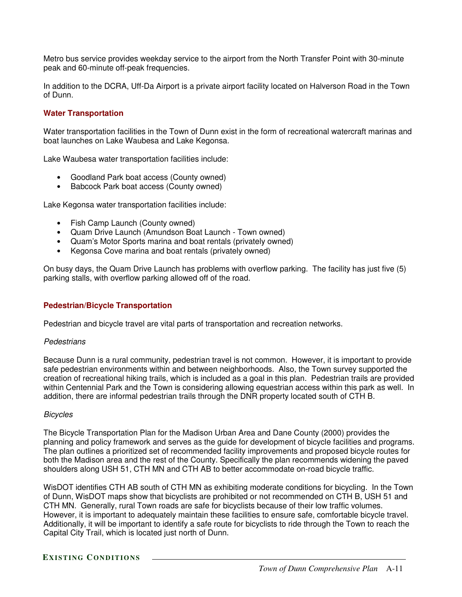Metro bus service provides weekday service to the airport from the North Transfer Point with 30-minute peak and 60-minute off-peak frequencies.

In addition to the DCRA, Uff-Da Airport is a private airport facility located on Halverson Road in the Town of Dunn.

### **Water Transportation**

Water transportation facilities in the Town of Dunn exist in the form of recreational watercraft marinas and boat launches on Lake Waubesa and Lake Kegonsa.

Lake Waubesa water transportation facilities include:

- Goodland Park boat access (County owned)
- Babcock Park boat access (County owned)

Lake Kegonsa water transportation facilities include:

- Fish Camp Launch (County owned)
- Quam Drive Launch (Amundson Boat Launch Town owned)
- Quam's Motor Sports marina and boat rentals (privately owned)
- Kegonsa Cove marina and boat rentals (privately owned)

On busy days, the Quam Drive Launch has problems with overflow parking. The facility has just five (5) parking stalls, with overflow parking allowed off of the road.

### **Pedestrian/Bicycle Transportation**

Pedestrian and bicycle travel are vital parts of transportation and recreation networks.

#### *Pedestrians*

Because Dunn is a rural community, pedestrian travel is not common. However, it is important to provide safe pedestrian environments within and between neighborhoods. Also, the Town survey supported the creation of recreational hiking trails, which is included as a goal in this plan. Pedestrian trails are provided within Centennial Park and the Town is considering allowing equestrian access within this park as well. In addition, there are informal pedestrian trails through the DNR property located south of CTH B.

#### *Bicycles*

The Bicycle Transportation Plan for the Madison Urban Area and Dane County (2000) provides the planning and policy framework and serves as the guide for development of bicycle facilities and programs. The plan outlines a prioritized set of recommended facility improvements and proposed bicycle routes for both the Madison area and the rest of the County. Specifically the plan recommends widening the paved shoulders along USH 51, CTH MN and CTH AB to better accommodate on-road bicycle traffic.

WisDOT identifies CTH AB south of CTH MN as exhibiting moderate conditions for bicycling. In the Town of Dunn, WisDOT maps show that bicyclists are prohibited or not recommended on CTH B, USH 51 and CTH MN. Generally, rural Town roads are safe for bicyclists because of their low traffic volumes. However, it is important to adequately maintain these facilities to ensure safe, comfortable bicycle travel. Additionally, it will be important to identify a safe route for bicyclists to ride through the Town to reach the Capital City Trail, which is located just north of Dunn.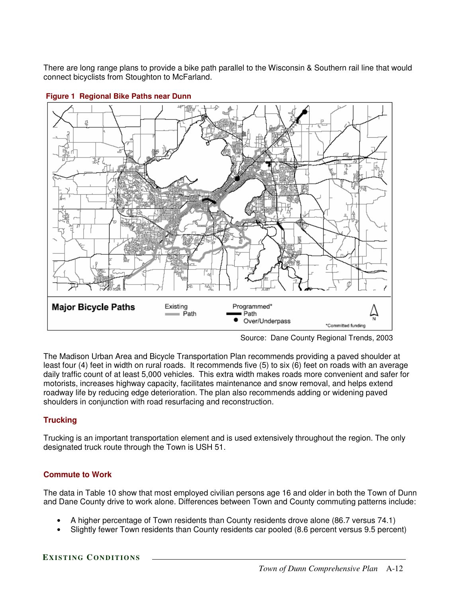There are long range plans to provide a bike path parallel to the Wisconsin & Southern rail line that would connect bicyclists from Stoughton to McFarland.



#### **Figure 1 Regional Bike Paths near Dunn**

The Madison Urban Area and Bicycle Transportation Plan recommends providing a paved shoulder at least four (4) feet in width on rural roads. It recommends five (5) to six (6) feet on roads with an average daily traffic count of at least 5,000 vehicles. This extra width makes roads more convenient and safer for motorists, increases highway capacity, facilitates maintenance and snow removal, and helps extend roadway life by reducing edge deterioration. The plan also recommends adding or widening paved shoulders in conjunction with road resurfacing and reconstruction.

# **Trucking**

Trucking is an important transportation element and is used extensively throughout the region. The only designated truck route through the Town is USH 51.

# **Commute to Work**

The data in Table 10 show that most employed civilian persons age 16 and older in both the Town of Dunn and Dane County drive to work alone. Differences between Town and County commuting patterns include:

- A higher percentage of Town residents than County residents drove alone (86.7 versus 74.1)
- Slightly fewer Town residents than County residents car pooled (8.6 percent versus 9.5 percent)

Source: Dane County Regional Trends, 2003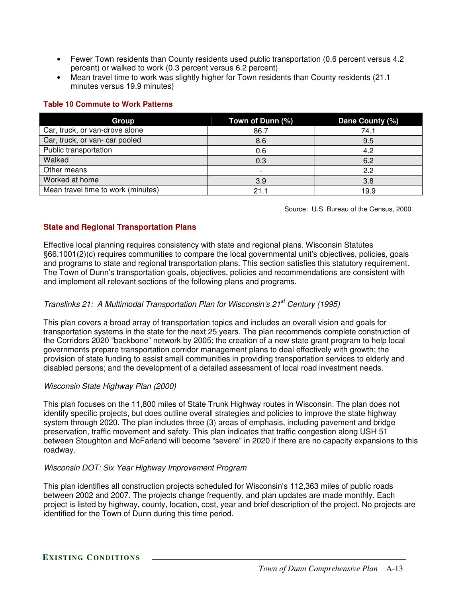- Fewer Town residents than County residents used public transportation (0.6 percent versus 4.2 percent) or walked to work (0.3 percent versus 6.2 percent)
- Mean travel time to work was slightly higher for Town residents than County residents (21.1) minutes versus 19.9 minutes)

### **Table 10 Commute to Work Patterns**

| Group                              | Town of Dunn (%) | Dane County (%) |
|------------------------------------|------------------|-----------------|
| Car, truck, or van-drove alone     | 86.7             | 74.1            |
| Car, truck, or van- car pooled     | 8.6              | 9.5             |
| Public transportation              | 0.6              | 4.2             |
| Walked                             | 0.3              | 6.2             |
| Other means                        |                  | 2.2             |
| Worked at home                     | 3.9              | 3.8             |
| Mean travel time to work (minutes) | 21.1             | 19.9            |

Source: U.S. Bureau of the Census, 2000

# **State and Regional Transportation Plans**

Effective local planning requires consistency with state and regional plans. Wisconsin Statutes §66.1001(2)(c) requires communities to compare the local governmental unit's objectives, policies, goals and programs to state and regional transportation plans. This section satisfies this statutory requirement. The Town of Dunn's transportation goals, objectives, policies and recommendations are consistent with and implement all relevant sections of the following plans and programs.

# *Translinks 21: A Multimodal Transportation Plan for Wisconsin's 21 st Century (1995)*

This plan covers a broad array of transportation topics and includes an overall vision and goals for transportation systems in the state for the next 25 years. The plan recommends complete construction of the Corridors 2020 "backbone" network by 2005; the creation of a new state grant program to help local governments prepare transportation corridor management plans to deal effectively with growth; the provision of state funding to assist small communities in providing transportation services to elderly and disabled persons; and the development of a detailed assessment of local road investment needs.

# *Wisconsin State Highway Plan (2000)*

This plan focuses on the 11,800 miles of State Trunk Highway routes in Wisconsin. The plan does not identify specific projects, but does outline overall strategies and policies to improve the state highway system through 2020. The plan includes three (3) areas of emphasis, including pavement and bridge preservation, traffic movement and safety. This plan indicates that traffic congestion along USH 51 between Stoughton and McFarland will become "severe" in 2020 if there are no capacity expansions to this roadway.

# *Wisconsin DOT: Six Year Highway Improvement Program*

This plan identifies all construction projects scheduled for Wisconsin's 112,363 miles of public roads between 2002 and 2007. The projects change frequently, and plan updates are made monthly. Each project is listed by highway, county, location, cost, year and brief description of the project. No projects are identified for the Town of Dunn during this time period.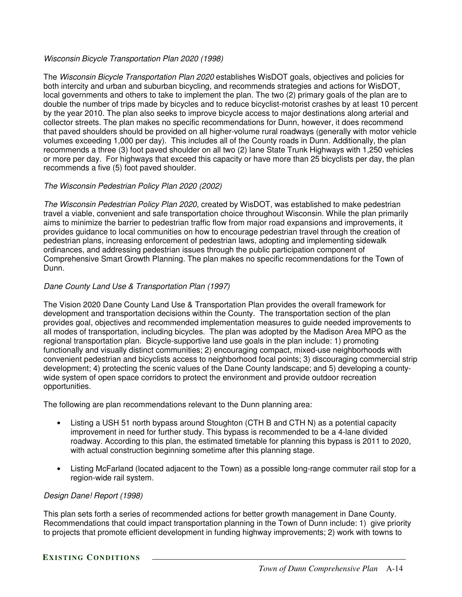### *Wisconsin Bicycle Transportation Plan 2020 (1998)*

The *Wisconsin Bicycle Transportation Plan 2020* establishes WisDOT goals, objectives and policies for both intercity and urban and suburban bicycling, and recommends strategies and actions for WisDOT, local governments and others to take to implement the plan. The two (2) primary goals of the plan are to double the number of trips made by bicycles and to reduce bicyclist-motorist crashes by at least 10 percent by the year 2010. The plan also seeks to improve bicycle access to major destinations along arterial and collector streets. The plan makes no specific recommendations for Dunn, however, it does recommend that paved shoulders should be provided on all higher-volume rural roadways (generally with motor vehicle volumes exceeding 1,000 per day). This includes all of the County roads in Dunn. Additionally, the plan recommends a three (3) foot paved shoulder on all two (2) lane State Trunk Highways with 1,250 vehicles or more per day. For highways that exceed this capacity or have more than 25 bicyclists per day, the plan recommends a five (5) foot paved shoulder.

### *The Wisconsin Pedestrian Policy Plan 2020 (2002)*

*The Wisconsin Pedestrian Policy Plan 2020*, created by WisDOT, was established to make pedestrian travel a viable, convenient and safe transportation choice throughout Wisconsin. While the plan primarily aims to minimize the barrier to pedestrian traffic flow from major road expansions and improvements, it provides guidance to local communities on how to encourage pedestrian travel through the creation of pedestrian plans, increasing enforcement of pedestrian laws, adopting and implementing sidewalk ordinances, and addressing pedestrian issues through the public participation component of Comprehensive Smart Growth Planning. The plan makes no specific recommendations for the Town of Dunn.

# *Dane County Land Use & Transportation Plan (1997)*

The Vision 2020 Dane County Land Use & Transportation Plan provides the overall framework for development and transportation decisions within the County. The transportation section of the plan provides goal, objectives and recommended implementation measures to guide needed improvements to all modes of transportation, including bicycles. The plan was adopted by the Madison Area MPO as the regional transportation plan. Bicycle-supportive land use goals in the plan include: 1) promoting functionally and visually distinct communities; 2) encouraging compact, mixed-use neighborhoods with convenient pedestrian and bicyclists access to neighborhood focal points; 3) discouraging commercial strip development; 4) protecting the scenic values of the Dane County landscape; and 5) developing a countywide system of open space corridors to protect the environment and provide outdoor recreation opportunities.

The following are plan recommendations relevant to the Dunn planning area:

- Listing a USH 51 north bypass around Stoughton (CTH B and CTH N) as a potential capacity improvement in need for further study. This bypass is recommended to be a 4-lane divided roadway. According to this plan, the estimated timetable for planning this bypass is 2011 to 2020, with actual construction beginning sometime after this planning stage.
- Listing McFarland (located adjacent to the Town) as a possible long-range commuter rail stop for a region-wide rail system.

### *Design Dane! Report (1998)*

This plan sets forth a series of recommended actions for better growth management in Dane County. Recommendations that could impact transportation planning in the Town of Dunn include: 1) give priority to projects that promote efficient development in funding highway improvements; 2) work with towns to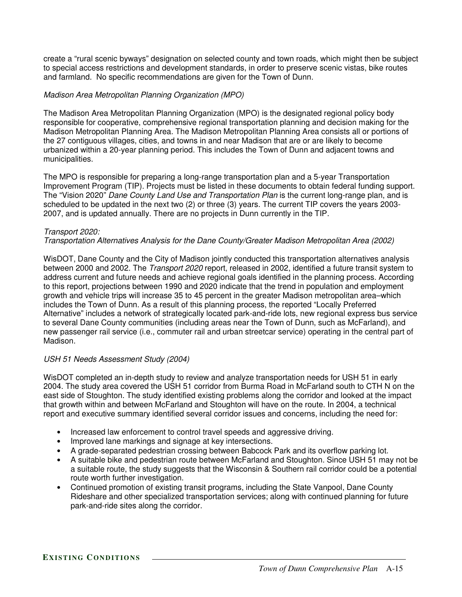create a "rural scenic byways" designation on selected county and town roads, which might then be subject to special access restrictions and development standards, in order to preserve scenic vistas, bike routes and farmland. No specific recommendations are given for the Town of Dunn.

### *Madison Area Metropolitan Planning Organization (MPO)*

The Madison Area Metropolitan Planning Organization (MPO) is the designated regional policy body responsible for cooperative, comprehensive regional transportation planning and decision making for the Madison Metropolitan Planning Area. The Madison Metropolitan Planning Area consists all or portions of the 27 contiguous villages, cities, and towns in and near Madison that are or are likely to become urbanized within a 20-year planning period. This includes the Town of Dunn and adjacent towns and municipalities.

The MPO is responsible for preparing a long-range transportation plan and a 5-year Transportation Improvement Program (TIP). Projects must be listed in these documents to obtain federal funding support. The "Vision 2020" *Dane County Land Use and Transportation Plan* is the current long-range plan, and is scheduled to be updated in the next two (2) or three (3) years. The current TIP covers the years 2003- 2007, and is updated annually. There are no projects in Dunn currently in the TIP.

### *Transport 2020:*

### *Transportation Alternatives Analysis for the Dane County/Greater Madison Metropolitan Area (2002)*

WisDOT, Dane County and the City of Madison jointly conducted this transportation alternatives analysis between 2000 and 2002. The *Transport 2020* report, released in 2002, identified a future transit system to address current and future needs and achieve regional goals identified in the planning process. According to this report, projections between 1990 and 2020 indicate that the trend in population and employment growth and vehicle trips will increase 35 to 45 percent in the greater Madison metropolitan area–which includes the Town of Dunn. As a result of this planning process, the reported "Locally Preferred Alternative" includes a network of strategically located park-and-ride lots, new regional express bus service to several Dane County communities (including areas near the Town of Dunn, such as McFarland), and new passenger rail service (i.e., commuter rail and urban streetcar service) operating in the central part of Madison.

### *USH 51 Needs Assessment Study (2004)*

WisDOT completed an in-depth study to review and analyze transportation needs for USH 51 in early 2004. The study area covered the USH 51 corridor from Burma Road in McFarland south to CTH N on the east side of Stoughton. The study identified existing problems along the corridor and looked at the impact that growth within and between McFarland and Stoughton will have on the route. In 2004, a technical report and executive summary identified several corridor issues and concerns, including the need for:

- Increased law enforcement to control travel speeds and aggressive driving.
- Improved lane markings and signage at key intersections.
- A grade-separated pedestrian crossing between Babcock Park and its overflow parking lot.
- A suitable bike and pedestrian route between McFarland and Stoughton. Since USH 51 may not be a suitable route, the study suggests that the Wisconsin & Southern rail corridor could be a potential route worth further investigation.
- Continued promotion of existing transit programs, including the State Vanpool, Dane County Rideshare and other specialized transportation services; along with continued planning for future park-and-ride sites along the corridor.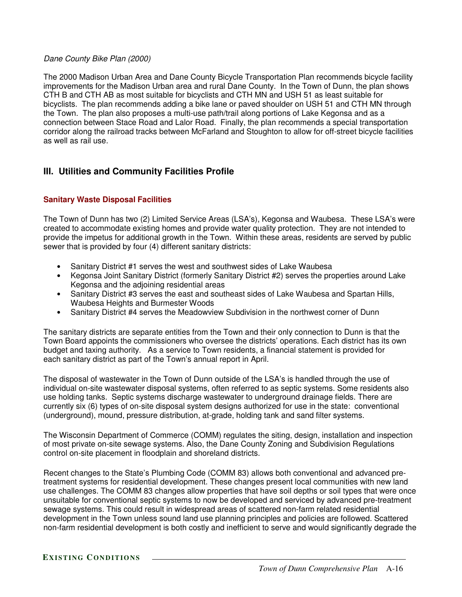### *Dane County Bike Plan (2000)*

The 2000 Madison Urban Area and Dane County Bicycle Transportation Plan recommends bicycle facility improvements for the Madison Urban area and rural Dane County. In the Town of Dunn, the plan shows CTH B and CTH AB as most suitable for bicyclists and CTH MN and USH 51 as least suitable for bicyclists. The plan recommends adding a bike lane or paved shoulder on USH 51 and CTH MN through the Town. The plan also proposes a multi-use path/trail along portions of Lake Kegonsa and as a connection between Stace Road and Lalor Road. Finally, the plan recommends a special transportation corridor along the railroad tracks between McFarland and Stoughton to allow for off-street bicycle facilities as well as rail use.

# **III. Utilities and Community Facilities Profile**

# **Sanitary Waste Disposal Facilities**

The Town of Dunn has two (2) Limited Service Areas (LSA's), Kegonsa and Waubesa. These LSA's were created to accommodate existing homes and provide water quality protection. They are not intended to provide the impetus for additional growth in the Town. Within these areas, residents are served by public sewer that is provided by four (4) different sanitary districts:

- Sanitary District #1 serves the west and southwest sides of Lake Waubesa
- Kegonsa Joint Sanitary District (formerly Sanitary District #2) serves the properties around Lake Kegonsa and the adjoining residential areas
- Sanitary District #3 serves the east and southeast sides of Lake Waubesa and Spartan Hills, Waubesa Heights and Burmester Woods
- Sanitary District #4 serves the Meadowview Subdivision in the northwest corner of Dunn

The sanitary districts are separate entities from the Town and their only connection to Dunn is that the Town Board appoints the commissioners who oversee the districts' operations. Each district has its own budget and taxing authority. As a service to Town residents, a financial statement is provided for each sanitary district as part of the Town's annual report in April.

The disposal of wastewater in the Town of Dunn outside of the LSA's is handled through the use of individual on-site wastewater disposal systems, often referred to as septic systems. Some residents also use holding tanks. Septic systems discharge wastewater to underground drainage fields. There are currently six (6) types of on-site disposal system designs authorized for use in the state: conventional (underground), mound, pressure distribution, at-grade, holding tank and sand filter systems.

The Wisconsin Department of Commerce (COMM) regulates the siting, design, installation and inspection of most private on-site sewage systems. Also, the Dane County Zoning and Subdivision Regulations control on-site placement in floodplain and shoreland districts.

Recent changes to the State's Plumbing Code (COMM 83) allows both conventional and advanced pretreatment systems for residential development. These changes present local communities with new land use challenges. The COMM 83 changes allow properties that have soil depths or soil types that were once unsuitable for conventional septic systems to now be developed and serviced by advanced pre-treatment sewage systems. This could result in widespread areas of scattered non-farm related residential development in the Town unless sound land use planning principles and policies are followed. Scattered non-farm residential development is both costly and inefficient to serve and would significantly degrade the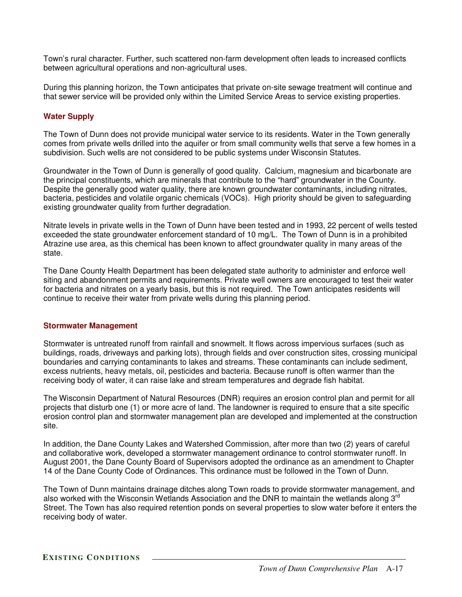Town's rural character. Further, such scattered non-farm development often leads to increased conflicts between agricultural operations and non-agricultural uses.

During this planning horizon, the Town anticipates that private on-site sewage treatment will continue and that sewer service will be provided only within the Limited Service Areas to service existing properties.

# **Water Supply**

The Town of Dunn does not provide municipal water service to its residents. Water in the Town generally comes from private wells drilled into the aquifer or from small community wells that serve a few homes in a subdivision. Such wells are not considered to be public systems under Wisconsin Statutes.

Groundwater in the Town of Dunn is generally of good quality. Calcium, magnesium and bicarbonate are the principal constituents, which are minerals that contribute to the "hard" groundwater in the County. Despite the generally good water quality, there are known groundwater contaminants, including nitrates, bacteria, pesticides and volatile organic chemicals (VOCs). High priority should be given to safeguarding existing groundwater quality from further degradation.

Nitrate levels in private wells in the Town of Dunn have been tested and in 1993, 22 percent of wells tested exceeded the state groundwater enforcement standard of 10 mg/L. The Town of Dunn is in a prohibited Atrazine use area, as this chemical has been known to affect groundwater quality in many areas of the state.

The Dane County Health Department has been delegated state authority to administer and enforce well siting and abandonment permits and requirements. Private well owners are encouraged to test their water for bacteria and nitrates on a yearly basis, but this is not required. The Town anticipates residents will continue to receive their water from private wells during this planning period.

### **Stormwater Management**

Stormwater is untreated runoff from rainfall and snowmelt. It flows across impervious surfaces (such as buildings, roads, driveways and parking lots), through fields and over construction sites, crossing municipal boundaries and carrying contaminants to lakes and streams. These contaminants can include sediment, excess nutrients, heavy metals, oil, pesticides and bacteria. Because runoff is often warmer than the receiving body of water, it can raise lake and stream temperatures and degrade fish habitat.

The Wisconsin Department of Natural Resources (DNR) requires an erosion control plan and permit for all projects that disturb one (1) or more acre of land. The landowner is required to ensure that a site specific erosion control plan and stormwater management plan are developed and implemented at the construction site.

In addition, the Dane County Lakes and Watershed Commission, after more than two (2) years of careful and collaborative work, developed a stormwater management ordinance to control stormwater runoff. In August 2001, the Dane County Board of Supervisors adopted the ordinance as an amendment to Chapter 14 of the Dane County Code of Ordinances. This ordinance must be followed in the Town of Dunn.

The Town of Dunn maintains drainage ditches along Town roads to provide stormwater management, and also worked with the Wisconsin Wetlands Association and the DNR to maintain the wetlands along 3<sup>rd</sup> Street. The Town has also required retention ponds on several properties to slow water before it enters the receiving body of water.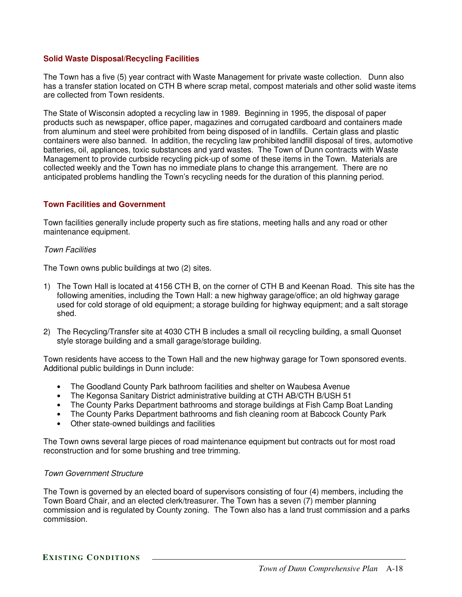### **Solid Waste Disposal/Recycling Facilities**

The Town has a five (5) year contract with Waste Management for private waste collection. Dunn also has a transfer station located on CTH B where scrap metal, compost materials and other solid waste items are collected from Town residents.

The State of Wisconsin adopted a recycling law in 1989. Beginning in 1995, the disposal of paper products such as newspaper, office paper, magazines and corrugated cardboard and containers made from aluminum and steel were prohibited from being disposed of in landfills. Certain glass and plastic containers were also banned. In addition, the recycling law prohibited landfill disposal of tires, automotive batteries, oil, appliances, toxic substances and yard wastes. The Town of Dunn contracts with Waste Management to provide curbside recycling pick-up of some of these items in the Town. Materials are collected weekly and the Town has no immediate plans to change this arrangement. There are no anticipated problems handling the Town's recycling needs for the duration of this planning period.

### **Town Facilities and Government**

Town facilities generally include property such as fire stations, meeting halls and any road or other maintenance equipment.

#### *Town Facilities*

The Town owns public buildings at two (2) sites.

- 1) The Town Hall is located at 4156 CTH B, on the corner of CTH B and Keenan Road. This site has the following amenities, including the Town Hall: a new highway garage/office; an old highway garage used for cold storage of old equipment; a storage building for highway equipment; and a salt storage shed.
- 2) The Recycling/Transfer site at 4030 CTH B includes a small oil recycling building, a small Quonset style storage building and a small garage/storage building.

Town residents have access to the Town Hall and the new highway garage for Town sponsored events. Additional public buildings in Dunn include:

- The Goodland County Park bathroom facilities and shelter on Waubesa Avenue
- The Kegonsa Sanitary District administrative building at CTH AB/CTH B/USH 51
- The County Parks Department bathrooms and storage buildings at Fish Camp Boat Landing
- The County Parks Department bathrooms and fish cleaning room at Babcock County Park
- Other state-owned buildings and facilities

The Town owns several large pieces of road maintenance equipment but contracts out for most road reconstruction and for some brushing and tree trimming.

### *Town Government Structure*

The Town is governed by an elected board of supervisors consisting of four (4) members, including the Town Board Chair, and an elected clerk/treasurer. The Town has a seven (7) member planning commission and is regulated by County zoning. The Town also has a land trust commission and a parks commission.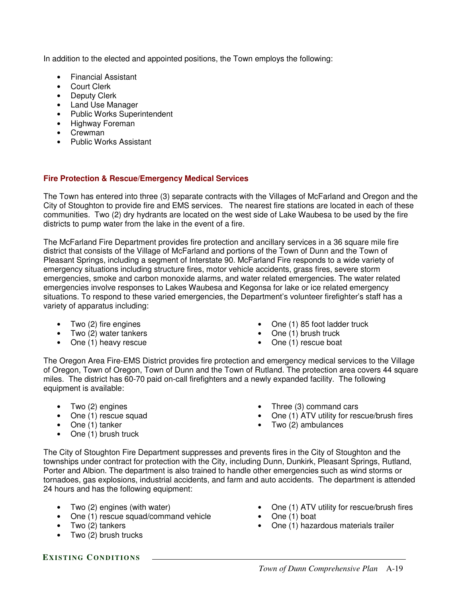In addition to the elected and appointed positions, the Town employs the following:

- Financial Assistant
- Court Clerk
- Deputy Clerk
- Land Use Manager
- Public Works Superintendent
- Highway Foreman
- Crewman
- Public Works Assistant

# **Fire Protection & Rescue/Emergency Medical Services**

The Town has entered into three (3) separate contracts with the Villages of McFarland and Oregon and the City of Stoughton to provide fire and EMS services. The nearest fire stations are located in each of these communities. Two (2) dry hydrants are located on the west side of Lake Waubesa to be used by the fire districts to pump water from the lake in the event of a fire.

The McFarland Fire Department provides fire protection and ancillary services in a 36 square mile fire district that consists of the Village of McFarland and portions of the Town of Dunn and the Town of Pleasant Springs, including a segment of Interstate 90. McFarland Fire responds to a wide variety of emergency situations including structure fires, motor vehicle accidents, grass fires, severe storm emergencies, smoke and carbon monoxide alarms, and water related emergencies. The water related emergencies involve responses to Lakes Waubesa and Kegonsa for lake or ice related emergency situations. To respond to these varied emergencies, the Department's volunteer firefighter's staff has a variety of apparatus including:

- Two (2) fire engines
- Two (2) water tankers
- One (1) heavy rescue
- One (1) 85 foot ladder truck
- One (1) brush truck
- One (1) rescue boat

The Oregon Area Fire-EMS District provides fire protection and emergency medical services to the Village of Oregon, Town of Oregon, Town of Dunn and the Town of Rutland. The protection area covers 44 square miles. The district has 60-70 paid on-call firefighters and a newly expanded facility. The following equipment is available:

- Two (2) engines
- One (1) rescue squad
- One (1) tanker
- One (1) brush truck
- Three (3) command cars
- One (1) ATV utility for rescue/brush fires
- Two (2) ambulances

The City of Stoughton Fire Department suppresses and prevents fires in the City of Stoughton and the townships under contract for protection with the City, including Dunn, Dunkirk, Pleasant Springs, Rutland, Porter and Albion. The department is also trained to handle other emergencies such as wind storms or tornadoes, gas explosions, industrial accidents, and farm and auto accidents. The department is attended 24 hours and has the following equipment:

- Two (2) engines (with water)
- One (1) rescue squad/command vehicle
- Two (2) tankers
- Two (2) brush trucks
- One (1) ATV utility for rescue/brush fires
- One (1) boat
- One (1) hazardous materials trailer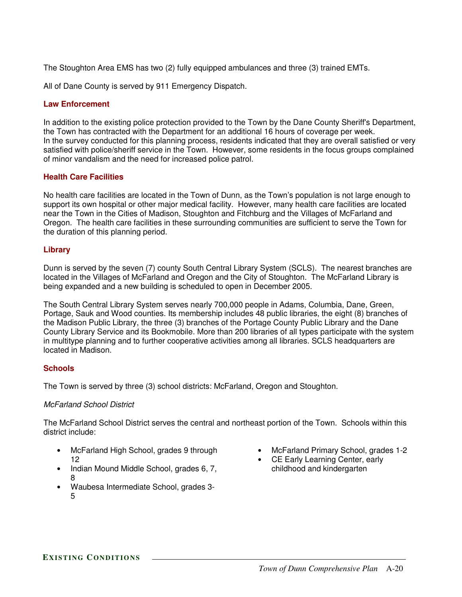The Stoughton Area EMS has two (2) fully equipped ambulances and three (3) trained EMTs.

All of Dane County is served by 911 Emergency Dispatch.

### **Law Enforcement**

In addition to the existing police protection provided to the Town by the Dane County Sheriff's Department, the Town has contracted with the Department for an additional 16 hours of coverage per week. In the survey conducted for this planning process, residents indicated that they are overall satisfied or very satisfied with police/sheriff service in the Town. However, some residents in the focus groups complained of minor vandalism and the need for increased police patrol.

### **Health Care Facilities**

No health care facilities are located in the Town of Dunn, as the Town's population is not large enough to support its own hospital or other major medical facility. However, many health care facilities are located near the Town in the Cities of Madison, Stoughton and Fitchburg and the Villages of McFarland and Oregon. The health care facilities in these surrounding communities are sufficient to serve the Town for the duration of this planning period.

### **Library**

Dunn is served by the seven (7) county South Central Library System (SCLS). The nearest branches are located in the Villages of McFarland and Oregon and the City of Stoughton. The McFarland Library is being expanded and a new building is scheduled to open in December 2005.

The South Central Library System serves nearly 700,000 people in Adams, Columbia, Dane, Green, Portage, Sauk and Wood counties. Its membership includes 48 public libraries, the eight (8) branches of the Madison Public Library, the three (3) branches of the Portage County Public Library and the Dane County Library Service and its Bookmobile. More than 200 libraries of all types participate with the system in multitype planning and to further cooperative activities among all libraries. SCLS headquarters are located in Madison.

### **Schools**

The Town is served by three (3) school districts: McFarland, Oregon and Stoughton.

# *McFarland School District*

The McFarland School District serves the central and northeast portion of the Town. Schools within this district include:

- McFarland High School, grades 9 through 12
- Indian Mound Middle School, grades 6, 7, 8
- Waubesa Intermediate School, grades 3- 5
- McFarland Primary School, grades 1-2
- CE Early Learning Center, early childhood and kindergarten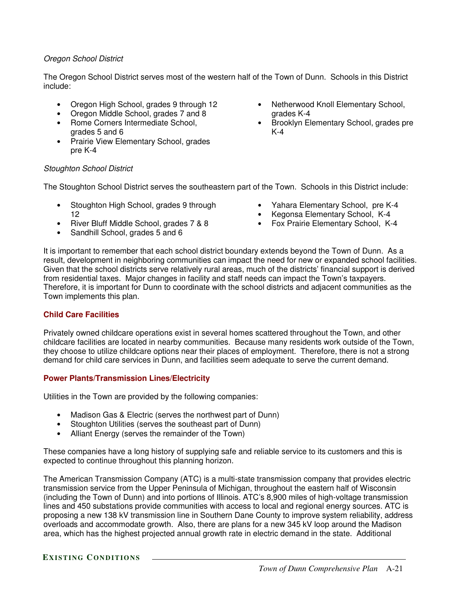### *Oregon School District*

The Oregon School District serves most of the western half of the Town of Dunn. Schools in this District include:

- Oregon High School, grades 9 through 12
- Oregon Middle School, grades 7 and 8
- Rome Corners Intermediate School, grades 5 and 6
- Prairie View Elementary School, grades pre K-4
- Netherwood Knoll Elementary School, grades K-4
- Brooklyn Elementary School, grades pre K-4

### *Stoughton School District*

The Stoughton School District serves the southeastern part of the Town. Schools in this District include:

- Stoughton High School, grades 9 through 12
- River Bluff Middle School, grades 7 & 8
- Sandhill School, grades 5 and 6
- Yahara Elementary School, pre K-4
- Kegonsa Elementary School, K-4
- Fox Prairie Elementary School, K-4

It is important to remember that each school district boundary extends beyond the Town of Dunn. As a result, development in neighboring communities can impact the need for new or expanded school facilities. Given that the school districts serve relatively rural areas, much of the districts' financial support is derived from residential taxes. Major changes in facility and staff needs can impact the Town's taxpayers. Therefore, it is important for Dunn to coordinate with the school districts and adjacent communities as the Town implements this plan.

### **Child Care Facilities**

Privately owned childcare operations exist in several homes scattered throughout the Town, and other childcare facilities are located in nearby communities. Because many residents work outside of the Town, they choose to utilize childcare options near their places of employment. Therefore, there is not a strong demand for child care services in Dunn, and facilities seem adequate to serve the current demand.

### **Power Plants/Transmission Lines/Electricity**

Utilities in the Town are provided by the following companies:

- Madison Gas & Electric (serves the northwest part of Dunn)
- Stoughton Utilities (serves the southeast part of Dunn)
- Alliant Energy (serves the remainder of the Town)

These companies have a long history of supplying safe and reliable service to its customers and this is expected to continue throughout this planning horizon.

The American Transmission Company (ATC) is a multi-state transmission company that provides electric transmission service from the Upper Peninsula of Michigan, throughout the eastern half of Wisconsin (including the Town of Dunn) and into portions of Illinois. ATC's 8,900 miles of high-voltage transmission lines and 450 substations provide communities with access to local and regional energy sources. ATC is proposing a new 138 kV transmission line in Southern Dane County to improve system reliability, address overloads and accommodate growth. Also, there are plans for a new 345 kV loop around the Madison area, which has the highest projected annual growth rate in electric demand in the state. Additional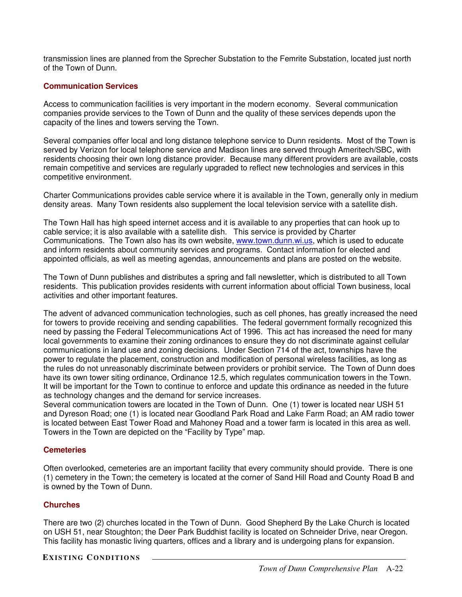transmission lines are planned from the Sprecher Substation to the Femrite Substation, located just north of the Town of Dunn.

### **Communication Services**

Access to communication facilities is very important in the modern economy. Several communication companies provide services to the Town of Dunn and the quality of these services depends upon the capacity of the lines and towers serving the Town.

Several companies offer local and long distance telephone service to Dunn residents. Most of the Town is served by Verizon for local telephone service and Madison lines are served through Ameritech/SBC, with residents choosing their own long distance provider. Because many different providers are available, costs remain competitive and services are regularly upgraded to reflect new technologies and services in this competitive environment.

Charter Communications provides cable service where it is available in the Town, generally only in medium density areas. Many Town residents also supplement the local television service with a satellite dish.

The Town Hall has high speed internet access and it is available to any properties that can hook up to cable service; it is also available with a satellite dish. This service is provided by Charter Communications. The Town also has its own website, www.town.dunn.wi.us, which is used to educate and inform residents about community services and programs. Contact information for elected and appointed officials, as well as meeting agendas, announcements and plans are posted on the website.

The Town of Dunn publishes and distributes a spring and fall newsletter, which is distributed to all Town residents. This publication provides residents with current information about official Town business, local activities and other important features.

The advent of advanced communication technologies, such as cell phones, has greatly increased the need for towers to provide receiving and sending capabilities. The federal government formally recognized this need by passing the Federal Telecommunications Act of 1996. This act has increased the need for many local governments to examine their zoning ordinances to ensure they do not discriminate against cellular communications in land use and zoning decisions. Under Section 714 of the act, townships have the power to regulate the placement, construction and modification of personal wireless facilities, as long as the rules do not unreasonably discriminate between providers or prohibit service. The Town of Dunn does have its own tower siting ordinance, Ordinance 12.5, which regulates communication towers in the Town. It will be important for the Town to continue to enforce and update this ordinance as needed in the future as technology changes and the demand for service increases.

Several communication towers are located in the Town of Dunn. One (1) tower is located near USH 51 and Dyreson Road; one (1) is located near Goodland Park Road and Lake Farm Road; an AM radio tower is located between East Tower Road and Mahoney Road and a tower farm is located in this area as well. Towers in the Town are depicted on the "Facility by Type" map.

### **Cemeteries**

Often overlooked, cemeteries are an important facility that every community should provide. There is one (1) cemetery in the Town; the cemetery is located at the corner of Sand Hill Road and County Road B and is owned by the Town of Dunn.

### **Churches**

There are two (2) churches located in the Town of Dunn. Good Shepherd By the Lake Church is located on USH 51, near Stoughton; the Deer Park Buddhist facility is located on Schneider Drive, near Oregon. This facility has monastic living quarters, offices and a library and is undergoing plans for expansion.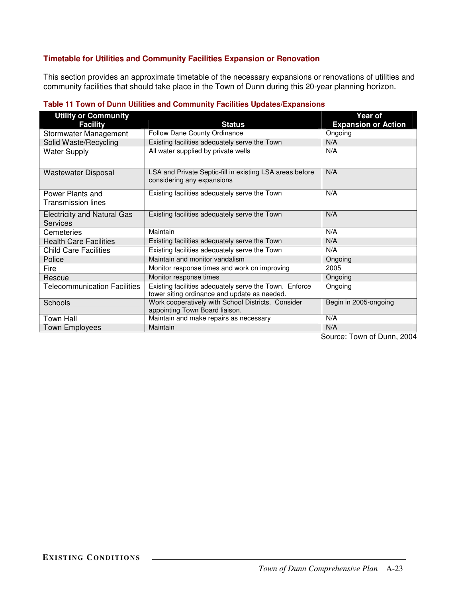# **Timetable for Utilities and Community Facilities Expansion or Renovation**

This section provides an approximate timetable of the necessary expansions or renovations of utilities and community facilities that should take place in the Town of Dunn during this 20-year planning horizon.

| <b>Utility or Community</b>                           |                                                                                                        | Year of                    |
|-------------------------------------------------------|--------------------------------------------------------------------------------------------------------|----------------------------|
| <b>Facility</b>                                       | <b>Status</b>                                                                                          | <b>Expansion or Action</b> |
| Stormwater Management                                 | Follow Dane County Ordinance                                                                           | Ongoing                    |
| Solid Waste/Recycling                                 | Existing facilities adequately serve the Town                                                          | N/A                        |
| <b>Water Supply</b>                                   | All water supplied by private wells                                                                    | N/A                        |
| Wastewater Disposal                                   | LSA and Private Septic-fill in existing LSA areas before<br>considering any expansions                 | N/A                        |
| Power Plants and<br>Transmission lines                | Existing facilities adequately serve the Town                                                          | N/A                        |
| <b>Electricity and Natural Gas</b><br><b>Services</b> | Existing facilities adequately serve the Town                                                          | N/A                        |
| Cemeteries                                            | Maintain                                                                                               | N/A                        |
| <b>Health Care Facilities</b>                         | Existing facilities adequately serve the Town                                                          | N/A                        |
| <b>Child Care Facilities</b>                          | Existing facilities adequately serve the Town                                                          | N/A                        |
| Police                                                | Maintain and monitor vandalism                                                                         | Ongoing                    |
| Fire                                                  | Monitor response times and work on improving                                                           | 2005                       |
| Rescue                                                | Monitor response times                                                                                 | Ongoing                    |
| <b>Telecommunication Facilities</b>                   | Existing facilities adequately serve the Town. Enforce<br>tower siting ordinance and update as needed. | Ongoing                    |
| <b>Schools</b>                                        | Work cooperatively with School Districts. Consider<br>appointing Town Board liaison.                   | Begin in 2005-ongoing      |
| <b>Town Hall</b>                                      | Maintain and make repairs as necessary                                                                 | N/A                        |
| <b>Town Employees</b>                                 | Maintain                                                                                               | N/A                        |

### **Table 11 Town of Dunn Utilities and Community Facilities Updates/Expansions**

Source: Town of Dunn, 2004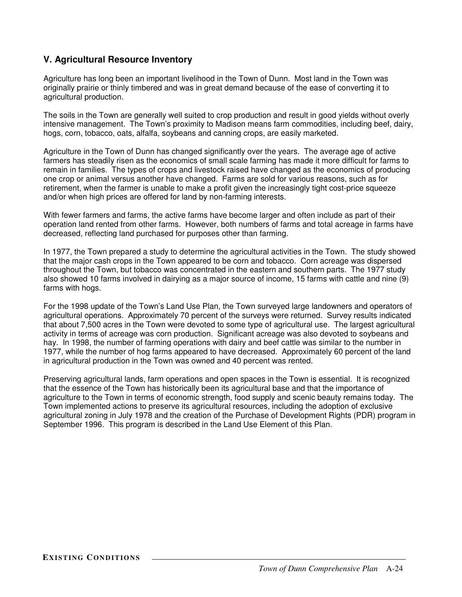# **V. Agricultural Resource Inventory**

Agriculture has long been an important livelihood in the Town of Dunn. Most land in the Town was originally prairie or thinly timbered and was in great demand because of the ease of converting it to agricultural production.

The soils in the Town are generally well suited to crop production and result in good yields without overly intensive management. The Town's proximity to Madison means farm commodities, including beef, dairy, hogs, corn, tobacco, oats, alfalfa, soybeans and canning crops, are easily marketed.

Agriculture in the Town of Dunn has changed significantly over the years. The average age of active farmers has steadily risen as the economics of small scale farming has made it more difficult for farms to remain in families. The types of crops and livestock raised have changed as the economics of producing one crop or animal versus another have changed. Farms are sold for various reasons, such as for retirement, when the farmer is unable to make a profit given the increasingly tight cost-price squeeze and/or when high prices are offered for land by non-farming interests.

With fewer farmers and farms, the active farms have become larger and often include as part of their operation land rented from other farms. However, both numbers of farms and total acreage in farms have decreased, reflecting land purchased for purposes other than farming.

In 1977, the Town prepared a study to determine the agricultural activities in the Town. The study showed that the major cash crops in the Town appeared to be corn and tobacco. Corn acreage was dispersed throughout the Town, but tobacco was concentrated in the eastern and southern parts. The 1977 study also showed 10 farms involved in dairying as a major source of income, 15 farms with cattle and nine (9) farms with hogs.

For the 1998 update of the Town's Land Use Plan, the Town surveyed large landowners and operators of agricultural operations. Approximately 70 percent of the surveys were returned. Survey results indicated that about 7,500 acres in the Town were devoted to some type of agricultural use. The largest agricultural activity in terms of acreage was corn production. Significant acreage was also devoted to soybeans and hay. In 1998, the number of farming operations with dairy and beef cattle was similar to the number in 1977, while the number of hog farms appeared to have decreased. Approximately 60 percent of the land in agricultural production in the Town was owned and 40 percent was rented.

Preserving agricultural lands, farm operations and open spaces in the Town is essential. It is recognized that the essence of the Town has historically been its agricultural base and that the importance of agriculture to the Town in terms of economic strength, food supply and scenic beauty remains today. The Town implemented actions to preserve its agricultural resources, including the adoption of exclusive agricultural zoning in July 1978 and the creation of the Purchase of Development Rights (PDR) program in September 1996. This program is described in the Land Use Element of this Plan.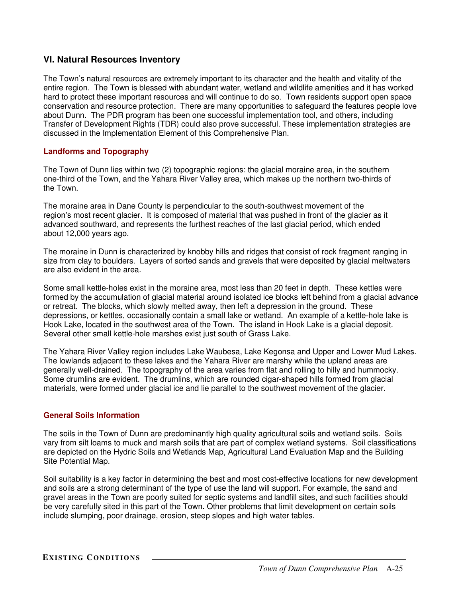# **VI. Natural Resources Inventory**

The Town's natural resources are extremely important to its character and the health and vitality of the entire region. The Town is blessed with abundant water, wetland and wildlife amenities and it has worked hard to protect these important resources and will continue to do so. Town residents support open space conservation and resource protection. There are many opportunities to safeguard the features people love about Dunn. The PDR program has been one successful implementation tool, and others, including Transfer of Development Rights (TDR) could also prove successful. These implementation strategies are discussed in the Implementation Element of this Comprehensive Plan.

### **Landforms and Topography**

The Town of Dunn lies within two (2) topographic regions: the glacial moraine area, in the southern one-third of the Town, and the Yahara River Valley area, which makes up the northern two-thirds of the Town.

The moraine area in Dane County is perpendicular to the south-southwest movement of the region's most recent glacier. It is composed of material that was pushed in front of the glacier as it advanced southward, and represents the furthest reaches of the last glacial period, which ended about 12,000 years ago.

The moraine in Dunn is characterized by knobby hills and ridges that consist of rock fragment ranging in size from clay to boulders. Layers of sorted sands and gravels that were deposited by glacial meltwaters are also evident in the area.

Some small kettle-holes exist in the moraine area, most less than 20 feet in depth. These kettles were formed by the accumulation of glacial material around isolated ice blocks left behind from a glacial advance or retreat. The blocks, which slowly melted away, then left a depression in the ground. These depressions, or kettles, occasionally contain a small lake or wetland. An example of a kettle-hole lake is Hook Lake, located in the southwest area of the Town. The island in Hook Lake is a glacial deposit. Several other small kettle-hole marshes exist just south of Grass Lake.

The Yahara River Valley region includes Lake Waubesa, Lake Kegonsa and Upper and Lower Mud Lakes. The lowlands adjacent to these lakes and the Yahara River are marshy while the upland areas are generally well-drained. The topography of the area varies from flat and rolling to hilly and hummocky. Some drumlins are evident. The drumlins, which are rounded cigar-shaped hills formed from glacial materials, were formed under glacial ice and lie parallel to the southwest movement of the glacier.

### **General Soils Information**

The soils in the Town of Dunn are predominantly high quality agricultural soils and wetland soils. Soils vary from silt loams to muck and marsh soils that are part of complex wetland systems. Soil classifications are depicted on the Hydric Soils and Wetlands Map, Agricultural Land Evaluation Map and the Building Site Potential Map.

Soil suitability is a key factor in determining the best and most cost-effective locations for new development and soils are a strong determinant of the type of use the land will support. For example, the sand and gravel areas in the Town are poorly suited for septic systems and landfill sites, and such facilities should be very carefully sited in this part of the Town. Other problems that limit development on certain soils include slumping, poor drainage, erosion, steep slopes and high water tables.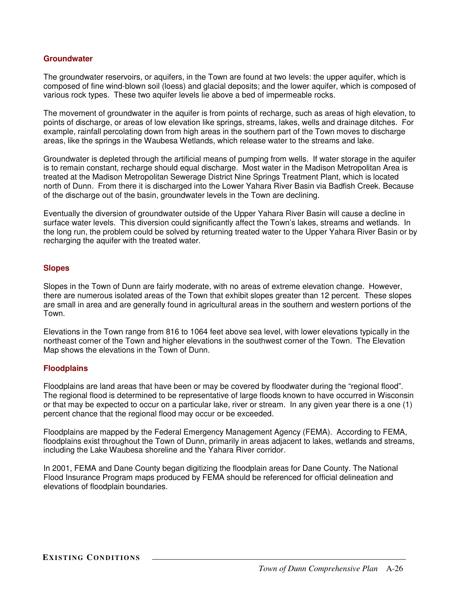#### **Groundwater**

The groundwater reservoirs, or aquifers, in the Town are found at two levels: the upper aquifer, which is composed of fine wind-blown soil (loess) and glacial deposits; and the lower aquifer, which is composed of various rock types. These two aquifer levels lie above a bed of impermeable rocks.

The movement of groundwater in the aquifer is from points of recharge, such as areas of high elevation, to points of discharge, or areas of low elevation like springs, streams, lakes, wells and drainage ditches. For example, rainfall percolating down from high areas in the southern part of the Town moves to discharge areas, like the springs in the Waubesa Wetlands, which release water to the streams and lake.

Groundwater is depleted through the artificial means of pumping from wells. If water storage in the aquifer is to remain constant, recharge should equal discharge. Most water in the Madison Metropolitan Area is treated at the Madison Metropolitan Sewerage District Nine Springs Treatment Plant, which is located north of Dunn. From there it is discharged into the Lower Yahara River Basin via Badfish Creek. Because of the discharge out of the basin, groundwater levels in the Town are declining.

Eventually the diversion of groundwater outside of the Upper Yahara River Basin will cause a decline in surface water levels. This diversion could significantly affect the Town's lakes, streams and wetlands. In the long run, the problem could be solved by returning treated water to the Upper Yahara River Basin or by recharging the aquifer with the treated water.

### **Slopes**

Slopes in the Town of Dunn are fairly moderate, with no areas of extreme elevation change. However, there are numerous isolated areas of the Town that exhibit slopes greater than 12 percent. These slopes are small in area and are generally found in agricultural areas in the southern and western portions of the Town.

Elevations in the Town range from 816 to 1064 feet above sea level, with lower elevations typically in the northeast corner of the Town and higher elevations in the southwest corner of the Town. The Elevation Map shows the elevations in the Town of Dunn.

#### **Floodplains**

Floodplains are land areas that have been or may be covered by floodwater during the "regional flood". The regional flood is determined to be representative of large floods known to have occurred in Wisconsin or that may be expected to occur on a particular lake, river or stream. In any given year there is a one (1) percent chance that the regional flood may occur or be exceeded.

Floodplains are mapped by the Federal Emergency Management Agency (FEMA). According to FEMA, floodplains exist throughout the Town of Dunn, primarily in areas adjacent to lakes, wetlands and streams, including the Lake Waubesa shoreline and the Yahara River corridor.

In 2001, FEMA and Dane County began digitizing the floodplain areas for Dane County. The National Flood Insurance Program maps produced by FEMA should be referenced for official delineation and elevations of floodplain boundaries.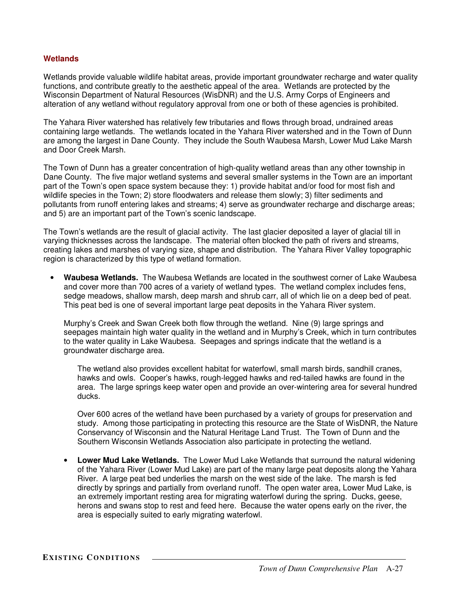### **Wetlands**

Wetlands provide valuable wildlife habitat areas, provide important groundwater recharge and water quality functions, and contribute greatly to the aesthetic appeal of the area. Wetlands are protected by the Wisconsin Department of Natural Resources (WisDNR) and the U.S. Army Corps of Engineers and alteration of any wetland without regulatory approval from one or both of these agencies is prohibited.

The Yahara River watershed has relatively few tributaries and flows through broad, undrained areas containing large wetlands. The wetlands located in the Yahara River watershed and in the Town of Dunn are among the largest in Dane County. They include the South Waubesa Marsh, Lower Mud Lake Marsh and Door Creek Marsh.

The Town of Dunn has a greater concentration of high-quality wetland areas than any other township in Dane County. The five major wetland systems and several smaller systems in the Town are an important part of the Town's open space system because they: 1) provide habitat and/or food for most fish and wildlife species in the Town; 2) store floodwaters and release them slowly; 3) filter sediments and pollutants from runoff entering lakes and streams; 4) serve as groundwater recharge and discharge areas; and 5) are an important part of the Town's scenic landscape.

The Town's wetlands are the result of glacial activity. The last glacier deposited a layer of glacial till in varying thicknesses across the landscape. The material often blocked the path of rivers and streams, creating lakes and marshes of varying size, shape and distribution. The Yahara River Valley topographic region is characterized by this type of wetland formation.

• **Waubesa Wetlands.** The Waubesa Wetlands are located in the southwest corner of Lake Waubesa and cover more than 700 acres of a variety of wetland types. The wetland complex includes fens, sedge meadows, shallow marsh, deep marsh and shrub carr, all of which lie on a deep bed of peat. This peat bed is one of several important large peat deposits in the Yahara River system.

Murphy's Creek and Swan Creek both flow through the wetland. Nine (9) large springs and seepages maintain high water quality in the wetland and in Murphy's Creek, which in turn contributes to the water quality in Lake Waubesa. Seepages and springs indicate that the wetland is a groundwater discharge area.

The wetland also provides excellent habitat for waterfowl, small marsh birds, sandhill cranes, hawks and owls. Cooper's hawks, rough-legged hawks and red-tailed hawks are found in the area. The large springs keep water open and provide an over-wintering area for several hundred ducks.

Over 600 acres of the wetland have been purchased by a variety of groups for preservation and study. Among those participating in protecting this resource are the State of WisDNR, the Nature Conservancy of Wisconsin and the Natural Heritage Land Trust. The Town of Dunn and the Southern Wisconsin Wetlands Association also participate in protecting the wetland.

• **Lower Mud Lake Wetlands.** The Lower Mud Lake Wetlands that surround the natural widening of the Yahara River (Lower Mud Lake) are part of the many large peat deposits along the Yahara River. A large peat bed underlies the marsh on the west side of the lake. The marsh is fed directly by springs and partially from overland runoff. The open water area, Lower Mud Lake, is an extremely important resting area for migrating waterfowl during the spring. Ducks, geese, herons and swans stop to rest and feed here. Because the water opens early on the river, the area is especially suited to early migrating waterfowl.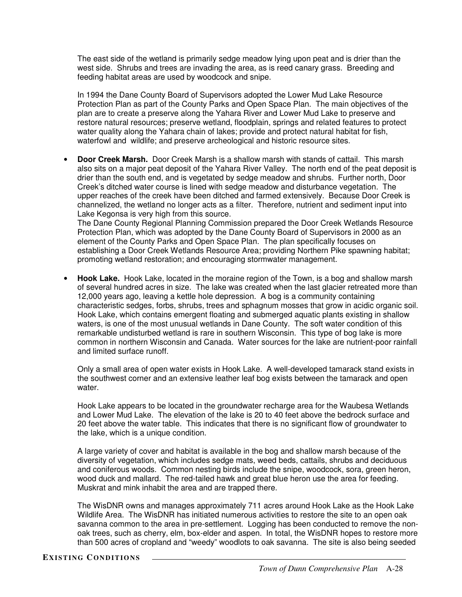The east side of the wetland is primarily sedge meadow lying upon peat and is drier than the west side. Shrubs and trees are invading the area, as is reed canary grass. Breeding and feeding habitat areas are used by woodcock and snipe.

In 1994 the Dane County Board of Supervisors adopted the Lower Mud Lake Resource Protection Plan as part of the County Parks and Open Space Plan. The main objectives of the plan are to create a preserve along the Yahara River and Lower Mud Lake to preserve and restore natural resources; preserve wetland, floodplain, springs and related features to protect water quality along the Yahara chain of lakes; provide and protect natural habitat for fish, waterfowl and wildlife; and preserve archeological and historic resource sites.

• **Door Creek Marsh.** Door Creek Marsh is a shallow marsh with stands of cattail. This marsh also sits on a major peat deposit of the Yahara River Valley. The north end of the peat deposit is drier than the south end, and is vegetated by sedge meadow and shrubs. Further north, Door Creek's ditched water course is lined with sedge meadow and disturbance vegetation. The upper reaches of the creek have been ditched and farmed extensively. Because Door Creek is channelized, the wetland no longer acts as a filter. Therefore, nutrient and sediment input into Lake Kegonsa is very high from this source.

The Dane County Regional Planning Commission prepared the Door Creek Wetlands Resource Protection Plan, which was adopted by the Dane County Board of Supervisors in 2000 as an element of the County Parks and Open Space Plan. The plan specifically focuses on establishing a Door Creek Wetlands Resource Area; providing Northern Pike spawning habitat; promoting wetland restoration; and encouraging stormwater management.

• **Hook Lake.** Hook Lake, located in the moraine region of the Town, is a bog and shallow marsh of several hundred acres in size. The lake was created when the last glacier retreated more than 12,000 years ago, leaving a kettle hole depression. A bog is a community containing characteristic sedges, forbs, shrubs, trees and sphagnum mosses that grow in acidic organic soil. Hook Lake, which contains emergent floating and submerged aquatic plants existing in shallow waters, is one of the most unusual wetlands in Dane County. The soft water condition of this remarkable undisturbed wetland is rare in southern Wisconsin. This type of bog lake is more common in northern Wisconsin and Canada. Water sources for the lake are nutrient-poor rainfall and limited surface runoff.

Only a small area of open water exists in Hook Lake. A well-developed tamarack stand exists in the southwest corner and an extensive leather leaf bog exists between the tamarack and open water.

Hook Lake appears to be located in the groundwater recharge area for the Waubesa Wetlands and Lower Mud Lake. The elevation of the lake is 20 to 40 feet above the bedrock surface and 20 feet above the water table. This indicates that there is no significant flow of groundwater to the lake, which is a unique condition.

A large variety of cover and habitat is available in the bog and shallow marsh because of the diversity of vegetation, which includes sedge mats, weed beds, cattails, shrubs and deciduous and coniferous woods. Common nesting birds include the snipe, woodcock, sora, green heron, wood duck and mallard. The red-tailed hawk and great blue heron use the area for feeding. Muskrat and mink inhabit the area and are trapped there.

The WisDNR owns and manages approximately 711 acres around Hook Lake as the Hook Lake Wildlife Area. The WisDNR has initiated numerous activities to restore the site to an open oak savanna common to the area in pre-settlement. Logging has been conducted to remove the nonoak trees, such as cherry, elm, box-elder and aspen. In total, the WisDNR hopes to restore more than 500 acres of cropland and "weedy" woodlots to oak savanna. The site is also being seeded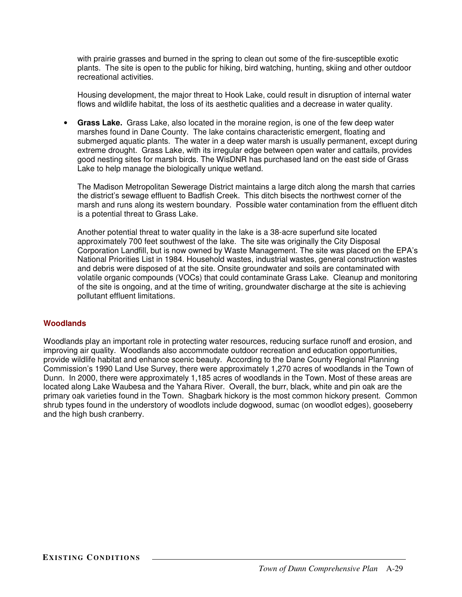with prairie grasses and burned in the spring to clean out some of the fire-susceptible exotic plants. The site is open to the public for hiking, bird watching, hunting, skiing and other outdoor recreational activities.

Housing development, the major threat to Hook Lake, could result in disruption of internal water flows and wildlife habitat, the loss of its aesthetic qualities and a decrease in water quality.

• **Grass Lake.** Grass Lake, also located in the moraine region, is one of the few deep water marshes found in Dane County. The lake contains characteristic emergent, floating and submerged aquatic plants. The water in a deep water marsh is usually permanent, except during extreme drought. Grass Lake, with its irregular edge between open water and cattails, provides good nesting sites for marsh birds. The WisDNR has purchased land on the east side of Grass Lake to help manage the biologically unique wetland.

The Madison Metropolitan Sewerage District maintains a large ditch along the marsh that carries the district's sewage effluent to Badfish Creek. This ditch bisects the northwest corner of the marsh and runs along its western boundary. Possible water contamination from the effluent ditch is a potential threat to Grass Lake.

Another potential threat to water quality in the lake is a 38-acre superfund site located approximately 700 feet southwest of the lake. The site was originally the City Disposal Corporation Landfill, but is now owned by Waste Management. The site was placed on the EPA's National Priorities List in 1984. Household wastes, industrial wastes, general construction wastes and debris were disposed of at the site. Onsite groundwater and soils are contaminated with volatile organic compounds (VOCs) that could contaminate Grass Lake. Cleanup and monitoring of the site is ongoing, and at the time of writing, groundwater discharge at the site is achieving pollutant effluent limitations.

# **Woodlands**

Woodlands play an important role in protecting water resources, reducing surface runoff and erosion, and improving air quality. Woodlands also accommodate outdoor recreation and education opportunities, provide wildlife habitat and enhance scenic beauty. According to the Dane County Regional Planning Commission's 1990 Land Use Survey, there were approximately 1,270 acres of woodlands in the Town of Dunn. In 2000, there were approximately 1,185 acres of woodlands in the Town. Most of these areas are located along Lake Waubesa and the Yahara River. Overall, the burr, black, white and pin oak are the primary oak varieties found in the Town. Shagbark hickory is the most common hickory present. Common shrub types found in the understory of woodlots include dogwood, sumac (on woodlot edges), gooseberry and the high bush cranberry.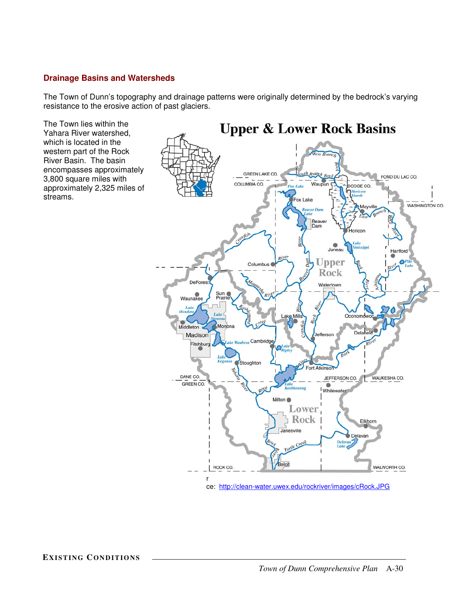# **Drainage Basins and Watersheds**

The Town of Dunn's topography and drainage patterns were originally determined by the bedrock's varying resistance to the erosive action of past glaciers.

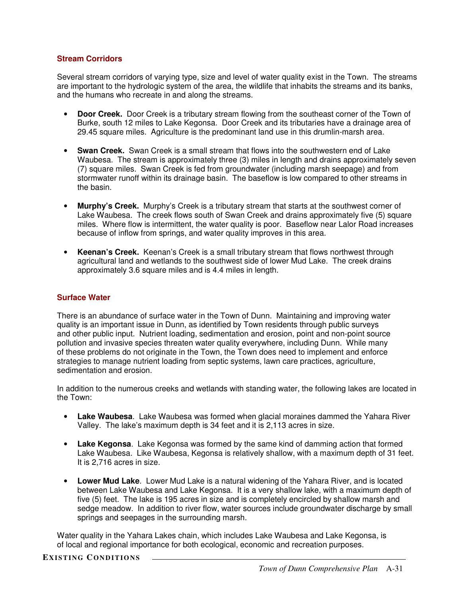### **Stream Corridors**

Several stream corridors of varying type, size and level of water quality exist in the Town. The streams are important to the hydrologic system of the area, the wildlife that inhabits the streams and its banks, and the humans who recreate in and along the streams.

- **Door Creek.** Door Creek is a tributary stream flowing from the southeast corner of the Town of Burke, south 12 miles to Lake Kegonsa. Door Creek and its tributaries have a drainage area of 29.45 square miles. Agriculture is the predominant land use in this drumlin-marsh area.
- **Swan Creek.** Swan Creek is a small stream that flows into the southwestern end of Lake Waubesa. The stream is approximately three (3) miles in length and drains approximately seven (7) square miles. Swan Creek is fed from groundwater (including marsh seepage) and from stormwater runoff within its drainage basin. The baseflow is low compared to other streams in the basin.
- **Murphy's Creek.** Murphy's Creek is a tributary stream that starts at the southwest corner of Lake Waubesa. The creek flows south of Swan Creek and drains approximately five (5) square miles. Where flow is intermittent, the water quality is poor. Baseflow near Lalor Road increases because of inflow from springs, and water quality improves in this area.
- **Keenan's Creek.** Keenan's Creek is a small tributary stream that flows northwest through agricultural land and wetlands to the southwest side of lower Mud Lake. The creek drains approximately 3.6 square miles and is 4.4 miles in length.

### **Surface Water**

There is an abundance of surface water in the Town of Dunn. Maintaining and improving water quality is an important issue in Dunn, as identified by Town residents through public surveys and other public input. Nutrient loading, sedimentation and erosion, point and non-point source pollution and invasive species threaten water quality everywhere, including Dunn. While many of these problems do not originate in the Town, the Town does need to implement and enforce strategies to manage nutrient loading from septic systems, lawn care practices, agriculture, sedimentation and erosion.

In addition to the numerous creeks and wetlands with standing water, the following lakes are located in the Town:

- **Lake Waubesa**. Lake Waubesa was formed when glacial moraines dammed the Yahara River Valley. The lake's maximum depth is 34 feet and it is 2,113 acres in size.
- **Lake Kegonsa**. Lake Kegonsa was formed by the same kind of damming action that formed Lake Waubesa. Like Waubesa, Kegonsa is relatively shallow, with a maximum depth of 31 feet. It is 2,716 acres in size.
- **Lower Mud Lake**. Lower Mud Lake is a natural widening of the Yahara River, and is located between Lake Waubesa and Lake Kegonsa. It is a very shallow lake, with a maximum depth of five (5) feet. The lake is 195 acres in size and is completely encircled by shallow marsh and sedge meadow. In addition to river flow, water sources include groundwater discharge by small springs and seepages in the surrounding marsh.

Water quality in the Yahara Lakes chain, which includes Lake Waubesa and Lake Kegonsa, is of local and regional importance for both ecological, economic and recreation purposes.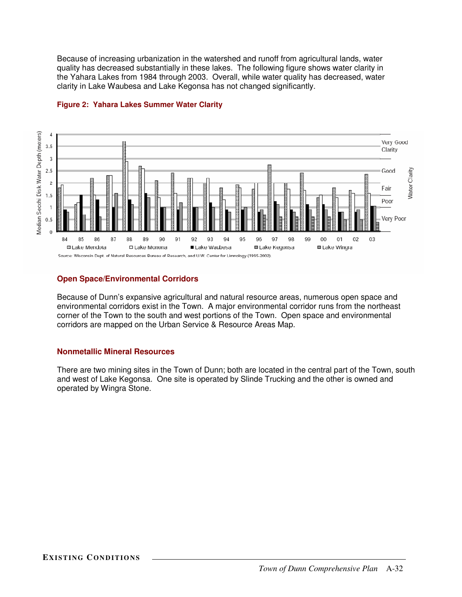Because of increasing urbanization in the watershed and runoff from agricultural lands, water quality has decreased substantially in these lakes. The following figure shows water clarity in the Yahara Lakes from 1984 through 2003. Overall, while water quality has decreased, water clarity in Lake Waubesa and Lake Kegonsa has not changed significantly.



# **Figure 2: Yahara Lakes Summer Water Clarity**

### **Open Space/Environmental Corridors**

Because of Dunn's expansive agricultural and natural resource areas, numerous open space and environmental corridors exist in the Town. A major environmental corridor runs from the northeast corner of the Town to the south and west portions of the Town. Open space and environmental corridors are mapped on the Urban Service & Resource Areas Map.

### **Nonmetallic Mineral Resources**

There are two mining sites in the Town of Dunn; both are located in the central part of the Town, south and west of Lake Kegonsa. One site is operated by Slinde Trucking and the other is owned and operated by Wingra Stone.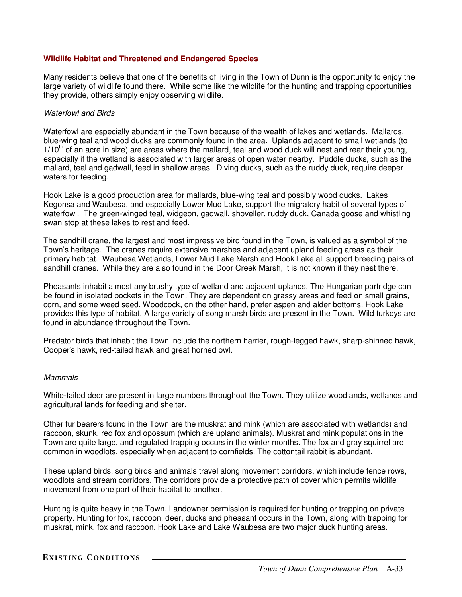### **Wildlife Habitat and Threatened and Endangered Species**

Many residents believe that one of the benefits of living in the Town of Dunn is the opportunity to enjoy the large variety of wildlife found there. While some like the wildlife for the hunting and trapping opportunities they provide, others simply enjoy observing wildlife.

### *Waterfowl and Birds*

Waterfowl are especially abundant in the Town because of the wealth of lakes and wetlands. Mallards, blue-wing teal and wood ducks are commonly found in the area. Uplands adjacent to small wetlands (to 1/10<sup>th</sup> of an acre in size) are areas where the mallard, teal and wood duck will nest and rear their young, especially if the wetland is associated with larger areas of open water nearby. Puddle ducks, such as the mallard, teal and gadwall, feed in shallow areas. Diving ducks, such as the ruddy duck, require deeper waters for feeding.

Hook Lake is a good production area for mallards, blue-wing teal and possibly wood ducks. Lakes Kegonsa and Waubesa, and especially Lower Mud Lake, support the migratory habit of several types of waterfowl. The green-winged teal, widgeon, gadwall, shoveller, ruddy duck, Canada goose and whistling swan stop at these lakes to rest and feed.

The sandhill crane, the largest and most impressive bird found in the Town, is valued as a symbol of the Town's heritage. The cranes require extensive marshes and adjacent upland feeding areas as their primary habitat. Waubesa Wetlands, Lower Mud Lake Marsh and Hook Lake all support breeding pairs of sandhill cranes. While they are also found in the Door Creek Marsh, it is not known if they nest there.

Pheasants inhabit almost any brushy type of wetland and adjacent uplands. The Hungarian partridge can be found in isolated pockets in the Town. They are dependent on grassy areas and feed on small grains, corn, and some weed seed. Woodcock, on the other hand, prefer aspen and alder bottoms. Hook Lake provides this type of habitat. A large variety of song marsh birds are present in the Town. Wild turkeys are found in abundance throughout the Town.

Predator birds that inhabit the Town include the northern harrier, rough-legged hawk, sharp-shinned hawk, Cooper's hawk, red-tailed hawk and great horned owl.

### *Mammals*

White-tailed deer are present in large numbers throughout the Town. They utilize woodlands, wetlands and agricultural lands for feeding and shelter.

Other fur bearers found in the Town are the muskrat and mink (which are associated with wetlands) and raccoon, skunk, red fox and opossum (which are upland animals). Muskrat and mink populations in the Town are quite large, and regulated trapping occurs in the winter months. The fox and gray squirrel are common in woodlots, especially when adjacent to cornfields. The cottontail rabbit is abundant.

These upland birds, song birds and animals travel along movement corridors, which include fence rows, woodlots and stream corridors. The corridors provide a protective path of cover which permits wildlife movement from one part of their habitat to another.

Hunting is quite heavy in the Town. Landowner permission is required for hunting or trapping on private property. Hunting for fox, raccoon, deer, ducks and pheasant occurs in the Town, along with trapping for muskrat, mink, fox and raccoon. Hook Lake and Lake Waubesa are two major duck hunting areas.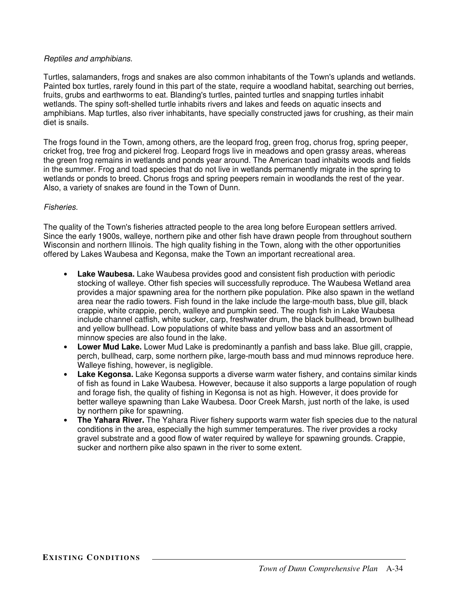### *Reptiles and amphibians.*

Turtles, salamanders, frogs and snakes are also common inhabitants of the Town's uplands and wetlands. Painted box turtles, rarely found in this part of the state, require a woodland habitat, searching out berries, fruits, grubs and earthworms to eat. Blanding's turtles, painted turtles and snapping turtles inhabit wetlands. The spiny soft-shelled turtle inhabits rivers and lakes and feeds on aquatic insects and amphibians. Map turtles, also river inhabitants, have specially constructed jaws for crushing, as their main diet is snails.

The frogs found in the Town, among others, are the leopard frog, green frog, chorus frog, spring peeper, cricket frog, tree frog and pickerel frog. Leopard frogs live in meadows and open grassy areas, whereas the green frog remains in wetlands and ponds year around. The American toad inhabits woods and fields in the summer. Frog and toad species that do not live in wetlands permanently migrate in the spring to wetlands or ponds to breed. Chorus frogs and spring peepers remain in woodlands the rest of the year. Also, a variety of snakes are found in the Town of Dunn.

# *Fisheries.*

The quality of the Town's fisheries attracted people to the area long before European settlers arrived. Since the early 1900s, walleye, northern pike and other fish have drawn people from throughout southern Wisconsin and northern Illinois. The high quality fishing in the Town, along with the other opportunities offered by Lakes Waubesa and Kegonsa, make the Town an important recreational area.

- **Lake Waubesa.** Lake Waubesa provides good and consistent fish production with periodic stocking of walleye. Other fish species will successfully reproduce. The Waubesa Wetland area provides a major spawning area for the northern pike population. Pike also spawn in the wetland area near the radio towers. Fish found in the lake include the large-mouth bass, blue gill, black crappie, white crappie, perch, walleye and pumpkin seed. The rough fish in Lake Waubesa include channel catfish, white sucker, carp, freshwater drum, the black bullhead, brown bullhead and yellow bullhead. Low populations of white bass and yellow bass and an assortment of minnow species are also found in the lake.
- **Lower Mud Lake.** Lower Mud Lake is predominantly a panfish and bass lake. Blue gill, crappie, perch, bullhead, carp, some northern pike, large-mouth bass and mud minnows reproduce here. Walleye fishing, however, is negligible.
- **Lake Kegonsa.** Lake Kegonsa supports a diverse warm water fishery, and contains similar kinds of fish as found in Lake Waubesa. However, because it also supports a large population of rough and forage fish, the quality of fishing in Kegonsa is not as high. However, it does provide for better walleye spawning than Lake Waubesa. Door Creek Marsh, just north of the lake, is used by northern pike for spawning.
- **The Yahara River.** The Yahara River fishery supports warm water fish species due to the natural conditions in the area, especially the high summer temperatures. The river provides a rocky gravel substrate and a good flow of water required by walleye for spawning grounds. Crappie, sucker and northern pike also spawn in the river to some extent.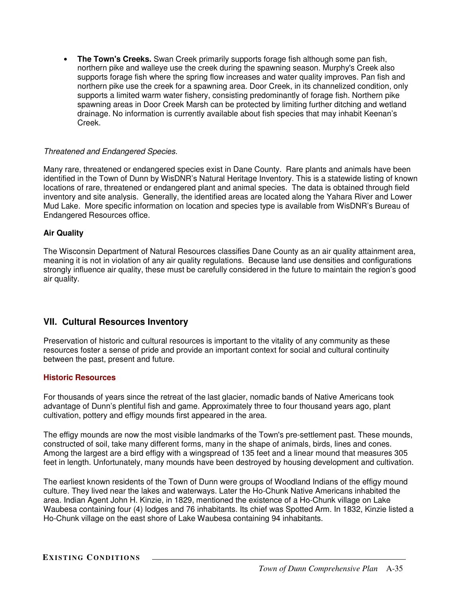• **The Town's Creeks.** Swan Creek primarily supports forage fish although some pan fish, northern pike and walleye use the creek during the spawning season. Murphy's Creek also supports forage fish where the spring flow increases and water quality improves. Pan fish and northern pike use the creek for a spawning area. Door Creek, in its channelized condition, only supports a limited warm water fishery, consisting predominantly of forage fish. Northern pike spawning areas in Door Creek Marsh can be protected by limiting further ditching and wetland drainage. No information is currently available about fish species that may inhabit Keenan's Creek.

### *Threatened and Endangered Species.*

Many rare, threatened or endangered species exist in Dane County. Rare plants and animals have been identified in the Town of Dunn by WisDNR's Natural Heritage Inventory. This is a statewide listing of known locations of rare, threatened or endangered plant and animal species. The data is obtained through field inventory and site analysis. Generally, the identified areas are located along the Yahara River and Lower Mud Lake. More specific information on location and species type is available from WisDNR's Bureau of Endangered Resources office.

### **Air Quality**

The Wisconsin Department of Natural Resources classifies Dane County as an air quality attainment area, meaning it is not in violation of any air quality regulations. Because land use densities and configurations strongly influence air quality, these must be carefully considered in the future to maintain the region's good air quality.

# **VII. Cultural Resources Inventory**

Preservation of historic and cultural resources is important to the vitality of any community as these resources foster a sense of pride and provide an important context for social and cultural continuity between the past, present and future.

### **Historic Resources**

For thousands of years since the retreat of the last glacier, nomadic bands of Native Americans took advantage of Dunn's plentiful fish and game. Approximately three to four thousand years ago, plant cultivation, pottery and effigy mounds first appeared in the area.

The effigy mounds are now the most visible landmarks of the Town's pre-settlement past. These mounds, constructed of soil, take many different forms, many in the shape of animals, birds, lines and cones. Among the largest are a bird effigy with a wingspread of 135 feet and a linear mound that measures 305 feet in length. Unfortunately, many mounds have been destroyed by housing development and cultivation.

The earliest known residents of the Town of Dunn were groups of Woodland Indians of the effigy mound culture. They lived near the lakes and waterways. Later the Ho-Chunk Native Americans inhabited the area. Indian Agent John H. Kinzie, in 1829, mentioned the existence of a Ho-Chunk village on Lake Waubesa containing four (4) lodges and 76 inhabitants. Its chief was Spotted Arm. In 1832, Kinzie listed a Ho-Chunk village on the east shore of Lake Waubesa containing 94 inhabitants.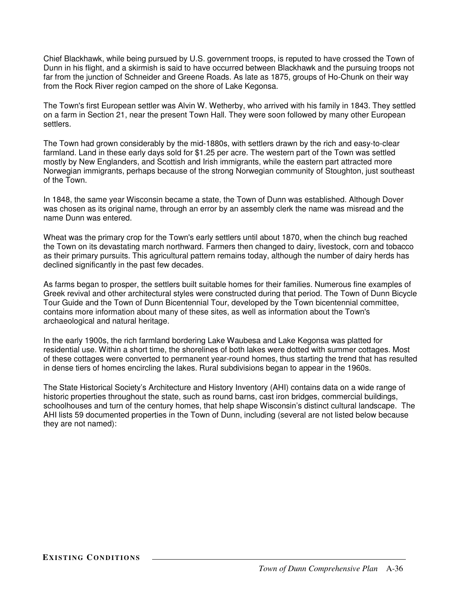Chief Blackhawk, while being pursued by U.S. government troops, is reputed to have crossed the Town of Dunn in his flight, and a skirmish is said to have occurred between Blackhawk and the pursuing troops not far from the junction of Schneider and Greene Roads. As late as 1875, groups of Ho-Chunk on their way from the Rock River region camped on the shore of Lake Kegonsa.

The Town's first European settler was Alvin W. Wetherby, who arrived with his family in 1843. They settled on a farm in Section 21, near the present Town Hall. They were soon followed by many other European settlers.

The Town had grown considerably by the mid-1880s, with settlers drawn by the rich and easy-to-clear farmland. Land in these early days sold for \$1.25 per acre. The western part of the Town was settled mostly by New Englanders, and Scottish and Irish immigrants, while the eastern part attracted more Norwegian immigrants, perhaps because of the strong Norwegian community of Stoughton, just southeast of the Town.

In 1848, the same year Wisconsin became a state, the Town of Dunn was established. Although Dover was chosen as its original name, through an error by an assembly clerk the name was misread and the name Dunn was entered.

Wheat was the primary crop for the Town's early settlers until about 1870, when the chinch bug reached the Town on its devastating march northward. Farmers then changed to dairy, livestock, corn and tobacco as their primary pursuits. This agricultural pattern remains today, although the number of dairy herds has declined significantly in the past few decades.

As farms began to prosper, the settlers built suitable homes for their families. Numerous fine examples of Greek revival and other architectural styles were constructed during that period. The Town of Dunn Bicycle Tour Guide and the Town of Dunn Bicentennial Tour, developed by the Town bicentennial committee, contains more information about many of these sites, as well as information about the Town's archaeological and natural heritage.

In the early 1900s, the rich farmland bordering Lake Waubesa and Lake Kegonsa was platted for residential use. Within a short time, the shorelines of both lakes were dotted with summer cottages. Most of these cottages were converted to permanent year-round homes, thus starting the trend that has resulted in dense tiers of homes encircling the lakes. Rural subdivisions began to appear in the 1960s.

The State Historical Society's Architecture and History Inventory (AHI) contains data on a wide range of historic properties throughout the state, such as round barns, cast iron bridges, commercial buildings, schoolhouses and turn of the century homes, that help shape Wisconsin's distinct cultural landscape. The AHI lists 59 documented properties in the Town of Dunn, including (several are not listed below because they are not named):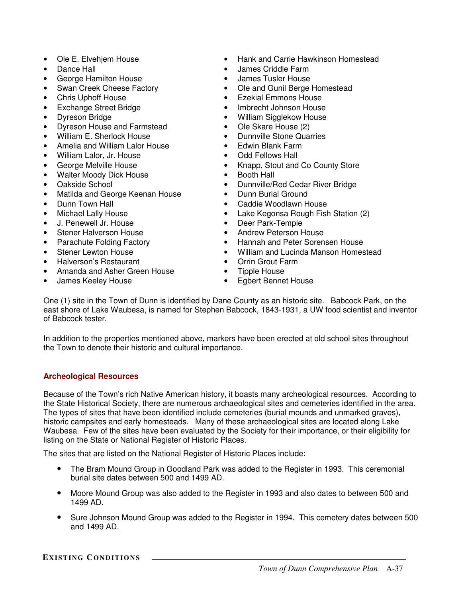- Ole E. Elvehjem House
- Dance Hall
- George Hamilton House
- Swan Creek Cheese Factory
- Chris Uphoff House
- Exchange Street Bridge
- Dyreson Bridge
- Dyreson House and Farmstead
- William E. Sherlock House
- Amelia and William Lalor House
- William Lalor, Jr. House
- George Melville House
- Walter Moody Dick House
- Oakside School
- Matilda and George Keenan House
- Dunn Town Hall
- Michael Lally House
- J. Penewell Jr. House
- Stener Halverson House
- Parachute Folding Factory
- Stener Lewton House
- Halverson's Restaurant
- Amanda and Asher Green House
- James Keeley House
- Hank and Carrie Hawkinson Homestead
- James Criddle Farm
- James Tusler House
- Ole and Gunil Berge Homestead
- Ezekial Emmons House
- Imbrecht Johnson House
- William Sigglekow House
- Ole Skare House (2)
- Dunnville Stone Quarries
- Edwin Blank Farm
- Odd Fellows Hall
- Knapp, Stout and Co County Store
- Booth Hall
- Dunnville/Red Cedar River Bridge
- Dunn Burial Ground
- Caddie Woodlawn House
- Lake Kegonsa Rough Fish Station (2)
- Deer Park-Temple
- Andrew Peterson House
- Hannah and Peter Sorensen House
- William and Lucinda Manson Homestead
- Orrin Grout Farm
- Tipple House
- Egbert Bennet House

One (1) site in the Town of Dunn is identified by Dane County as an historic site. Babcock Park, on the east shore of Lake Waubesa, is named for Stephen Babcock, 1843-1931, a UW food scientist and inventor of Babcock tester.

In addition to the properties mentioned above, markers have been erected at old school sites throughout the Town to denote their historic and cultural importance.

# **Archeological Resources**

Because of the Town's rich Native American history, it boasts many archeological resources. According to the State Historical Society, there are numerous archaeological sites and cemeteries identified in the area. The types of sites that have been identified include cemeteries (burial mounds and unmarked graves), historic campsites and early homesteads. Many of these archaeological sites are located along Lake Waubesa. Few of the sites have been evaluated by the Society for their importance, or their eligibility for listing on the State or National Register of Historic Places.

The sites that are listed on the National Register of Historic Places include:

- The Bram Mound Group in Goodland Park was added to the Register in 1993. This ceremonial burial site dates between 500 and 1499 AD.
- Moore Mound Group was also added to the Register in 1993 and also dates to between 500 and 1499 AD.
- Sure Johnson Mound Group was added to the Register in 1994. This cemetery dates between 500 and 1499 AD.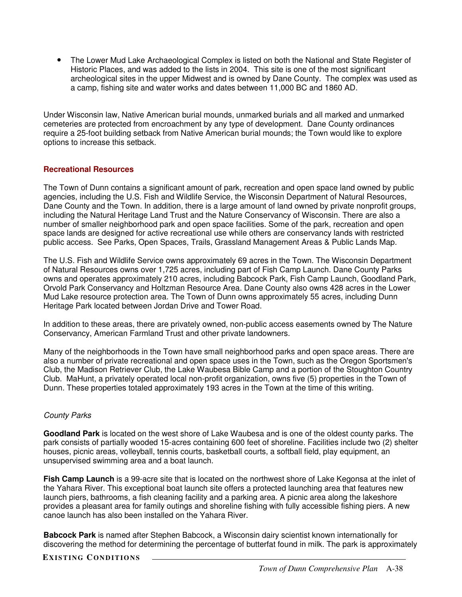• The Lower Mud Lake Archaeological Complex is listed on both the National and State Register of Historic Places, and was added to the lists in 2004. This site is one of the most significant archeological sites in the upper Midwest and is owned by Dane County. The complex was used as a camp, fishing site and water works and dates between 11,000 BC and 1860 AD.

Under Wisconsin law, Native American burial mounds, unmarked burials and all marked and unmarked cemeteries are protected from encroachment by any type of development. Dane County ordinances require a 25-foot building setback from Native American burial mounds; the Town would like to explore options to increase this setback.

### **Recreational Resources**

The Town of Dunn contains a significant amount of park, recreation and open space land owned by public agencies, including the U.S. Fish and Wildlife Service, the Wisconsin Department of Natural Resources, Dane County and the Town. In addition, there is a large amount of land owned by private nonprofit groups, including the Natural Heritage Land Trust and the Nature Conservancy of Wisconsin. There are also a number of smaller neighborhood park and open space facilities. Some of the park, recreation and open space lands are designed for active recreational use while others are conservancy lands with restricted public access. See Parks, Open Spaces, Trails, Grassland Management Areas & Public Lands Map.

The U.S. Fish and Wildlife Service owns approximately 69 acres in the Town. The Wisconsin Department of Natural Resources owns over 1,725 acres, including part of Fish Camp Launch. Dane County Parks owns and operates approximately 210 acres, including Babcock Park, Fish Camp Launch, Goodland Park, Orvold Park Conservancy and Holtzman Resource Area. Dane County also owns 428 acres in the Lower Mud Lake resource protection area. The Town of Dunn owns approximately 55 acres, including Dunn Heritage Park located between Jordan Drive and Tower Road.

In addition to these areas, there are privately owned, non-public access easements owned by The Nature Conservancy, American Farmland Trust and other private landowners.

Many of the neighborhoods in the Town have small neighborhood parks and open space areas. There are also a number of private recreational and open space uses in the Town, such as the Oregon Sportsmen's Club, the Madison Retriever Club, the Lake Waubesa Bible Camp and a portion of the Stoughton Country Club. MaHunt, a privately operated local non-profit organization, owns five (5) properties in the Town of Dunn. These properties totaled approximately 193 acres in the Town at the time of this writing.

# *County Parks*

**Goodland Park** is located on the west shore of Lake Waubesa and is one of the oldest county parks. The park consists of partially wooded 15-acres containing 600 feet of shoreline. Facilities include two (2) shelter houses, picnic areas, volleyball, tennis courts, basketball courts, a softball field, play equipment, an unsupervised swimming area and a boat launch.

**Fish Camp Launch** is a 99-acre site that is located on the northwest shore of Lake Kegonsa at the inlet of the Yahara River. This exceptional boat launch site offers a protected launching area that features new launch piers, bathrooms, a fish cleaning facility and a parking area. A picnic area along the lakeshore provides a pleasant area for family outings and shoreline fishing with fully accessible fishing piers. A new canoe launch has also been installed on the Yahara River.

**Babcock Park** is named after Stephen Babcock, a Wisconsin dairy scientist known internationally for discovering the method for determining the percentage of butterfat found in milk. The park is approximately

### **EXISTING CON DITIONS**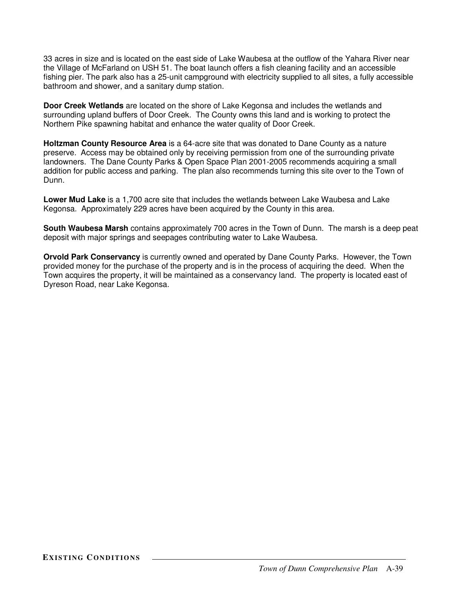33 acres in size and is located on the east side of Lake Waubesa at the outflow of the Yahara River near the Village of McFarland on USH 51. The boat launch offers a fish cleaning facility and an accessible fishing pier. The park also has a 25-unit campground with electricity supplied to all sites, a fully accessible bathroom and shower, and a sanitary dump station.

**Door Creek Wetlands** are located on the shore of Lake Kegonsa and includes the wetlands and surrounding upland buffers of Door Creek. The County owns this land and is working to protect the Northern Pike spawning habitat and enhance the water quality of Door Creek.

**Holtzman County Resource Area** is a 64-acre site that was donated to Dane County as a nature preserve. Access may be obtained only by receiving permission from one of the surrounding private landowners. The Dane County Parks & Open Space Plan 2001-2005 recommends acquiring a small addition for public access and parking. The plan also recommends turning this site over to the Town of **Dunn** 

**Lower Mud Lake** is a 1,700 acre site that includes the wetlands between Lake Waubesa and Lake Kegonsa. Approximately 229 acres have been acquired by the County in this area.

**South Waubesa Marsh** contains approximately 700 acres in the Town of Dunn. The marsh is a deep peat deposit with major springs and seepages contributing water to Lake Waubesa.

**Orvold Park Conservancy** is currently owned and operated by Dane County Parks. However, the Town provided money for the purchase of the property and is in the process of acquiring the deed. When the Town acquires the property, it will be maintained as a conservancy land. The property is located east of Dyreson Road, near Lake Kegonsa.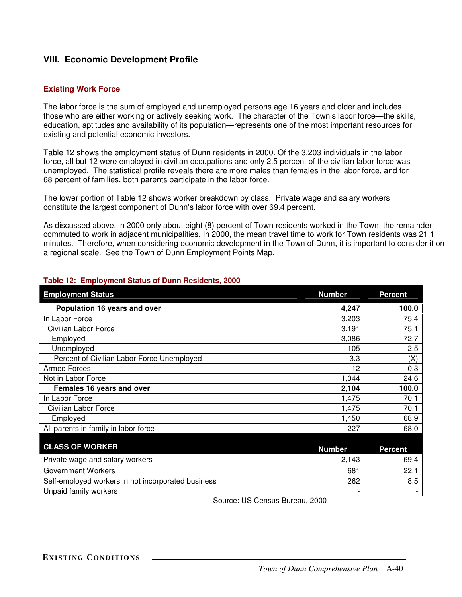# **VIII. Economic Development Profile**

### **Existing Work Force**

The labor force is the sum of employed and unemployed persons age 16 years and older and includes those who are either working or actively seeking work. The character of the Town's labor force—the skills, education, aptitudes and availability of its population—represents one of the most important resources for existing and potential economic investors.

Table 12 shows the employment status of Dunn residents in 2000. Of the 3,203 individuals in the labor force, all but 12 were employed in civilian occupations and only 2.5 percent of the civilian labor force was unemployed. The statistical profile reveals there are more males than females in the labor force, and for 68 percent of families, both parents participate in the labor force.

The lower portion of Table 12 shows worker breakdown by class. Private wage and salary workers constitute the largest component of Dunn's labor force with over 69.4 percent.

As discussed above, in 2000 only about eight (8) percent of Town residents worked in the Town; the remainder commuted to work in adjacent municipalities. In 2000, the mean travel time to work for Town residents was 21.1 minutes. Therefore, when considering economic development in the Town of Dunn, it is important to consider it on a regional scale. See the Town of Dunn Employment Points Map.

| <b>Employment Status</b>                           | <b>Number</b>            | <b>Percent</b> |
|----------------------------------------------------|--------------------------|----------------|
| Population 16 years and over                       | 4,247                    | 100.0          |
| In Labor Force                                     | 3,203                    | 75.4           |
| Civilian Labor Force                               | 3,191                    | 75.1           |
| Employed                                           | 3,086                    | 72.7           |
| Unemployed                                         | 105                      | 2.5            |
| Percent of Civilian Labor Force Unemployed         | 3.3                      | (X)            |
| <b>Armed Forces</b>                                | 12                       | 0.3            |
| Not in Labor Force                                 | 1,044                    | 24.6           |
| Females 16 years and over                          | 2,104                    | 100.0          |
| In Labor Force                                     | 1,475                    | 70.1           |
| Civilian Labor Force                               | 1,475                    | 70.1           |
| Employed                                           | 1,450                    | 68.9           |
| All parents in family in labor force               | 227                      | 68.0           |
|                                                    |                          |                |
| <b>CLASS OF WORKER</b>                             | <b>Number</b>            | <b>Percent</b> |
| Private wage and salary workers                    | 2,143                    | 69.4           |
| Government Workers                                 | 681                      | 22.1           |
| Self-employed workers in not incorporated business | 262                      | 8.5            |
| Unpaid family workers                              | $\overline{\phantom{a}}$ |                |

### **Table 12: Employment Status of Dunn Residents, 2000**

Source: US Census Bureau, 2000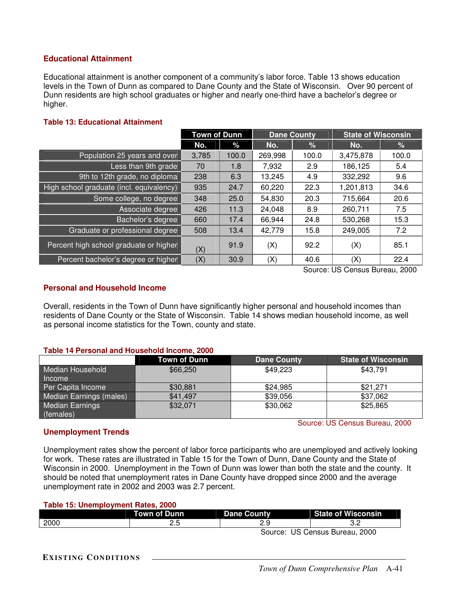### **Educational Attainment**

Educational attainment is another component of a community's labor force. Table 13 shows education levels in the Town of Dunn as compared to Dane County and the State of Wisconsin. Over 90 percent of Dunn residents are high school graduates or higher and nearly one-third have a bachelor's degree or higher.

### **Table 13: Educational Attainment**

|                                          | <b>Town of Dunn</b> |       | <b>Dane County</b> |       | <b>State of Wisconsin</b> |       |
|------------------------------------------|---------------------|-------|--------------------|-------|---------------------------|-------|
|                                          | No.                 | %     | No.                | %     | No.                       | %     |
| Population 25 years and over             | 3,785               | 100.0 | 269,998            | 100.0 | 3,475,878                 | 100.0 |
| Less than 9th grade                      | 70                  | 1.8   | 7,932              | 2.9   | 186,125                   | 5.4   |
| 9th to 12th grade, no diploma            | 238                 | 6.3   | 13,245             | 4.9   | 332,292                   | 9.6   |
| High school graduate (incl. equivalency) | 935                 | 24.7  | 60,220             | 22.3  | 1,201,813                 | 34.6  |
| Some college, no degree                  | 348                 | 25.0  | 54,830             | 20.3  | 715,664                   | 20.6  |
| Associate degree                         | 426                 | 11.3  | 24,048             | 8.9   | 260,711                   | 7.5   |
| Bachelor's degree                        | 660                 | 17.4  | 66,944             | 24.8  | 530,268                   | 15.3  |
| Graduate or professional degree          | 508                 | 13.4  | 42,779             | 15.8  | 249,005                   | 7.2   |
| Percent high school graduate or higher   | (X)                 | 91.9  | (X)                | 92.2  | (X)                       | 85.1  |
| Percent bachelor's degree or higher      | (X)                 | 30.9  | (X)                | 40.6  | (X)                       | 22.4  |

Source: US Census Bureau, 2000

Source: US Census Bureau, 2000

### **Personal and Household Income**

Overall, residents in the Town of Dunn have significantly higher personal and household incomes than residents of Dane County or the State of Wisconsin. Table 14 shows median household income, as well as personal income statistics for the Town, county and state.

### **Table 14 Personal and Household Income, 2000**

|                                   | Town of Dunn | <b>Dane County</b> | <b>State of Wisconsin</b> |
|-----------------------------------|--------------|--------------------|---------------------------|
| Median Household<br><i>Income</i> | \$66,250     | \$49,223           | \$43,791                  |
| Per Capita Income                 | \$30,881     | \$24,985           | \$21,271                  |
| Median Earnings (males)           | \$41,497     | \$39,056           | \$37,062                  |
| Median Earnings<br>(females)      | \$32,071     | \$30,062           | \$25,865                  |

### **Unemployment Trends**

Unemployment rates show the percent of labor force participants who are unemployed and actively looking for work. These rates are illustrated in Table 15 for the Town of Dunn, Dane County and the State of Wisconsin in 2000. Unemployment in the Town of Dunn was lower than both the state and the county. It should be noted that unemployment rates in Dane County have dropped since 2000 and the average unemployment rate in 2002 and 2003 was 2.7 percent.

### **Table 15: Unemployment Rates, 2000**

|      | Town of Dunn | <b>Dane County</b> | <b>State of Wisconsin</b> |
|------|--------------|--------------------|---------------------------|
| 2000 | <u>د. ب</u>  |                    |                           |
|      |              | Source:            | US Census Bureau, 2000    |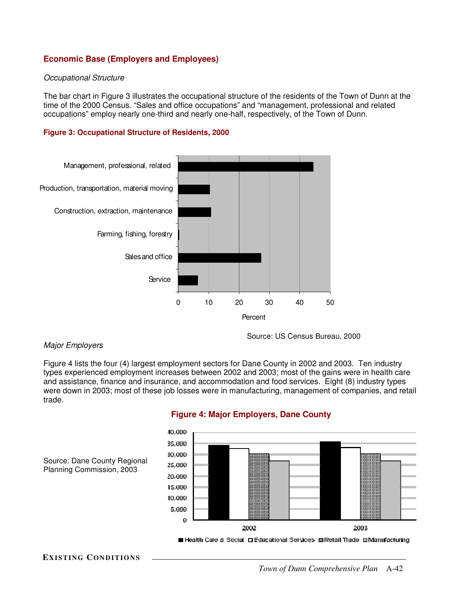# **Economic Base (Employers and Employees)**

#### *Occupational Structure*

The bar chart in Figure 3 illustrates the occupational structure of the residents of the Town of Dunn at the time of the 2000 Census. "Sales and office occupations" and "management, professional and related occupations" employ nearly one-third and nearly one-half, respectively, of the Town of Dunn.

#### **Figure 3: Occupational Structure of Residents, 2000**



### *Major Employers*

Figure 4 lists the four (4) largest employment sectors for Dane County in 2002 and 2003. Ten industry types experienced employment increases between 2002 and 2003; most of the gains were in health care and assistance, finance and insurance, and accommodation and food services. Eight (8) industry types were down in 2003; most of these job losses were in manufacturing, management of companies, and retail trade.



Source: US Census Bureau, 2000

# **Figure 4: Major Employers, Dane County**

**EXISTING CON DITIONS**

Planning Commission, 2003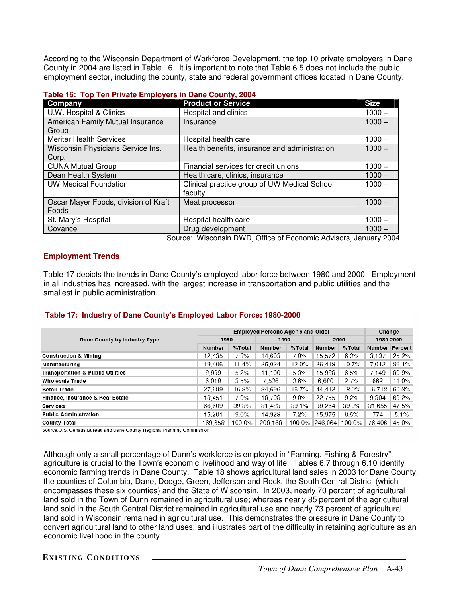According to the Wisconsin Department of Workforce Development, the top 10 private employers in Dane County in 2004 are listed in Table 16. It is important to note that Table 6.5 does not include the public employment sector, including the county, state and federal government offices located in Dane County.

| $1000 \div 1000 \div 1000 \div 100000 \div 10000 \div 1000000 \div 1000000$ |                                               |             |  |  |  |  |
|-----------------------------------------------------------------------------|-----------------------------------------------|-------------|--|--|--|--|
| Company                                                                     | <b>Product or Service</b>                     | <b>Size</b> |  |  |  |  |
| U.W. Hospital & Clinics                                                     | Hospital and clinics                          | $1000 +$    |  |  |  |  |
| American Family Mutual Insurance                                            | Insurance                                     | $1000 +$    |  |  |  |  |
| Group                                                                       |                                               |             |  |  |  |  |
| <b>Meriter Health Services</b>                                              | Hospital health care                          | $1000 +$    |  |  |  |  |
| Wisconsin Physicians Service Ins.                                           | Health benefits, insurance and administration | $1000 +$    |  |  |  |  |
| Corp.                                                                       |                                               |             |  |  |  |  |
| <b>CUNA Mutual Group</b>                                                    | Financial services for credit unions          | $1000 +$    |  |  |  |  |
| Dean Health System                                                          | Health care, clinics, insurance               | $1000 +$    |  |  |  |  |
| <b>UW Medical Foundation</b>                                                | Clinical practice group of UW Medical School  | $1000 +$    |  |  |  |  |
|                                                                             | faculty                                       |             |  |  |  |  |
| Oscar Mayer Foods, division of Kraft                                        | Meat processor                                | $1000 +$    |  |  |  |  |
| Foods                                                                       |                                               |             |  |  |  |  |
| St. Mary's Hospital                                                         | Hospital health care                          | $1000 +$    |  |  |  |  |
| Covance                                                                     | Drug development                              | $1000 +$    |  |  |  |  |

Source: Wisconsin DWD, Office of Economic Advisors, January 2004

#### **Employment Trends**

Table 17 depicts the trends in Dane County's employed labor force between 1980 and 2000. Employment in all industries has increased, with the largest increase in transportation and public utilities and the smallest in public administration.

### **Table 17: Industry of Dane County's Employed Labor Force: 1980-2000**

|                                              | <b>Employed Persons Age 16 and Older</b> |         |         |           |                |           | Change                |       |
|----------------------------------------------|------------------------------------------|---------|---------|-----------|----------------|-----------|-----------------------|-------|
| Dane County by Industry Type                 | 1980                                     |         | 1990    |           | 2000           |           | 1980-2000             |       |
|                                              | Number                                   | %Total  | Number  | $%$ Total | Number         | $%$ Total | <b>Number Percent</b> |       |
| <b>Construction &amp; Mining</b>             | 12.435                                   | 7.3%    | 14.603  | 7.0%      | 15,572         | 6.3%      | 3.137                 | 25.2% |
| Manufacturing                                | 19.406                                   | 11.4%   | 25.024  | 12.0%     | 26.418         | 10.7%     | 7.012                 | 36.1% |
| <b>Transportation &amp; Public Utilities</b> | 8.839                                    | 5.2%    | 11.100  | 5.3%      | 15.988         | 6.5%      | 7.149                 | 80.9% |
| <b>Wholesale Trade</b>                       | 6.018                                    | 3.5%    | 7.536   | 3.6%      | 6.680          | 2.7%      | 662                   | 11.0% |
| <b>Retall Trade</b>                          | 27,699                                   | 16.3%   | 34,696  | 16.7%     | 44.412         | 18.0%     | 16.713                | 60.3% |
| Finance, Insurance & Real Estate             | 13.451                                   | 7.9%    | 18.798  | $9.0\%$   | 22.755         | 9.2%      | 9,304                 | 69.2% |
| <b>Services</b>                              | 66.609                                   | 39.3%   | 81.483  | 39.1%     | 98.264         | 39.9%     | 31.655                | 47.5% |
| <b>Public Administration</b>                 | 15.201                                   | $9.0\%$ | 14.928  | 7.2%      | 15.975         | 6.5%      | 774                   | 5.1%  |
| <b>County Total</b>                          | 169.658                                  | 100.0%  | 208.168 | 100.0%    | 246.064 100.0% |           | 76.406                | 45.0% |

Source:U.S. Census Bureau and Dane County Regional Planning Commission

Although only a small percentage of Dunn's workforce is employed in "Farming, Fishing & Forestry", agriculture is crucial to the Town's economic livelihood and way of life. Tables 6.7 through 6.10 identify economic farming trends in Dane County. Table 18 shows agricultural land sales in 2003 for Dane County, the counties of Columbia, Dane, Dodge, Green, Jefferson and Rock, the South Central District (which encompasses these six counties) and the State of Wisconsin. In 2003, nearly 70 percent of agricultural land sold in the Town of Dunn remained in agricultural use; whereas nearly 85 percent of the agricultural land sold in the South Central District remained in agricultural use and nearly 73 percent of agricultural land sold in Wisconsin remained in agricultural use. This demonstrates the pressure in Dane County to convert agricultural land to other land uses, and illustrates part of the difficulty in retaining agriculture as an economic livelihood in the county.

**EXISTING CON DITIONS**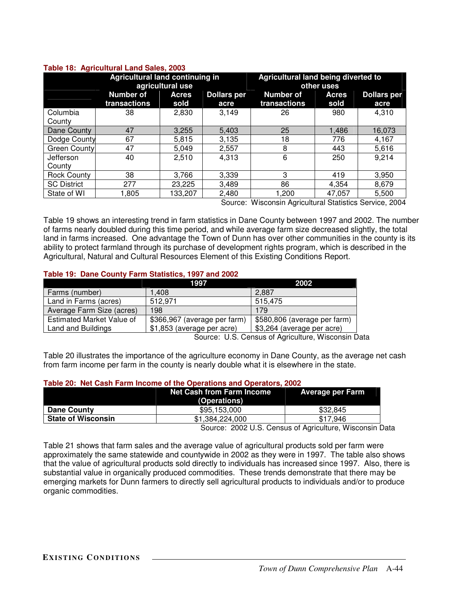|                     | <b>Agricultural land continuing in</b><br>agricultural use |                      |                            | Agricultural land being diverted to<br>other uses                                                                                      |                      |                            |  |
|---------------------|------------------------------------------------------------|----------------------|----------------------------|----------------------------------------------------------------------------------------------------------------------------------------|----------------------|----------------------------|--|
|                     | <b>Number of</b><br>transactions                           | <b>Acres</b><br>sold | <b>Dollars per</b><br>acre | <b>Number of</b><br>transactions                                                                                                       | <b>Acres</b><br>sold | <b>Dollars per</b><br>acre |  |
| Columbia<br>County  | 38                                                         | 2,830                | 3.149                      | 26                                                                                                                                     | 980                  | 4,310                      |  |
| Dane County         | 47                                                         | 3,255                | 5,403                      | 25                                                                                                                                     | 1,486                | 16,073                     |  |
| Dodge County        | 67                                                         | 5,815                | 3,135                      | 18                                                                                                                                     | 776                  | 4,167                      |  |
| Green County        | 47                                                         | 5,049                | 2,557                      | 8                                                                                                                                      | 443                  | 5,616                      |  |
| Jefferson<br>County | 40                                                         | 2,510                | 4,313                      | 6                                                                                                                                      | 250                  | 9,214                      |  |
| <b>Rock County</b>  | 38                                                         | 3,766                | 3,339                      | 3                                                                                                                                      | 419                  | 3,950                      |  |
| <b>SC District</b>  | 277                                                        | 23,225               | 3,489                      | 86                                                                                                                                     | 4,354                | 8,679                      |  |
| State of WI         | 1,805                                                      | 133,207              | 2,480                      | 1.200<br>$M'$ , $\cdots$ , $\cdots$ , $\cdots$ , $\cdots$ , $\cdots$ , $\cdots$ , $\cdots$ , $\cdots$ , $\cdots$ , $\cdots$ , $\cdots$ | 47,057               | 5,500                      |  |

#### **Table 18: Agricultural Land Sales, 2003**

Source: Wisconsin Agricultural Statistics Service, 2004

Table 19 shows an interesting trend in farm statistics in Dane County between 1997 and 2002. The number of farms nearly doubled during this time period, and while average farm size decreased slightly, the total land in farms increased. One advantage the Town of Dunn has over other communities in the county is its ability to protect farmland through its purchase of development rights program, which is described in the Agricultural, Natural and Cultural Resources Element of this Existing Conditions Report.

### **Table 19: Dane County Farm Statistics, 1997 and 2002**

|                           | 1997                         | 2002                         |
|---------------------------|------------------------------|------------------------------|
| Farms (number)            | 1.408                        | 2.887                        |
| Land in Farms (acres)     | 512.971                      | 515.475                      |
| Average Farm Size (acres) | 198                          | 179                          |
| Estimated Market Value of | \$366,967 (average per farm) | \$580,806 (average per farm) |
| Land and Buildings        | \$1,853 (average per acre)   | \$3,264 (average per acre)   |

Source: U.S. Census of Agriculture, Wisconsin Data

Table 20 illustrates the importance of the agriculture economy in Dane County, as the average net cash from farm income per farm in the county is nearly double what it is elsewhere in the state.

#### **Table 20: Net Cash Farm Income of the Operations and Operators, 2002**

|                           | <b>Net Cash from Farm Income</b><br>(Operations) | <b>Average per Farm</b> |
|---------------------------|--------------------------------------------------|-------------------------|
| Dane County               | \$95,153,000                                     | \$32,845                |
| <b>State of Wisconsin</b> | \$1,384,224,000                                  | \$17.946                |
|                           | --------                                         | .<br>.                  |

Source: 2002 U.S. Census of Agriculture, Wisconsin Data

Table 21 shows that farm sales and the average value of agricultural products sold per farm were approximately the same statewide and countywide in 2002 as they were in 1997. The table also shows that the value of agricultural products sold directly to individuals has increased since 1997. Also, there is substantial value in organically produced commodities. These trends demonstrate that there may be emerging markets for Dunn farmers to directly sell agricultural products to individuals and/or to produce organic commodities.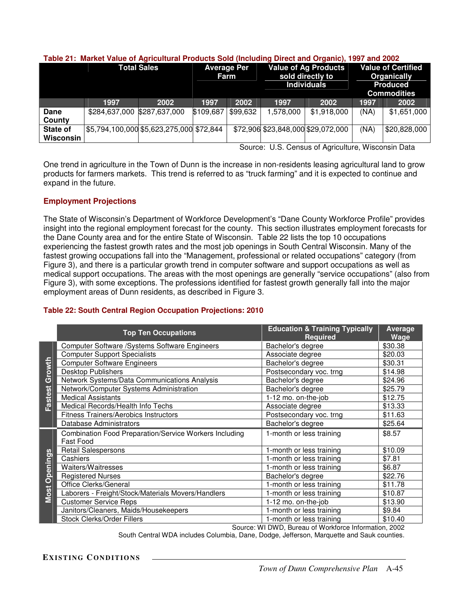|                       | <b>Total Sales</b>                       |               | <b>Average Per</b><br>Farm |          | <b>Value of Ag Products</b><br>sold directly to<br><b>Individuals</b> |                                    | <b>Value of Certified</b><br><b>Organically</b><br><b>Produced</b><br><b>Commodities</b> |              |
|-----------------------|------------------------------------------|---------------|----------------------------|----------|-----------------------------------------------------------------------|------------------------------------|------------------------------------------------------------------------------------------|--------------|
|                       | 1997                                     | 2002          | 1997                       | 2002     | 1997                                                                  | 2002                               | 1997                                                                                     | 2002         |
| Dane<br>County        | \$284,637,000                            | \$287,637,000 | \$109,687                  | \$99,632 | 1,578,000                                                             | \$1,918,000                        | (NA)                                                                                     | \$1,651,000  |
| State of<br>Wisconsin | \$5,794,100,000 \$5,623,275,000 \$72,844 |               |                            |          |                                                                       | \$72,906 \$23,848,000 \$29,072,000 | (NA)                                                                                     | \$20,828,000 |

#### **Table 21: Market Value of Agricultural Products Sold (Including Direct and Organic), 1997 and 2002**

Source: U.S. Census of Agriculture, Wisconsin Data

One trend in agriculture in the Town of Dunn is the increase in non-residents leasing agricultural land to grow products for farmers markets. This trend is referred to as "truck farming" and it is expected to continue and expand in the future.

# **Employment Projections**

The State of Wisconsin's Department of Workforce Development's "Dane County Workforce Profile" provides insight into the regional employment forecast for the county. This section illustrates employment forecasts for the Dane County area and for the entire State of Wisconsin. Table 22 lists the top 10 occupations experiencing the fastest growth rates and the most job openings in South Central Wisconsin. Many of the fastest growing occupations fall into the "Management, professional or related occupations" category (from Figure 3), and there is a particular growth trend in computer software and support occupations as well as medical support occupations. The areas with the most openings are generally "service occupations" (also from Figure 3), with some exceptions. The professions identified for fastest growth generally fall into the major employment areas of Dunn residents, as described in Figure 3.

# **Table 22: South Central Region Occupation Projections: 2010**

|          | <b>Top Ten Occupations</b>                                                        | <b>Education &amp; Training Typically</b><br><b>Required</b> | <b>Average</b><br>Wage |
|----------|-----------------------------------------------------------------------------------|--------------------------------------------------------------|------------------------|
|          | Computer Software / Systems Software Engineers                                    | Bachelor's degree                                            | \$30.38                |
|          | <b>Computer Support Specialists</b>                                               | Associate degree                                             | \$20.03                |
| Growth   | <b>Computer Software Engineers</b>                                                | Bachelor's degree                                            | \$30.31                |
|          | <b>Desktop Publishers</b>                                                         | Postsecondary voc. trng                                      | \$14.98                |
|          | Network Systems/Data Communications Analysis                                      | Bachelor's degree                                            | \$24.96                |
|          | Network/Computer Systems Administration                                           | Bachelor's degree                                            | \$25.79                |
| Fastest  | <b>Medical Assistants</b>                                                         | 1-12 mo. on-the-job                                          | \$12.75                |
|          | Medical Records/Health Info Techs                                                 | Associate degree                                             | \$13.33                |
|          | Fitness Trainers/Aerobics Instructors                                             | Postsecondary voc. trng                                      | \$11.63                |
|          | Database Administrators                                                           | Bachelor's degree                                            | \$25.64                |
|          | <b>Combination Food Preparation/Service Workers Including</b><br><b>Fast Food</b> | 1-month or less training                                     | \$8.57                 |
|          | <b>Retail Salespersons</b>                                                        | 1-month or less training                                     | \$10.09                |
| Openings | Cashiers                                                                          | 1-month or less training                                     | \$7.81                 |
|          | Waiters/Waitresses                                                                | 1-month or less training                                     | \$6.87                 |
|          | <b>Registered Nurses</b>                                                          | Bachelor's degree                                            | \$22.76                |
|          | Office Clerks/General                                                             | 1-month or less training                                     | \$11.78                |
| Most     | Laborers - Freight/Stock/Materials Movers/Handlers                                | 1-month or less training                                     | \$10.87                |
|          | <b>Customer Service Reps</b>                                                      | 1-12 mo. on-the-job                                          | \$13.90                |
|          | Janitors/Cleaners, Maids/Housekeepers                                             | 1-month or less training                                     | \$9.84                 |
|          | <b>Stock Clerks/Order Fillers</b>                                                 | 1-month or less training                                     | \$10.40                |
|          |                                                                                   | Source: WI DWD, Bureau of Workforce Information, 2002        |                        |

South Central WDA includes Columbia, Dane, Dodge, Jefferson, Marquette and Sauk counties.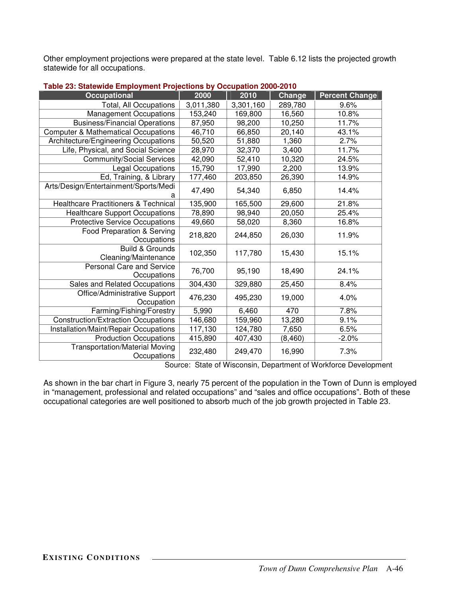Other employment projections were prepared at the state level. Table 6.12 lists the projected growth statewide for all occupations.

| <b>Occupational</b>                                  | 2000      | 2010      | Change  | <b>Percent Change</b> |
|------------------------------------------------------|-----------|-----------|---------|-----------------------|
| Total, All Occupations                               | 3,011,380 | 3,301,160 | 289,780 | 9.6%                  |
| <b>Management Occupations</b>                        | 153,240   | 169,800   | 16,560  | 10.8%                 |
| <b>Business/Financial Operations</b>                 | 87,950    | 98,200    | 10,250  | 11.7%                 |
| <b>Computer &amp; Mathematical Occupations</b>       | 46,710    | 66,850    | 20,140  | 43.1%                 |
| Architecture/Engineering Occupations                 | 50,520    | 51,880    | 1,360   | 2.7%                  |
| Life, Physical, and Social Science                   | 28,970    | 32,370    | 3,400   | 11.7%                 |
| <b>Community/Social Services</b>                     | 42,090    | 52,410    | 10,320  | 24.5%                 |
| Legal Occupations                                    | 15,790    | 17,990    | 2,200   | 13.9%                 |
| Ed, Training, & Library                              | 177,460   | 203,850   | 26,390  | 14.9%                 |
| Arts/Design/Entertainment/Sports/Medi                | 47,490    | 54,340    | 6,850   | 14.4%                 |
| <b>Healthcare Practitioners &amp; Technical</b>      | 135,900   | 165,500   | 29,600  | 21.8%                 |
| <b>Healthcare Support Occupations</b>                | 78,890    | 98,940    | 20,050  | 25.4%                 |
| <b>Protective Service Occupations</b>                | 49,660    | 58,020    | 8,360   | 16.8%                 |
| Food Preparation & Serving<br>Occupations            | 218,820   | 244,850   | 26,030  | 11.9%                 |
| <b>Build &amp; Grounds</b><br>Cleaning/Maintenance   | 102,350   | 117,780   | 15,430  | 15.1%                 |
| <b>Personal Care and Service</b><br>Occupations      | 76,700    | 95,190    | 18,490  | 24.1%                 |
| Sales and Related Occupations                        | 304,430   | 329,880   | 25,450  | 8.4%                  |
| Office/Administrative Support<br>Occupation          | 476,230   | 495,230   | 19,000  | 4.0%                  |
| Farming/Fishing/Forestry                             | 5,990     | 6,460     | 470     | 7.8%                  |
| Construction/Extraction Occupations                  | 146,680   | 159,960   | 13,280  | 9.1%                  |
| Installation/Maint/Repair Occupations                | 117,130   | 124,780   | 7,650   | 6.5%                  |
| <b>Production Occupations</b>                        | 415,890   | 407,430   | (8,460) | $-2.0%$               |
| <b>Transportation/Material Moving</b><br>Occupations | 232,480   | 249,470   | 16,990  | 7.3%                  |

#### **Table 23: Statewide Employment Projections by Occupation 2000-2010**

Source: State of Wisconsin, Department of Workforce Development

As shown in the bar chart in Figure 3, nearly 75 percent of the population in the Town of Dunn is employed in "management, professional and related occupations" and "sales and office occupations". Both of these occupational categories are well positioned to absorb much of the job growth projected in Table 23.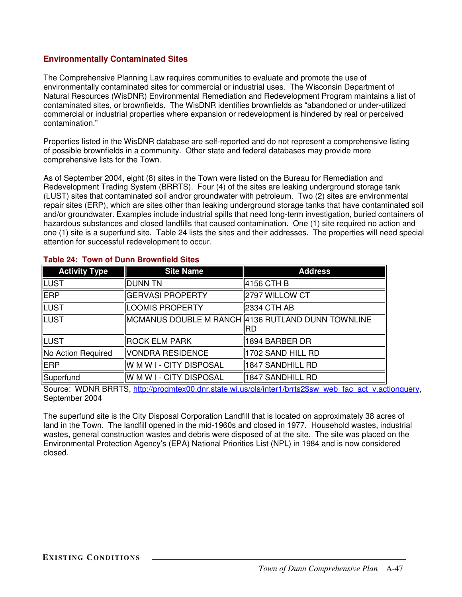# **Environmentally Contaminated Sites**

The Comprehensive Planning Law requires communities to evaluate and promote the use of environmentally contaminated sites for commercial or industrial uses. The Wisconsin Department of Natural Resources (WisDNR) Environmental Remediation and Redevelopment Program maintains a list of contaminated sites, or brownfields. The WisDNR identifies brownfields as "abandoned or under-utilized commercial or industrial properties where expansion or redevelopment is hindered by real or perceived contamination."

Properties listed in the WisDNR database are self-reported and do not represent a comprehensive listing of possible brownfields in a community. Other state and federal databases may provide more comprehensive lists for the Town.

As of September 2004, eight (8) sites in the Town were listed on the Bureau for Remediation and Redevelopment Trading System (BRRTS). Four (4) of the sites are leaking underground storage tank (LUST) sites that contaminated soil and/or groundwater with petroleum. Two (2) sites are environmental repair sites (ERP), which are sites other than leaking underground storage tanks that have contaminated soil and/or groundwater. Examples include industrial spills that need long-term investigation, buried containers of hazardous substances and closed landfills that caused contamination. One (1) site required no action and one (1) site is a superfund site. Table 24 lists the sites and their addresses. The properties will need special attention for successful redevelopment to occur.

| <b>Activity Type</b> | <b>Site Name</b>         | <b>Address</b>                                    |
|----------------------|--------------------------|---------------------------------------------------|
| <b>LUST</b>          | <b>DUNN TN</b>           | 4156 CTH B                                        |
| <b>ERP</b>           | GERVASI PROPERTY         | 2797 WILLOW CT                                    |
| <b>LUST</b>          | <b>LOOMIS PROPERTY</b>   | 2334 CTH AB                                       |
| <b>LUST</b>          |                          | MCMANUS DOUBLE M RANCH 4136 RUTLAND DUNN TOWNLINE |
|                      |                          | IIRD                                              |
| <b>LUST</b>          | <b>ROCK ELM PARK</b>     | 1894 BARBER DR                                    |
| No Action Required   | VONDRA RESIDENCE         | 1702 SAND HILL RD                                 |
| <b>ERP</b>           | W M W I - CITY DISPOSAL  | 1847 SANDHILL RD                                  |
| Superfund            | ∥W M W I - CITY DISPOSAL | 1847 SANDHILL RD                                  |

### **Table 24: Town of Dunn Brownfield Sites**

Source: WDNR BRRTS, http://prodmtex00.dnr.state.wi.us/pls/inter1/brrts2\$sw\_web\_fac\_act\_v.actionquery, September 2004

The superfund site is the City Disposal Corporation Landfill that is located on approximately 38 acres of land in the Town. The landfill opened in the mid-1960s and closed in 1977. Household wastes, industrial wastes, general construction wastes and debris were disposed of at the site. The site was placed on the Environmental Protection Agency's (EPA) National Priorities List (NPL) in 1984 and is now considered closed.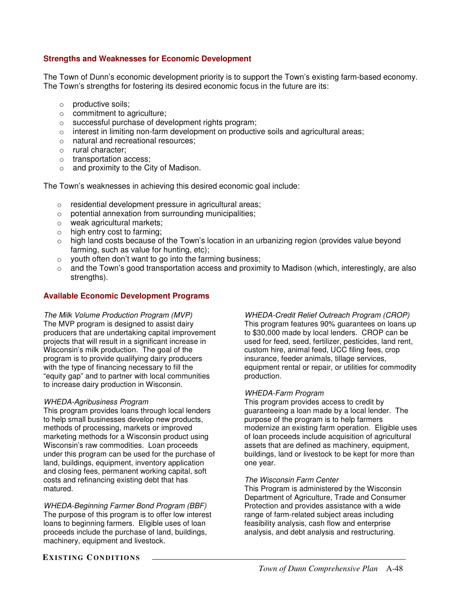### **Strengths and Weaknesses for Economic Development**

The Town of Dunn's economic development priority is to support the Town's existing farm-based economy. The Town's strengths for fostering its desired economic focus in the future are its:

- o productive soils;
- o commitment to agriculture;
- o successful purchase of development rights program;
- $\circ$  interest in limiting non-farm development on productive soils and agricultural areas;
- o natural and recreational resources;
- o rural character;
- o transportation access;
- $\circ$  and proximity to the City of Madison.

The Town's weaknesses in achieving this desired economic goal include:

- o residential development pressure in agricultural areas;
- o potential annexation from surrounding municipalities;
- o weak agricultural markets;
- o high entry cost to farming;
- o high land costs because of the Town's location in an urbanizing region (provides value beyond farming, such as value for hunting, etc);
- $\circ$  youth often don't want to go into the farming business;
- $\circ$  and the Town's good transportation access and proximity to Madison (which, interestingly, are also strengths).

### **Available Economic Development Programs**

*The Milk Volume Production Program (MVP)* The MVP program is designed to assist dairy producers that are undertaking capital improvement projects that will result in a significant increase in Wisconsin's milk production. The goal of the program is to provide qualifying dairy producers with the type of financing necessary to fill the "equity gap" and to partner with local communities to increase dairy production in Wisconsin.

#### *WHEDA-Agribusiness Program*

This program provides loans through local lenders to help small businesses develop new products, methods of processing, markets or improved marketing methods for a Wisconsin product using Wisconsin's raw commodities. Loan proceeds under this program can be used for the purchase of land, buildings, equipment, inventory application and closing fees, permanent working capital, soft costs and refinancing existing debt that has matured.

*WHEDA-Beginning Farmer Bond Program (BBF)* The purpose of this program is to offer low interest loans to beginning farmers. Eligible uses of loan proceeds include the purchase of land, buildings, machinery, equipment and livestock.

*WHEDA-Credit Relief Outreach Program (CROP)* This program features 90% guarantees on loans up to \$30,000 made by local lenders. CROP can be used for feed, seed, fertilizer, pesticides, land rent, custom hire, animal feed, UCC filing fees, crop insurance, feeder animals, tillage services, equipment rental or repair, or utilities for commodity production.

#### *WHEDA-Farm Program*

This program provides access to credit by guaranteeing a loan made by a local lender. The purpose of the program is to help farmers modernize an existing farm operation. Eligible uses of loan proceeds include acquisition of agricultural assets that are defined as machinery, equipment, buildings, land or livestock to be kept for more than one year.

#### *The Wisconsin Farm Center*

This Program is administered by the Wisconsin Department of Agriculture, Trade and Consumer Protection and provides assistance with a wide range of farm-related subject areas including feasibility analysis, cash flow and enterprise analysis, and debt analysis and restructuring.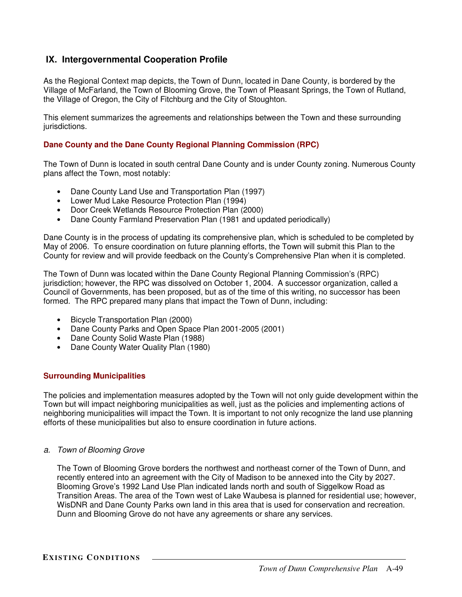# **IX. Intergovernmental Cooperation Profile**

As the Regional Context map depicts, the Town of Dunn, located in Dane County, is bordered by the Village of McFarland, the Town of Blooming Grove, the Town of Pleasant Springs, the Town of Rutland, the Village of Oregon, the City of Fitchburg and the City of Stoughton.

This element summarizes the agreements and relationships between the Town and these surrounding jurisdictions.

### **Dane County and the Dane County Regional Planning Commission (RPC)**

The Town of Dunn is located in south central Dane County and is under County zoning. Numerous County plans affect the Town, most notably:

- Dane County Land Use and Transportation Plan (1997)
- Lower Mud Lake Resource Protection Plan (1994)
- Door Creek Wetlands Resource Protection Plan (2000)
- Dane County Farmland Preservation Plan (1981 and updated periodically)

Dane County is in the process of updating its comprehensive plan, which is scheduled to be completed by May of 2006. To ensure coordination on future planning efforts, the Town will submit this Plan to the County for review and will provide feedback on the County's Comprehensive Plan when it is completed.

The Town of Dunn was located within the Dane County Regional Planning Commission's (RPC) jurisdiction; however, the RPC was dissolved on October 1, 2004. A successor organization, called a Council of Governments, has been proposed, but as of the time of this writing, no successor has been formed. The RPC prepared many plans that impact the Town of Dunn, including:

- Bicycle Transportation Plan (2000)
- Dane County Parks and Open Space Plan 2001-2005 (2001)
- Dane County Solid Waste Plan (1988)
- Dane County Water Quality Plan (1980)

### **Surrounding Municipalities**

The policies and implementation measures adopted by the Town will not only guide development within the Town but will impact neighboring municipalities as well, just as the policies and implementing actions of neighboring municipalities will impact the Town. It is important to not only recognize the land use planning efforts of these municipalities but also to ensure coordination in future actions.

*a. Town of Blooming Grove*

The Town of Blooming Grove borders the northwest and northeast corner of the Town of Dunn, and recently entered into an agreement with the City of Madison to be annexed into the City by 2027. Blooming Grove's 1992 Land Use Plan indicated lands north and south of Siggelkow Road as Transition Areas. The area of the Town west of Lake Waubesa is planned for residential use; however, WisDNR and Dane County Parks own land in this area that is used for conservation and recreation. Dunn and Blooming Grove do not have any agreements or share any services.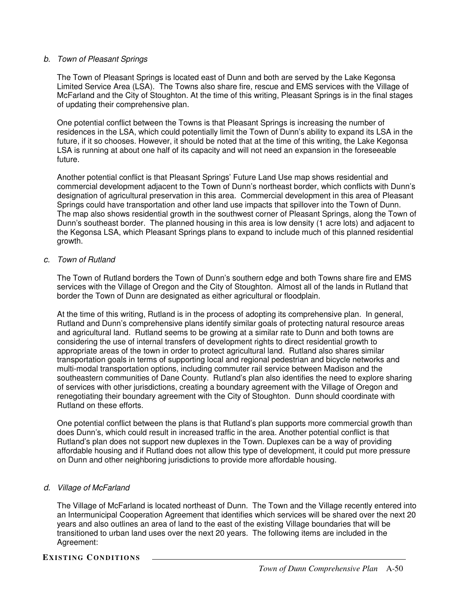### *b. Town of Pleasant Springs*

The Town of Pleasant Springs is located east of Dunn and both are served by the Lake Kegonsa Limited Service Area (LSA). The Towns also share fire, rescue and EMS services with the Village of McFarland and the City of Stoughton. At the time of this writing, Pleasant Springs is in the final stages of updating their comprehensive plan.

One potential conflict between the Towns is that Pleasant Springs is increasing the number of residences in the LSA, which could potentially limit the Town of Dunn's ability to expand its LSA in the future, if it so chooses. However, it should be noted that at the time of this writing, the Lake Kegonsa LSA is running at about one half of its capacity and will not need an expansion in the foreseeable future.

Another potential conflict is that Pleasant Springs' Future Land Use map shows residential and commercial development adjacent to the Town of Dunn's northeast border, which conflicts with Dunn's designation of agricultural preservation in this area. Commercial development in this area of Pleasant Springs could have transportation and other land use impacts that spillover into the Town of Dunn. The map also shows residential growth in the southwest corner of Pleasant Springs, along the Town of Dunn's southeast border. The planned housing in this area is low density (1 acre lots) and adjacent to the Kegonsa LSA, which Pleasant Springs plans to expand to include much of this planned residential growth.

#### *c. Town of Rutland*

The Town of Rutland borders the Town of Dunn's southern edge and both Towns share fire and EMS services with the Village of Oregon and the City of Stoughton. Almost all of the lands in Rutland that border the Town of Dunn are designated as either agricultural or floodplain.

At the time of this writing, Rutland is in the process of adopting its comprehensive plan. In general, Rutland and Dunn's comprehensive plans identify similar goals of protecting natural resource areas and agricultural land. Rutland seems to be growing at a similar rate to Dunn and both towns are considering the use of internal transfers of development rights to direct residential growth to appropriate areas of the town in order to protect agricultural land. Rutland also shares similar transportation goals in terms of supporting local and regional pedestrian and bicycle networks and multi-modal transportation options, including commuter rail service between Madison and the southeastern communities of Dane County. Rutland's plan also identifies the need to explore sharing of services with other jurisdictions, creating a boundary agreement with the Village of Oregon and renegotiating their boundary agreement with the City of Stoughton. Dunn should coordinate with Rutland on these efforts.

One potential conflict between the plans is that Rutland's plan supports more commercial growth than does Dunn's, which could result in increased traffic in the area. Another potential conflict is that Rutland's plan does not support new duplexes in the Town. Duplexes can be a way of providing affordable housing and if Rutland does not allow this type of development, it could put more pressure on Dunn and other neighboring jurisdictions to provide more affordable housing.

### *d. Village of McFarland*

The Village of McFarland is located northeast of Dunn. The Town and the Village recently entered into an Intermunicipal Cooperation Agreement that identifies which services will be shared over the next 20 years and also outlines an area of land to the east of the existing Village boundaries that will be transitioned to urban land uses over the next 20 years. The following items are included in the Agreement:

**EXISTING CONDITIONS**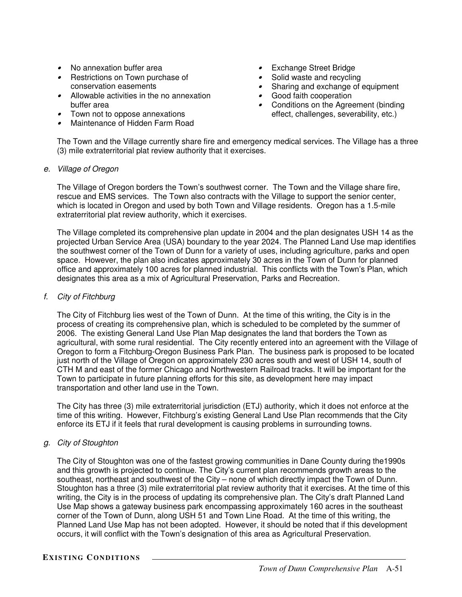- No annexation buffer area
- Restrictions on Town purchase of conservation easements
- Allowable activities in the no annexation buffer area
- Town not to oppose annexations
- Maintenance of Hidden Farm Road
- Exchange Street Bridge
- •Solid waste and recycling
- Sharing and exchange of equipment
- Good faith cooperation
- Conditions on the Agreement (binding effect, challenges, severability, etc.)

The Town and the Village currently share fire and emergency medical services. The Village has a three (3) mile extraterritorial plat review authority that it exercises.

#### *e. Village of Oregon*

The Village of Oregon borders the Town's southwest corner. The Town and the Village share fire, rescue and EMS services. The Town also contracts with the Village to support the senior center, which is located in Oregon and used by both Town and Village residents. Oregon has a 1.5-mile extraterritorial plat review authority, which it exercises.

The Village completed its comprehensive plan update in 2004 and the plan designates USH 14 as the projected Urban Service Area (USA) boundary to the year 2024. The Planned Land Use map identifies the southwest corner of the Town of Dunn for a variety of uses, including agriculture, parks and open space. However, the plan also indicates approximately 30 acres in the Town of Dunn for planned office and approximately 100 acres for planned industrial. This conflicts with the Town's Plan, which designates this area as a mix of Agricultural Preservation, Parks and Recreation.

### *f. City of Fitchburg*

The City of Fitchburg lies west of the Town of Dunn. At the time of this writing, the City is in the process of creating its comprehensive plan, which is scheduled to be completed by the summer of 2006. The existing General Land Use Plan Map designates the land that borders the Town as agricultural, with some rural residential. The City recently entered into an agreement with the Village of Oregon to form a Fitchburg-Oregon Business Park Plan. The business park is proposed to be located just north of the Village of Oregon on approximately 230 acres south and west of USH 14, south of CTH M and east of the former Chicago and Northwestern Railroad tracks. It will be important for the Town to participate in future planning efforts for this site, as development here may impact transportation and other land use in the Town.

The City has three (3) mile extraterritorial jurisdiction (ETJ) authority, which it does not enforce at the time of this writing. However, Fitchburg's existing General Land Use Plan recommends that the City enforce its ETJ if it feels that rural development is causing problems in surrounding towns.

### *g. City of Stoughton*

The City of Stoughton was one of the fastest growing communities in Dane County during the1990s and this growth is projected to continue. The City's current plan recommends growth areas to the southeast, northeast and southwest of the City – none of which directly impact the Town of Dunn. Stoughton has a three (3) mile extraterritorial plat review authority that it exercises. At the time of this writing, the City is in the process of updating its comprehensive plan. The City's draft Planned Land Use Map shows a gateway business park encompassing approximately 160 acres in the southeast corner of the Town of Dunn, along USH 51 and Town Line Road. At the time of this writing, the Planned Land Use Map has not been adopted. However, it should be noted that if this development occurs, it will conflict with the Town's designation of this area as Agricultural Preservation.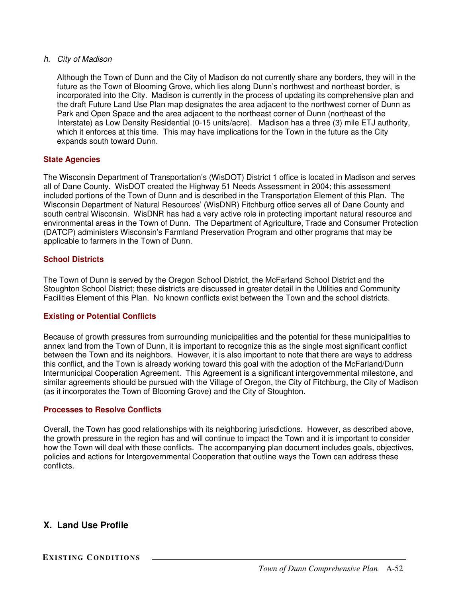### *h. City of Madison*

Although the Town of Dunn and the City of Madison do not currently share any borders, they will in the future as the Town of Blooming Grove, which lies along Dunn's northwest and northeast border, is incorporated into the City. Madison is currently in the process of updating its comprehensive plan and the draft Future Land Use Plan map designates the area adjacent to the northwest corner of Dunn as Park and Open Space and the area adjacent to the northeast corner of Dunn (northeast of the Interstate) as Low Density Residential (0-15 units/acre). Madison has a three (3) mile ETJ authority, which it enforces at this time. This may have implications for the Town in the future as the City expands south toward Dunn.

### **State Agencies**

The Wisconsin Department of Transportation's (WisDOT) District 1 office is located in Madison and serves all of Dane County. WisDOT created the Highway 51 Needs Assessment in 2004; this assessment included portions of the Town of Dunn and is described in the Transportation Element of this Plan. The Wisconsin Department of Natural Resources' (WisDNR) Fitchburg office serves all of Dane County and south central Wisconsin. WisDNR has had a very active role in protecting important natural resource and environmental areas in the Town of Dunn. The Department of Agriculture, Trade and Consumer Protection (DATCP) administers Wisconsin's Farmland Preservation Program and other programs that may be applicable to farmers in the Town of Dunn.

### **School Districts**

The Town of Dunn is served by the Oregon School District, the McFarland School District and the Stoughton School District; these districts are discussed in greater detail in the Utilities and Community Facilities Element of this Plan. No known conflicts exist between the Town and the school districts.

### **Existing or Potential Conflicts**

Because of growth pressures from surrounding municipalities and the potential for these municipalities to annex land from the Town of Dunn, it is important to recognize this as the single most significant conflict between the Town and its neighbors. However, it is also important to note that there are ways to address this conflict, and the Town is already working toward this goal with the adoption of the McFarland/Dunn Intermunicipal Cooperation Agreement. This Agreement is a significant intergovernmental milestone, and similar agreements should be pursued with the Village of Oregon, the City of Fitchburg, the City of Madison (as it incorporates the Town of Blooming Grove) and the City of Stoughton.

### **Processes to Resolve Conflicts**

Overall, the Town has good relationships with its neighboring jurisdictions. However, as described above, the growth pressure in the region has and will continue to impact the Town and it is important to consider how the Town will deal with these conflicts. The accompanying plan document includes goals, objectives, policies and actions for Intergovernmental Cooperation that outline ways the Town can address these conflicts.

# **X. Land Use Profile**

**EXISTING CON DITIONS**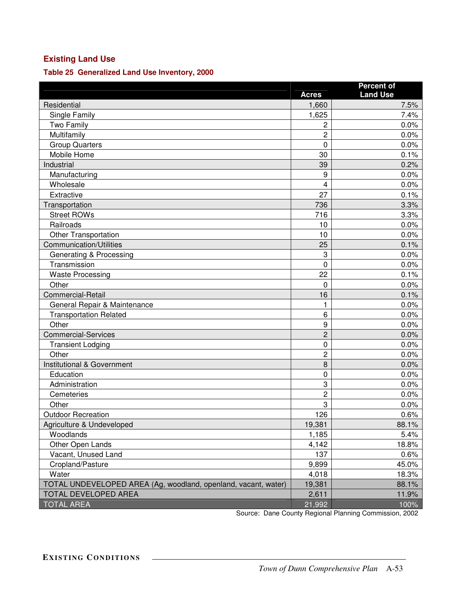# **Existing Land Use**

**Table 25 Generalized Land Use Inventory, 2000**

|                                                                |                | <b>Percent of</b> |  |  |
|----------------------------------------------------------------|----------------|-------------------|--|--|
|                                                                | <b>Acres</b>   | <b>Land Use</b>   |  |  |
| Residential                                                    | 1,660          | 7.5%              |  |  |
| Single Family                                                  | 1,625          | 7.4%              |  |  |
| Two Family                                                     | $\overline{c}$ | 0.0%              |  |  |
| Multifamily                                                    | $\overline{2}$ | 0.0%              |  |  |
| <b>Group Quarters</b>                                          | $\mathbf 0$    | 0.0%              |  |  |
| Mobile Home                                                    | 30             | 0.1%              |  |  |
| Industrial                                                     | 39             | 0.2%              |  |  |
| Manufacturing                                                  | 9              | 0.0%              |  |  |
| Wholesale                                                      | 4              | 0.0%              |  |  |
| Extractive                                                     | 27             | 0.1%              |  |  |
| Transportation                                                 | 736            | 3.3%              |  |  |
| <b>Street ROWs</b>                                             | 716            | 3.3%              |  |  |
| Railroads                                                      | 10             | 0.0%              |  |  |
| <b>Other Transportation</b>                                    | 10             | 0.0%              |  |  |
| Communication/Utilities                                        | 25             | 0.1%              |  |  |
| Generating & Processing                                        | 3              | 0.0%              |  |  |
| Transmission                                                   | $\mathbf 0$    | 0.0%              |  |  |
| <b>Waste Processing</b>                                        | 22             | 0.1%              |  |  |
| Other                                                          | $\mathbf 0$    | 0.0%              |  |  |
| <b>Commercial-Retail</b>                                       | 16             | 0.1%              |  |  |
| General Repair & Maintenance                                   | 1              | 0.0%              |  |  |
| <b>Transportation Related</b>                                  | 6              | 0.0%              |  |  |
| Other                                                          | 9              | 0.0%              |  |  |
| <b>Commercial-Services</b>                                     | $\overline{c}$ | 0.0%              |  |  |
| <b>Transient Lodging</b>                                       | $\mathbf 0$    | 0.0%              |  |  |
| Other                                                          | $\overline{2}$ | 0.0%              |  |  |
| Institutional & Government                                     | 8              | 0.0%              |  |  |
| Education                                                      | $\mathbf 0$    | 0.0%              |  |  |
| Administration                                                 | 3              | 0.0%              |  |  |
| Cemeteries                                                     | $\overline{c}$ | 0.0%              |  |  |
| Other                                                          | 3              | 0.0%              |  |  |
| <b>Outdoor Recreation</b>                                      | 126            | 0.6%              |  |  |
| Agriculture & Undeveloped                                      | 19,381         | 88.1%             |  |  |
| Woodlands                                                      | 1,185          | 5.4%              |  |  |
| Other Open Lands                                               | 4,142          | 18.8%             |  |  |
| Vacant, Unused Land                                            | 137            | 0.6%              |  |  |
| Cropland/Pasture                                               | 9,899          | 45.0%             |  |  |
| Water                                                          | 4,018          | 18.3%             |  |  |
| TOTAL UNDEVELOPED AREA (Ag, woodland, openland, vacant, water) | 19,381         | 88.1%             |  |  |
| TOTAL DEVELOPED AREA                                           | 2,611          | 11.9%             |  |  |
| <b>TOTAL AREA</b>                                              | 21,992         | 100%              |  |  |

Source: Dane County Regional Planning Commission, 2002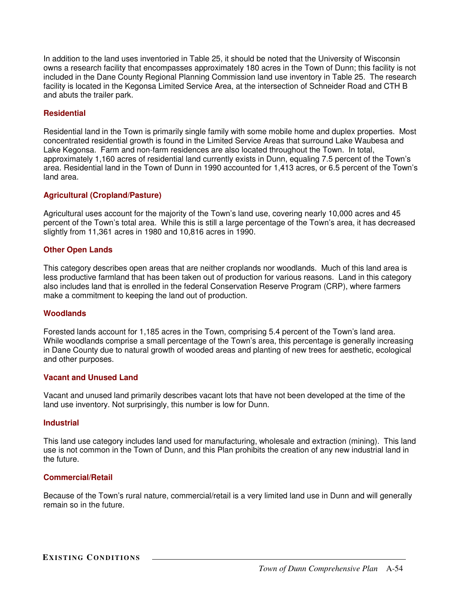In addition to the land uses inventoried in Table 25, it should be noted that the University of Wisconsin owns a research facility that encompasses approximately 180 acres in the Town of Dunn; this facility is not included in the Dane County Regional Planning Commission land use inventory in Table 25. The research facility is located in the Kegonsa Limited Service Area, at the intersection of Schneider Road and CTH B and abuts the trailer park.

### **Residential**

Residential land in the Town is primarily single family with some mobile home and duplex properties. Most concentrated residential growth is found in the Limited Service Areas that surround Lake Waubesa and Lake Kegonsa. Farm and non-farm residences are also located throughout the Town. In total, approximately 1,160 acres of residential land currently exists in Dunn, equaling 7.5 percent of the Town's area. Residential land in the Town of Dunn in 1990 accounted for 1,413 acres, or 6.5 percent of the Town's land area.

### **Agricultural (Cropland/Pasture)**

Agricultural uses account for the majority of the Town's land use, covering nearly 10,000 acres and 45 percent of the Town's total area. While this is still a large percentage of the Town's area, it has decreased slightly from 11,361 acres in 1980 and 10,816 acres in 1990.

### **Other Open Lands**

This category describes open areas that are neither croplands nor woodlands. Much of this land area is less productive farmland that has been taken out of production for various reasons. Land in this category also includes land that is enrolled in the federal Conservation Reserve Program (CRP), where farmers make a commitment to keeping the land out of production.

### **Woodlands**

Forested lands account for 1,185 acres in the Town, comprising 5.4 percent of the Town's land area. While woodlands comprise a small percentage of the Town's area, this percentage is generally increasing in Dane County due to natural growth of wooded areas and planting of new trees for aesthetic, ecological and other purposes.

### **Vacant and Unused Land**

Vacant and unused land primarily describes vacant lots that have not been developed at the time of the land use inventory. Not surprisingly, this number is low for Dunn.

### **Industrial**

This land use category includes land used for manufacturing, wholesale and extraction (mining). This land use is not common in the Town of Dunn, and this Plan prohibits the creation of any new industrial land in the future.

### **Commercial/Retail**

Because of the Town's rural nature, commercial/retail is a very limited land use in Dunn and will generally remain so in the future.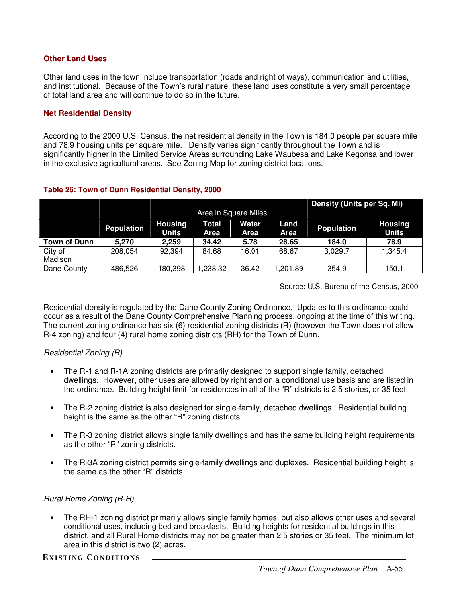### **Other Land Uses**

Other land uses in the town include transportation (roads and right of ways), communication and utilities, and institutional. Because of the Town's rural nature, these land uses constitute a very small percentage of total land area and will continue to do so in the future.

### **Net Residential Density**

According to the 2000 U.S. Census, the net residential density in the Town is 184.0 people per square mile and 78.9 housing units per square mile. Density varies significantly throughout the Town and is significantly higher in the Limited Service Areas surrounding Lake Waubesa and Lake Kegonsa and lower in the exclusive agricultural areas. See Zoning Map for zoning district locations.

### **Table 26: Town of Dunn Residential Density, 2000**

|                     |                   |                                | Density (Units per Sq. Mi)<br>Area in Square Miles |               |              |                   |                                |  |  |  |
|---------------------|-------------------|--------------------------------|----------------------------------------------------|---------------|--------------|-------------------|--------------------------------|--|--|--|
|                     | <b>Population</b> | <b>Housing</b><br><b>Units</b> | Total<br>Area                                      | Water<br>Area | Land<br>Area | <b>Population</b> | <b>Housing</b><br><b>Units</b> |  |  |  |
| <b>Town of Dunn</b> | 5.270             | 2.259                          | 34.42                                              | 5.78          | 28.65        | 184.0             | 78.9                           |  |  |  |
| City of<br>Madison  | 208,054           | 92,394                         | 84.68                                              | 16.01         | 68.67        | 3.029.7           | 1,345.4                        |  |  |  |
| Dane County         | 486,526           | 180,398                        | ,238.32                                            | 36.42         | 1,201.89     | 354.9             | 150.1                          |  |  |  |

Source: U.S. Bureau of the Census, 2000

Residential density is regulated by the Dane County Zoning Ordinance. Updates to this ordinance could occur as a result of the Dane County Comprehensive Planning process, ongoing at the time of this writing. The current zoning ordinance has six (6) residential zoning districts (R) (however the Town does not allow R-4 zoning) and four (4) rural home zoning districts (RH) for the Town of Dunn.

# *Residential Zoning (R)*

- The R-1 and R-1A zoning districts are primarily designed to support single family, detached dwellings. However, other uses are allowed by right and on a conditional use basis and are listed in the ordinance. Building height limit for residences in all of the "R" districts is 2.5 stories, or 35 feet.
- The R-2 zoning district is also designed for single-family, detached dwellings. Residential building height is the same as the other "R" zoning districts.
- The R-3 zoning district allows single family dwellings and has the same building height requirements as the other "R" zoning districts.
- The R-3A zoning district permits single-family dwellings and duplexes. Residential building height is the same as the other "R" districts.

### *Rural Home Zoning (R-H)*

• The RH-1 zoning district primarily allows single family homes, but also allows other uses and several conditional uses, including bed and breakfasts. Building heights for residential buildings in this district, and all Rural Home districts may not be greater than 2.5 stories or 35 feet. The minimum lot area in this district is two (2) acres.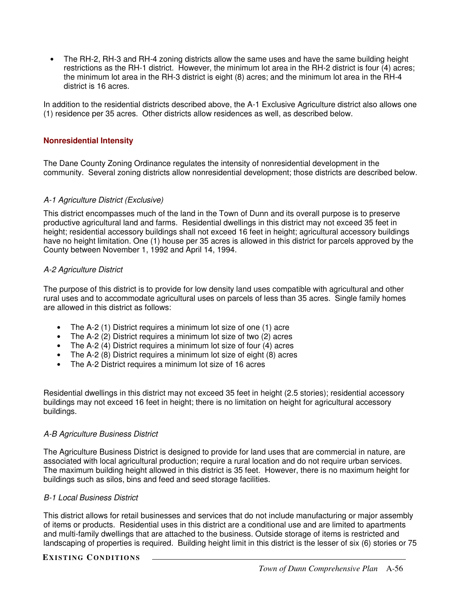• The RH-2, RH-3 and RH-4 zoning districts allow the same uses and have the same building height restrictions as the RH-1 district. However, the minimum lot area in the RH-2 district is four (4) acres; the minimum lot area in the RH-3 district is eight (8) acres; and the minimum lot area in the RH-4 district is 16 acres.

In addition to the residential districts described above, the A-1 Exclusive Agriculture district also allows one (1) residence per 35 acres. Other districts allow residences as well, as described below.

### **Nonresidential Intensity**

The Dane County Zoning Ordinance regulates the intensity of nonresidential development in the community. Several zoning districts allow nonresidential development; those districts are described below.

### *A-1 Agriculture District (Exclusive)*

This district encompasses much of the land in the Town of Dunn and its overall purpose is to preserve productive agricultural land and farms. Residential dwellings in this district may not exceed 35 feet in height; residential accessory buildings shall not exceed 16 feet in height; agricultural accessory buildings have no height limitation. One (1) house per 35 acres is allowed in this district for parcels approved by the County between November 1, 1992 and April 14, 1994.

### *A-2 Agriculture District*

The purpose of this district is to provide for low density land uses compatible with agricultural and other rural uses and to accommodate agricultural uses on parcels of less than 35 acres. Single family homes are allowed in this district as follows:

- The A-2 (1) District requires a minimum lot size of one (1) acre
- The A-2 (2) District requires a minimum lot size of two (2) acres
- The A-2  $(4)$  District requires a minimum lot size of four  $(4)$  acres
- The A-2 (8) District requires a minimum lot size of eight (8) acres
- The A-2 District requires a minimum lot size of 16 acres

Residential dwellings in this district may not exceed 35 feet in height (2.5 stories); residential accessory buildings may not exceed 16 feet in height; there is no limitation on height for agricultural accessory buildings.

### *A-B Agriculture Business District*

The Agriculture Business District is designed to provide for land uses that are commercial in nature, are associated with local agricultural production; require a rural location and do not require urban services. The maximum building height allowed in this district is 35 feet. However, there is no maximum height for buildings such as silos, bins and feed and seed storage facilities.

### *B-1 Local Business District*

This district allows for retail businesses and services that do not include manufacturing or major assembly of items or products. Residential uses in this district are a conditional use and are limited to apartments and multi-family dwellings that are attached to the business. Outside storage of items is restricted and landscaping of properties is required. Building height limit in this district is the lesser of six (6) stories or 75

### **EXISTING CONDITIONS**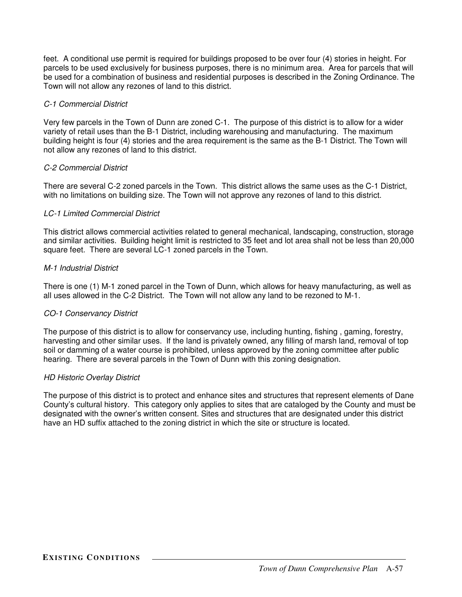feet. A conditional use permit is required for buildings proposed to be over four (4) stories in height. For parcels to be used exclusively for business purposes, there is no minimum area. Area for parcels that will be used for a combination of business and residential purposes is described in the Zoning Ordinance. The Town will not allow any rezones of land to this district.

### *C-1 Commercial District*

Very few parcels in the Town of Dunn are zoned C-1. The purpose of this district is to allow for a wider variety of retail uses than the B-1 District, including warehousing and manufacturing. The maximum building height is four (4) stories and the area requirement is the same as the B-1 District. The Town will not allow any rezones of land to this district.

### *C-2 Commercial District*

There are several C-2 zoned parcels in the Town. This district allows the same uses as the C-1 District, with no limitations on building size. The Town will not approve any rezones of land to this district.

### *LC-1 Limited Commercial District*

This district allows commercial activities related to general mechanical, landscaping, construction, storage and similar activities. Building height limit is restricted to 35 feet and lot area shall not be less than 20,000 square feet. There are several LC-1 zoned parcels in the Town.

### *M-1 Industrial District*

There is one (1) M-1 zoned parcel in the Town of Dunn, which allows for heavy manufacturing, as well as all uses allowed in the C-2 District. The Town will not allow any land to be rezoned to M-1.

### *CO-1 Conservancy District*

The purpose of this district is to allow for conservancy use, including hunting, fishing , gaming, forestry, harvesting and other similar uses. If the land is privately owned, any filling of marsh land, removal of top soil or damming of a water course is prohibited, unless approved by the zoning committee after public hearing. There are several parcels in the Town of Dunn with this zoning designation.

### *HD Historic Overlay District*

The purpose of this district is to protect and enhance sites and structures that represent elements of Dane County's cultural history. This category only applies to sites that are cataloged by the County and must be designated with the owner's written consent. Sites and structures that are designated under this district have an HD suffix attached to the zoning district in which the site or structure is located.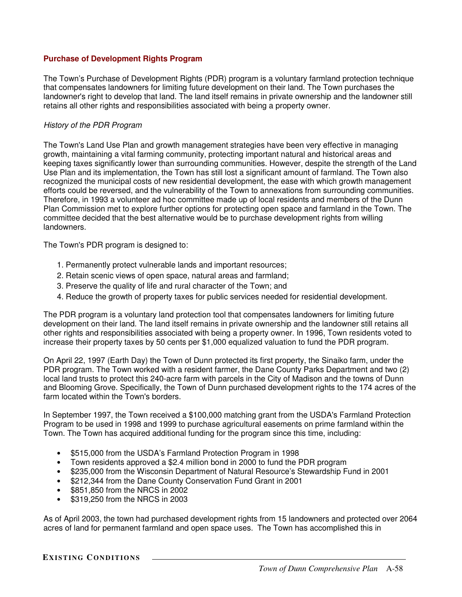### **Purchase of Development Rights Program**

The Town's Purchase of Development Rights (PDR) program is a voluntary farmland protection technique that compensates landowners for limiting future development on their land. The Town purchases the landowner's right to develop that land. The land itself remains in private ownership and the landowner still retains all other rights and responsibilities associated with being a property owner.

### *History of the PDR Program*

The Town's Land Use Plan and growth management strategies have been very effective in managing growth, maintaining a vital farming community, protecting important natural and historical areas and keeping taxes significantly lower than surrounding communities. However, despite the strength of the Land Use Plan and its implementation, the Town has still lost a significant amount of farmland. The Town also recognized the municipal costs of new residential development, the ease with which growth management efforts could be reversed, and the vulnerability of the Town to annexations from surrounding communities. Therefore, in 1993 a volunteer ad hoc committee made up of local residents and members of the Dunn Plan Commission met to explore further options for protecting open space and farmland in the Town. The committee decided that the best alternative would be to purchase development rights from willing landowners.

The Town's PDR program is designed to:

- 1. Permanently protect vulnerable lands and important resources;
- 2. Retain scenic views of open space, natural areas and farmland;
- 3. Preserve the quality of life and rural character of the Town; and
- 4. Reduce the growth of property taxes for public services needed for residential development.

The PDR program is a voluntary land protection tool that compensates landowners for limiting future development on their land. The land itself remains in private ownership and the landowner still retains all other rights and responsibilities associated with being a property owner. In 1996, Town residents voted to increase their property taxes by 50 cents per \$1,000 equalized valuation to fund the PDR program.

On April 22, 1997 (Earth Day) the Town of Dunn protected its first property, the Sinaiko farm, under the PDR program. The Town worked with a resident farmer, the Dane County Parks Department and two (2) local land trusts to protect this 240-acre farm with parcels in the City of Madison and the towns of Dunn and Blooming Grove. Specifically, the Town of Dunn purchased development rights to the 174 acres of the farm located within the Town's borders.

In September 1997, the Town received a \$100,000 matching grant from the USDA's Farmland Protection Program to be used in 1998 and 1999 to purchase agricultural easements on prime farmland within the Town. The Town has acquired additional funding for the program since this time, including:

- \$515,000 from the USDA's Farmland Protection Program in 1998
- Town residents approved a \$2.4 million bond in 2000 to fund the PDR program
- \$235,000 from the Wisconsin Department of Natural Resource's Stewardship Fund in 2001
- \$212,344 from the Dane County Conservation Fund Grant in 2001
- \$851,850 from the NRCS in 2002
- \$319,250 from the NRCS in 2003

As of April 2003, the town had purchased development rights from 15 landowners and protected over 2064 acres of land for permanent farmland and open space uses. The Town has accomplished this in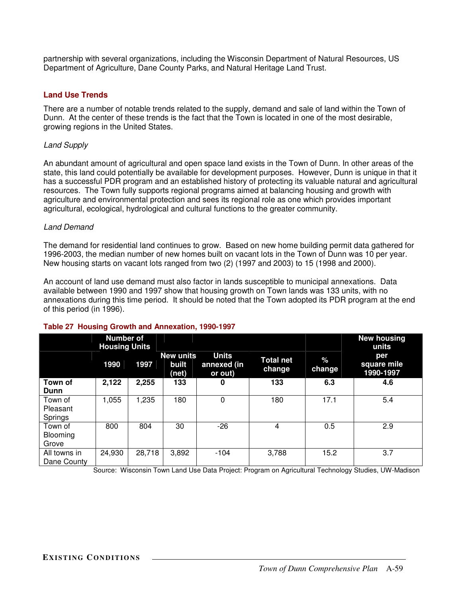partnership with several organizations, including the Wisconsin Department of Natural Resources, US Department of Agriculture, Dane County Parks, and Natural Heritage Land Trust.

### **Land Use Trends**

There are a number of notable trends related to the supply, demand and sale of land within the Town of Dunn. At the center of these trends is the fact that the Town is located in one of the most desirable, growing regions in the United States.

### *Land Supply*

An abundant amount of agricultural and open space land exists in the Town of Dunn. In other areas of the state, this land could potentially be available for development purposes. However, Dunn is unique in that it has a successful PDR program and an established history of protecting its valuable natural and agricultural resources. The Town fully supports regional programs aimed at balancing housing and growth with agriculture and environmental protection and sees its regional role as one which provides important agricultural, ecological, hydrological and cultural functions to the greater community.

### *Land Demand*

The demand for residential land continues to grow. Based on new home building permit data gathered for 1996-2003, the median number of new homes built on vacant lots in the Town of Dunn was 10 per year. New housing starts on vacant lots ranged from two (2) (1997 and 2003) to 15 (1998 and 2000).

An account of land use demand must also factor in lands susceptible to municipal annexations. Data available between 1990 and 1997 show that housing growth on Town lands was 133 units, with no annexations during this time period. It should be noted that the Town adopted its PDR program at the end of this period (in 1996).

|              | <b>Number of</b><br><b>Housing Units</b> |        |                                    |                                        |                            |                | <b>New housing</b><br>units     |  |  |
|--------------|------------------------------------------|--------|------------------------------------|----------------------------------------|----------------------------|----------------|---------------------------------|--|--|
|              | 1990                                     | 1997   | <b>New units</b><br>built<br>(net) | <b>Units</b><br>annexed (in<br>or out) | <b>Total net</b><br>change | $\%$<br>change | per<br>square mile<br>1990-1997 |  |  |
| Town of      | 2,122                                    | 2,255  | 133                                | 0                                      | 133                        | 6.3            | 4.6                             |  |  |
| Dunn         |                                          |        |                                    |                                        |                            |                |                                 |  |  |
| Town of      | 1,055                                    | 1,235  | 180                                | $\Omega$                               | 180                        | 17.1           | 5.4                             |  |  |
| Pleasant     |                                          |        |                                    |                                        |                            |                |                                 |  |  |
| Springs      |                                          |        |                                    |                                        |                            |                |                                 |  |  |
| Town of      | 800                                      | 804    | 30                                 | $-26$                                  | 4                          | 0.5            | 2.9                             |  |  |
| Blooming     |                                          |        |                                    |                                        |                            |                |                                 |  |  |
| Grove        |                                          |        |                                    |                                        |                            |                |                                 |  |  |
| All towns in | 24,930                                   | 28,718 | 3,892                              | $-104$                                 | 3,788                      | 15.2           | 3.7                             |  |  |
| Dane County  |                                          |        |                                    |                                        |                            |                |                                 |  |  |

### **Table 27 Housing Growth and Annexation, 1990-1997**

Source: Wisconsin Town Land Use Data Project: Program on Agricultural Technology Studies, UW-Madison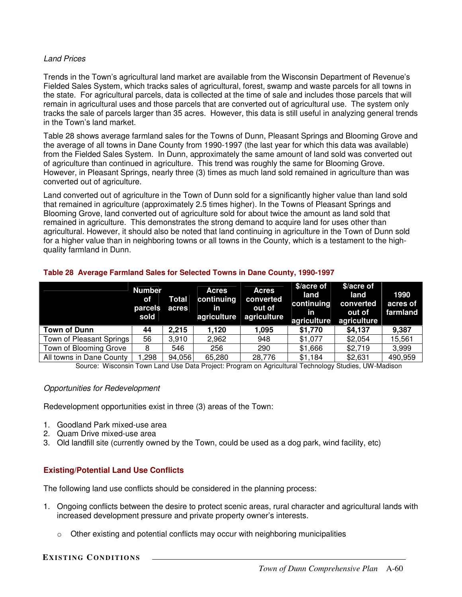### *Land Prices*

Trends in the Town's agricultural land market are available from the Wisconsin Department of Revenue's Fielded Sales System, which tracks sales of agricultural, forest, swamp and waste parcels for all towns in the state. For agricultural parcels, data is collected at the time of sale and includes those parcels that will remain in agricultural uses and those parcels that are converted out of agricultural use. The system only tracks the sale of parcels larger than 35 acres. However, this data is still useful in analyzing general trends in the Town's land market.

Table 28 shows average farmland sales for the Towns of Dunn, Pleasant Springs and Blooming Grove and the average of all towns in Dane County from 1990-1997 (the last year for which this data was available) from the Fielded Sales System. In Dunn, approximately the same amount of land sold was converted out of agriculture than continued in agriculture. This trend was roughly the same for Blooming Grove. However, in Pleasant Springs, nearly three (3) times as much land sold remained in agriculture than was converted out of agriculture.

Land converted out of agriculture in the Town of Dunn sold for a significantly higher value than land sold that remained in agriculture (approximately 2.5 times higher). In the Towns of Pleasant Springs and Blooming Grove, land converted out of agriculture sold for about twice the amount as land sold that remained in agriculture. This demonstrates the strong demand to acquire land for uses other than agricultural. However, it should also be noted that land continuing in agriculture in the Town of Dunn sold for a higher value than in neighboring towns or all towns in the County, which is a testament to the highquality farmland in Dunn.

|                          | <b>Number</b><br>оf<br>parcels<br>sold | <b>Total</b><br>acres | <b>Acres</b><br>continuing<br><b>in</b> | <b>Acres</b><br>converted<br>out of<br>agriculture agriculture | \$/acre of<br>land<br>continuing<br>in<br>agriculture | \$/acre of<br>land<br>converted<br>out of<br>agriculture | 1990<br>acres of<br>farmland |
|--------------------------|----------------------------------------|-----------------------|-----------------------------------------|----------------------------------------------------------------|-------------------------------------------------------|----------------------------------------------------------|------------------------------|
| <b>Town of Dunn</b>      | 44                                     | 2,215                 | 1.120                                   | 1.095                                                          | \$1,770                                               | \$4,137                                                  | 9,387                        |
| Town of Pleasant Springs | 56                                     | 3,910                 | 2,962                                   | 948                                                            | \$1,077                                               | \$2,054                                                  | 15,561                       |
| Town of Blooming Grove   | 8                                      | 546                   | 256                                     | 290                                                            | \$1,666                                               | \$2,719                                                  | 3,999                        |
| All towns in Dane County | 298. ا                                 | 94,056                | 65,280                                  | 28,776                                                         | \$1,184                                               | \$2,631                                                  | 490,959                      |

### **Table 28 Average Farmland Sales for Selected Towns in Dane County, 1990-1997**

Source: Wisconsin Town Land Use Data Project: Program on Agricultural Technology Studies, UW-Madison

### *Opportunities for Redevelopment*

Redevelopment opportunities exist in three (3) areas of the Town:

- 1. Goodland Park mixed-use area
- 2. Quam Drive mixed-use area
- 3. Old landfill site (currently owned by the Town, could be used as a dog park, wind facility, etc)

# **Existing/Potential Land Use Conflicts**

The following land use conflicts should be considered in the planning process:

- 1. Ongoing conflicts between the desire to protect scenic areas, rural character and agricultural lands with increased development pressure and private property owner's interests.
	- $\circ$  Other existing and potential conflicts may occur with neighboring municipalities